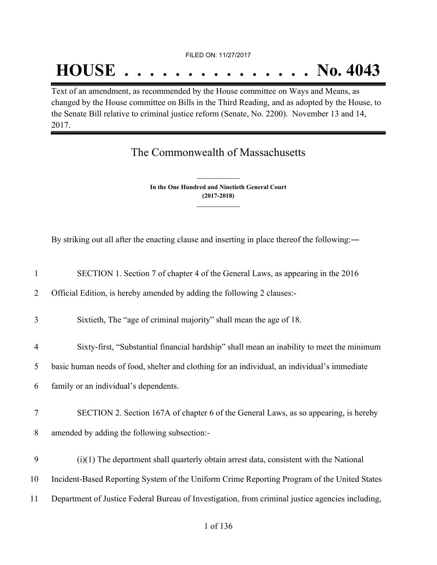FILED ON: 11/27/2017

# **HOUSE . . . . . . . . . . . . . . . No. 4043**

Text of an amendment, as recommended by the House committee on Ways and Means, as changed by the House committee on Bills in the Third Reading, and as adopted by the House, to the Senate Bill relative to criminal justice reform (Senate, No. 2200). November 13 and 14, 2017.

The Commonwealth of Massachusetts

**In the One Hundred and Ninetieth General Court (2017-2018) \_\_\_\_\_\_\_\_\_\_\_\_\_\_\_**

**\_\_\_\_\_\_\_\_\_\_\_\_\_\_\_**

By striking out all after the enacting clause and inserting in place thereof the following:―

| $\mathbf{1}$   | SECTION 1. Section 7 of chapter 4 of the General Laws, as appearing in the 2016                  |
|----------------|--------------------------------------------------------------------------------------------------|
| 2              | Official Edition, is hereby amended by adding the following 2 clauses:-                          |
| 3              | Sixtieth, The "age of criminal majority" shall mean the age of 18.                               |
| $\overline{4}$ | Sixty-first, "Substantial financial hardship" shall mean an inability to meet the minimum        |
| 5              | basic human needs of food, shelter and clothing for an individual, an individual's immediate     |
| 6              | family or an individual's dependents.                                                            |
| $\tau$         | SECTION 2. Section 167A of chapter 6 of the General Laws, as so appearing, is hereby             |
| 8              | amended by adding the following subsection:-                                                     |
| 9              | $(i)(1)$ The department shall quarterly obtain arrest data, consistent with the National         |
| 10             | Incident-Based Reporting System of the Uniform Crime Reporting Program of the United States      |
| 11             | Department of Justice Federal Bureau of Investigation, from criminal justice agencies including, |
|                |                                                                                                  |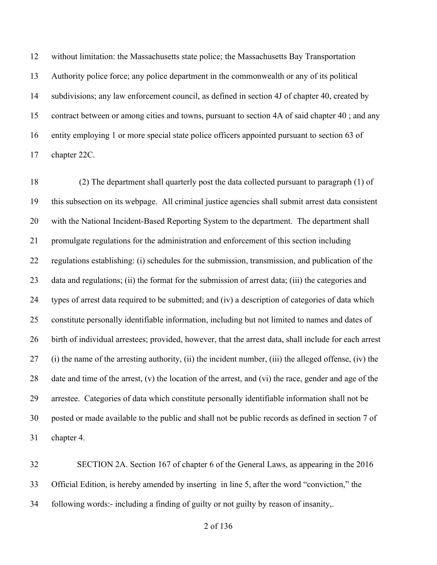without limitation: the Massachusetts state police; the Massachusetts Bay Transportation Authority police force; any police department in the commonwealth or any of its political subdivisions; any law enforcement council, as defined in section 4J of chapter 40, created by contract between or among cities and towns, pursuant to section 4A of said chapter 40 ; and any entity employing 1 or more special state police officers appointed pursuant to section 63 of chapter 22C.

 (2) The department shall quarterly post the data collected pursuant to paragraph (1) of this subsection on its webpage. All criminal justice agencies shall submit arrest data consistent with the National Incident-Based Reporting System to the department. The department shall promulgate regulations for the administration and enforcement of this section including regulations establishing: (i) schedules for the submission, transmission, and publication of the data and regulations; (ii) the format for the submission of arrest data; (iii) the categories and types of arrest data required to be submitted; and (iv) a description of categories of data which constitute personally identifiable information, including but not limited to names and dates of birth of individual arrestees; provided, however, that the arrest data, shall include for each arrest (i) the name of the arresting authority, (ii) the incident number, (iii) the alleged offense, (iv) the date and time of the arrest, (v) the location of the arrest, and (vi) the race, gender and age of the arrestee. Categories of data which constitute personally identifiable information shall not be posted or made available to the public and shall not be public records as defined in section 7 of chapter 4.

 SECTION 2A. Section 167 of chapter 6 of the General Laws, as appearing in the 2016 Official Edition, is hereby amended by inserting in line 5, after the word "conviction," the following words:- including a finding of guilty or not guilty by reason of insanity,.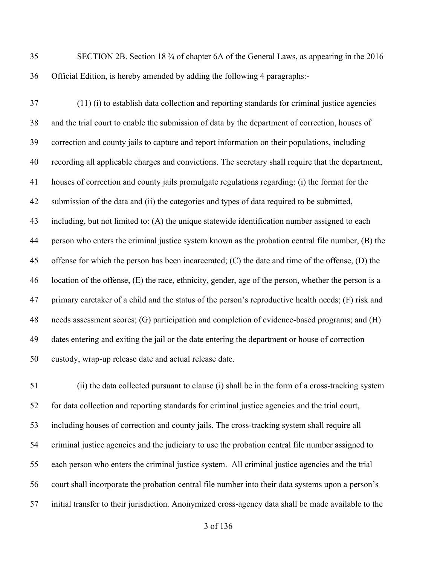SECTION 2B. Section 18 ¾ of chapter 6A of the General Laws, as appearing in the 2016 Official Edition, is hereby amended by adding the following 4 paragraphs:-

 (11) (i) to establish data collection and reporting standards for criminal justice agencies and the trial court to enable the submission of data by the department of correction, houses of correction and county jails to capture and report information on their populations, including recording all applicable charges and convictions. The secretary shall require that the department, houses of correction and county jails promulgate regulations regarding: (i) the format for the submission of the data and (ii) the categories and types of data required to be submitted, including, but not limited to: (A) the unique statewide identification number assigned to each person who enters the criminal justice system known as the probation central file number, (B) the offense for which the person has been incarcerated; (C) the date and time of the offense, (D) the location of the offense, (E) the race, ethnicity, gender, age of the person, whether the person is a primary caretaker of a child and the status of the person's reproductive health needs; (F) risk and needs assessment scores; (G) participation and completion of evidence-based programs; and (H) dates entering and exiting the jail or the date entering the department or house of correction custody, wrap-up release date and actual release date.

 (ii) the data collected pursuant to clause (i) shall be in the form of a cross-tracking system for data collection and reporting standards for criminal justice agencies and the trial court, including houses of correction and county jails. The cross-tracking system shall require all criminal justice agencies and the judiciary to use the probation central file number assigned to each person who enters the criminal justice system. All criminal justice agencies and the trial court shall incorporate the probation central file number into their data systems upon a person's initial transfer to their jurisdiction. Anonymized cross-agency data shall be made available to the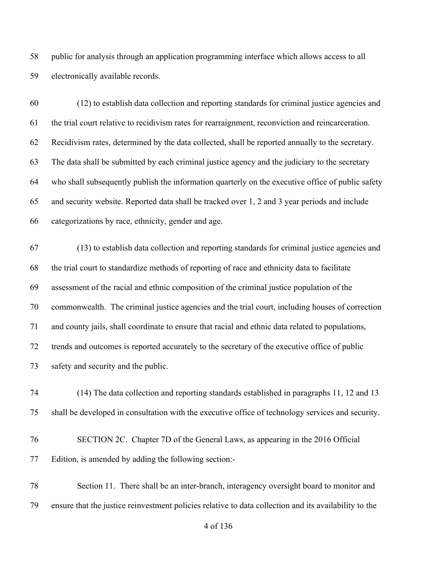public for analysis through an application programming interface which allows access to all electronically available records.

 (12) to establish data collection and reporting standards for criminal justice agencies and the trial court relative to recidivism rates for rearraignment, reconviction and reincarceration. Recidivism rates, determined by the data collected, shall be reported annually to the secretary. The data shall be submitted by each criminal justice agency and the judiciary to the secretary who shall subsequently publish the information quarterly on the executive office of public safety and security website. Reported data shall be tracked over 1, 2 and 3 year periods and include categorizations by race, ethnicity, gender and age.

 (13) to establish data collection and reporting standards for criminal justice agencies and the trial court to standardize methods of reporting of race and ethnicity data to facilitate assessment of the racial and ethnic composition of the criminal justice population of the commonwealth. The criminal justice agencies and the trial court, including houses of correction and county jails, shall coordinate to ensure that racial and ethnic data related to populations, trends and outcomes is reported accurately to the secretary of the executive office of public safety and security and the public.

 (14) The data collection and reporting standards established in paragraphs 11, 12 and 13 shall be developed in consultation with the executive office of technology services and security.

 SECTION 2C. Chapter 7D of the General Laws, as appearing in the 2016 Official Edition, is amended by adding the following section:-

 Section 11. There shall be an inter-branch, interagency oversight board to monitor and ensure that the justice reinvestment policies relative to data collection and its availability to the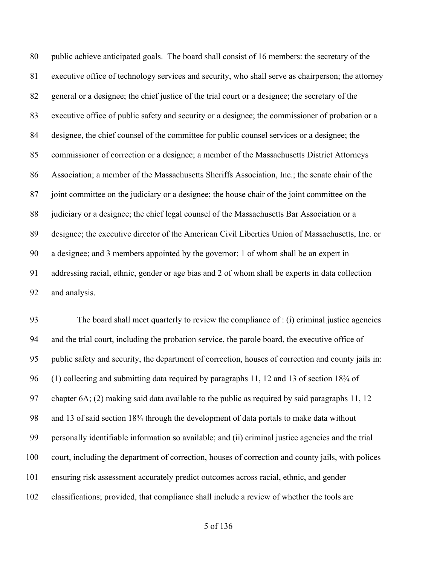public achieve anticipated goals. The board shall consist of 16 members: the secretary of the executive office of technology services and security, who shall serve as chairperson; the attorney general or a designee; the chief justice of the trial court or a designee; the secretary of the executive office of public safety and security or a designee; the commissioner of probation or a designee, the chief counsel of the committee for public counsel services or a designee; the commissioner of correction or a designee; a member of the Massachusetts District Attorneys Association; a member of the Massachusetts Sheriffs Association, Inc.; the senate chair of the joint committee on the judiciary or a designee; the house chair of the joint committee on the 88 judiciary or a designee; the chief legal counsel of the Massachusetts Bar Association or a designee; the executive director of the American Civil Liberties Union of Massachusetts, Inc. or a designee; and 3 members appointed by the governor: 1 of whom shall be an expert in addressing racial, ethnic, gender or age bias and 2 of whom shall be experts in data collection and analysis.

 The board shall meet quarterly to review the compliance of : (i) criminal justice agencies and the trial court, including the probation service, the parole board, the executive office of public safety and security, the department of correction, houses of correction and county jails in: (1) collecting and submitting data required by paragraphs 11, 12 and 13 of section 18¾ of chapter 6A; (2) making said data available to the public as required by said paragraphs 11, 12 and 13 of said section 18¾ through the development of data portals to make data without personally identifiable information so available; and (ii) criminal justice agencies and the trial court, including the department of correction, houses of correction and county jails, with polices ensuring risk assessment accurately predict outcomes across racial, ethnic, and gender classifications; provided, that compliance shall include a review of whether the tools are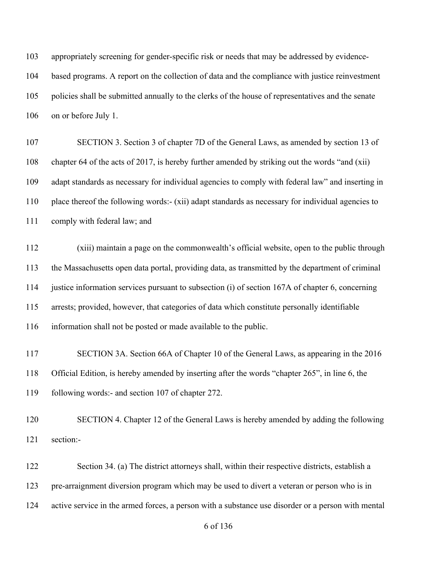appropriately screening for gender-specific risk or needs that may be addressed by evidence- based programs. A report on the collection of data and the compliance with justice reinvestment policies shall be submitted annually to the clerks of the house of representatives and the senate on or before July 1.

 SECTION 3. Section 3 of chapter 7D of the General Laws, as amended by section 13 of chapter 64 of the acts of 2017, is hereby further amended by striking out the words "and (xii) adapt standards as necessary for individual agencies to comply with federal law" and inserting in place thereof the following words:- (xii) adapt standards as necessary for individual agencies to comply with federal law; and

 (xiii) maintain a page on the commonwealth's official website, open to the public through the Massachusetts open data portal, providing data, as transmitted by the department of criminal justice information services pursuant to subsection (i) of section 167A of chapter 6, concerning arrests; provided, however, that categories of data which constitute personally identifiable information shall not be posted or made available to the public.

 SECTION 3A. Section 66A of Chapter 10 of the General Laws, as appearing in the 2016 Official Edition, is hereby amended by inserting after the words "chapter 265", in line 6, the following words:- and section 107 of chapter 272.

 SECTION 4. Chapter 12 of the General Laws is hereby amended by adding the following section:-

 Section 34. (a) The district attorneys shall, within their respective districts, establish a pre-arraignment diversion program which may be used to divert a veteran or person who is in active service in the armed forces, a person with a substance use disorder or a person with mental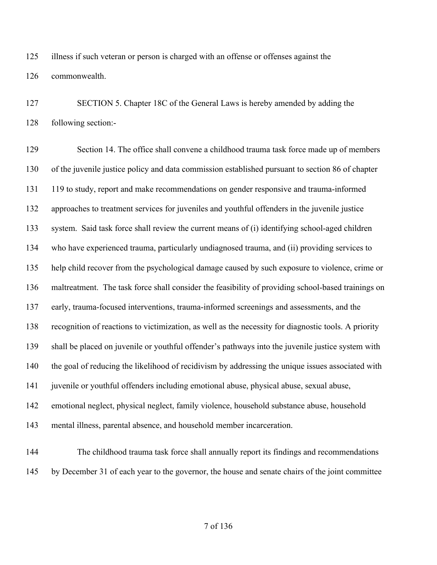illness if such veteran or person is charged with an offense or offenses against the commonwealth.

 SECTION 5. Chapter 18C of the General Laws is hereby amended by adding the following section:-

 Section 14. The office shall convene a childhood trauma task force made up of members of the juvenile justice policy and data commission established pursuant to section 86 of chapter 119 to study, report and make recommendations on gender responsive and trauma-informed approaches to treatment services for juveniles and youthful offenders in the juvenile justice system. Said task force shall review the current means of (i) identifying school-aged children who have experienced trauma, particularly undiagnosed trauma, and (ii) providing services to help child recover from the psychological damage caused by such exposure to violence, crime or maltreatment. The task force shall consider the feasibility of providing school-based trainings on early, trauma-focused interventions, trauma-informed screenings and assessments, and the recognition of reactions to victimization, as well as the necessity for diagnostic tools. A priority shall be placed on juvenile or youthful offender's pathways into the juvenile justice system with the goal of reducing the likelihood of recidivism by addressing the unique issues associated with juvenile or youthful offenders including emotional abuse, physical abuse, sexual abuse, emotional neglect, physical neglect, family violence, household substance abuse, household mental illness, parental absence, and household member incarceration.

 The childhood trauma task force shall annually report its findings and recommendations by December 31 of each year to the governor, the house and senate chairs of the joint committee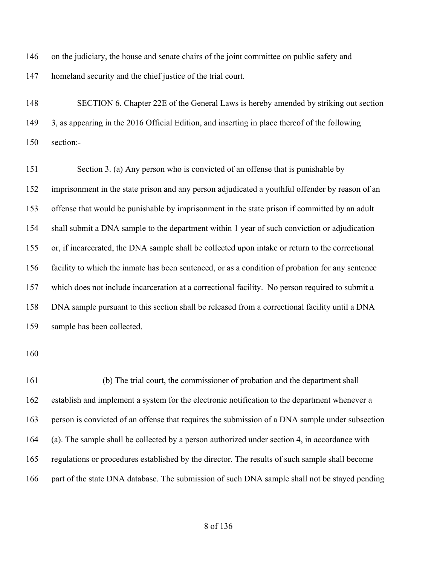146 on the judiciary, the house and senate chairs of the joint committee on public safety and homeland security and the chief justice of the trial court.

 SECTION 6. Chapter 22E of the General Laws is hereby amended by striking out section 3, as appearing in the 2016 Official Edition, and inserting in place thereof of the following section:-

 Section 3. (a) Any person who is convicted of an offense that is punishable by imprisonment in the state prison and any person adjudicated a youthful offender by reason of an offense that would be punishable by imprisonment in the state prison if committed by an adult shall submit a DNA sample to the department within 1 year of such conviction or adjudication or, if incarcerated, the DNA sample shall be collected upon intake or return to the correctional facility to which the inmate has been sentenced, or as a condition of probation for any sentence which does not include incarceration at a correctional facility. No person required to submit a DNA sample pursuant to this section shall be released from a correctional facility until a DNA sample has been collected.

 (b) The trial court, the commissioner of probation and the department shall establish and implement a system for the electronic notification to the department whenever a person is convicted of an offense that requires the submission of a DNA sample under subsection (a). The sample shall be collected by a person authorized under section 4, in accordance with regulations or procedures established by the director. The results of such sample shall become 166 part of the state DNA database. The submission of such DNA sample shall not be stayed pending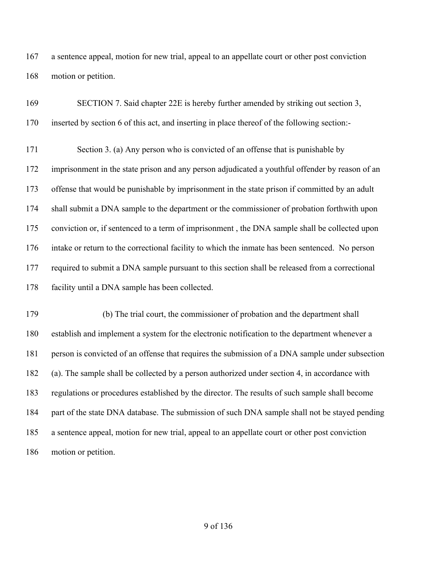a sentence appeal, motion for new trial, appeal to an appellate court or other post conviction motion or petition.

| 169 | SECTION 7. Said chapter 22E is hereby further amended by striking out section 3,                |
|-----|-------------------------------------------------------------------------------------------------|
| 170 | inserted by section 6 of this act, and inserting in place thereof of the following section:-    |
| 171 | Section 3. (a) Any person who is convicted of an offense that is punishable by                  |
| 172 | imprisonment in the state prison and any person adjudicated a youthful offender by reason of an |
| 173 | offense that would be punishable by imprisonment in the state prison if committed by an adult   |
| 174 | shall submit a DNA sample to the department or the commissioner of probation forthwith upon     |
| 175 | conviction or, if sentenced to a term of imprisonment, the DNA sample shall be collected upon   |
| 176 | intake or return to the correctional facility to which the inmate has been sentenced. No person |
| 177 | required to submit a DNA sample pursuant to this section shall be released from a correctional  |
| 178 | facility until a DNA sample has been collected.                                                 |
| 179 | (b) The trial court, the commissioner of probation and the department shall                     |
| 180 | establish and implement a system for the electronic notification to the department whenever a   |
| 181 | person is convicted of an offense that requires the submission of a DNA sample under subsection |

181 person is convicted of an offense that requires the submission of a DNA sample under subsection (a). The sample shall be collected by a person authorized under section 4, in accordance with regulations or procedures established by the director. The results of such sample shall become part of the state DNA database. The submission of such DNA sample shall not be stayed pending a sentence appeal, motion for new trial, appeal to an appellate court or other post conviction motion or petition.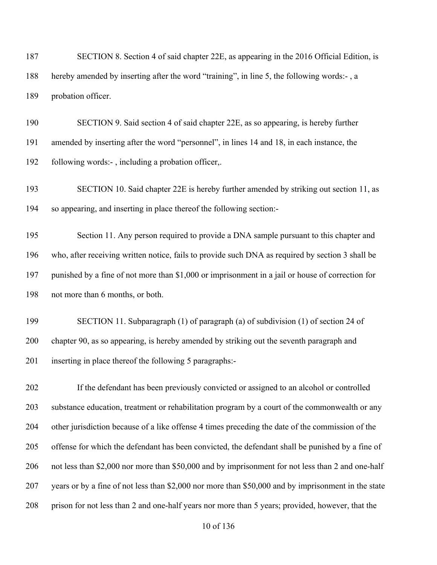SECTION 8. Section 4 of said chapter 22E, as appearing in the 2016 Official Edition, is hereby amended by inserting after the word "training", in line 5, the following words:- , a probation officer.

 SECTION 9. Said section 4 of said chapter 22E, as so appearing, is hereby further amended by inserting after the word "personnel", in lines 14 and 18, in each instance, the following words:- , including a probation officer,.

 SECTION 10. Said chapter 22E is hereby further amended by striking out section 11, as so appearing, and inserting in place thereof the following section:-

195 Section 11. Any person required to provide a DNA sample pursuant to this chapter and who, after receiving written notice, fails to provide such DNA as required by section 3 shall be punished by a fine of not more than \$1,000 or imprisonment in a jail or house of correction for not more than 6 months, or both.

 SECTION 11. Subparagraph (1) of paragraph (a) of subdivision (1) of section 24 of chapter 90, as so appearing, is hereby amended by striking out the seventh paragraph and inserting in place thereof the following 5 paragraphs:-

 If the defendant has been previously convicted or assigned to an alcohol or controlled substance education, treatment or rehabilitation program by a court of the commonwealth or any other jurisdiction because of a like offense 4 times preceding the date of the commission of the offense for which the defendant has been convicted, the defendant shall be punished by a fine of not less than \$2,000 nor more than \$50,000 and by imprisonment for not less than 2 and one-half years or by a fine of not less than \$2,000 nor more than \$50,000 and by imprisonment in the state prison for not less than 2 and one-half years nor more than 5 years; provided, however, that the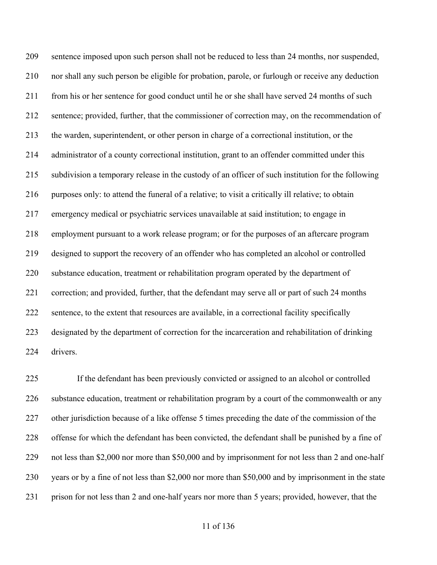sentence imposed upon such person shall not be reduced to less than 24 months, nor suspended, nor shall any such person be eligible for probation, parole, or furlough or receive any deduction from his or her sentence for good conduct until he or she shall have served 24 months of such sentence; provided, further, that the commissioner of correction may, on the recommendation of the warden, superintendent, or other person in charge of a correctional institution, or the administrator of a county correctional institution, grant to an offender committed under this subdivision a temporary release in the custody of an officer of such institution for the following purposes only: to attend the funeral of a relative; to visit a critically ill relative; to obtain emergency medical or psychiatric services unavailable at said institution; to engage in employment pursuant to a work release program; or for the purposes of an aftercare program designed to support the recovery of an offender who has completed an alcohol or controlled substance education, treatment or rehabilitation program operated by the department of correction; and provided, further, that the defendant may serve all or part of such 24 months sentence, to the extent that resources are available, in a correctional facility specifically designated by the department of correction for the incarceration and rehabilitation of drinking drivers.

 If the defendant has been previously convicted or assigned to an alcohol or controlled substance education, treatment or rehabilitation program by a court of the commonwealth or any other jurisdiction because of a like offense 5 times preceding the date of the commission of the offense for which the defendant has been convicted, the defendant shall be punished by a fine of not less than \$2,000 nor more than \$50,000 and by imprisonment for not less than 2 and one-half years or by a fine of not less than \$2,000 nor more than \$50,000 and by imprisonment in the state prison for not less than 2 and one-half years nor more than 5 years; provided, however, that the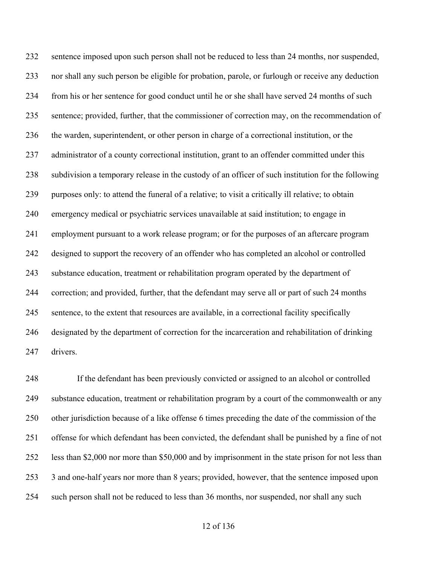sentence imposed upon such person shall not be reduced to less than 24 months, nor suspended, nor shall any such person be eligible for probation, parole, or furlough or receive any deduction from his or her sentence for good conduct until he or she shall have served 24 months of such sentence; provided, further, that the commissioner of correction may, on the recommendation of the warden, superintendent, or other person in charge of a correctional institution, or the administrator of a county correctional institution, grant to an offender committed under this subdivision a temporary release in the custody of an officer of such institution for the following purposes only: to attend the funeral of a relative; to visit a critically ill relative; to obtain emergency medical or psychiatric services unavailable at said institution; to engage in employment pursuant to a work release program; or for the purposes of an aftercare program designed to support the recovery of an offender who has completed an alcohol or controlled substance education, treatment or rehabilitation program operated by the department of correction; and provided, further, that the defendant may serve all or part of such 24 months sentence, to the extent that resources are available, in a correctional facility specifically designated by the department of correction for the incarceration and rehabilitation of drinking drivers.

 If the defendant has been previously convicted or assigned to an alcohol or controlled substance education, treatment or rehabilitation program by a court of the commonwealth or any other jurisdiction because of a like offense 6 times preceding the date of the commission of the offense for which defendant has been convicted, the defendant shall be punished by a fine of not less than \$2,000 nor more than \$50,000 and by imprisonment in the state prison for not less than 3 and one-half years nor more than 8 years; provided, however, that the sentence imposed upon such person shall not be reduced to less than 36 months, nor suspended, nor shall any such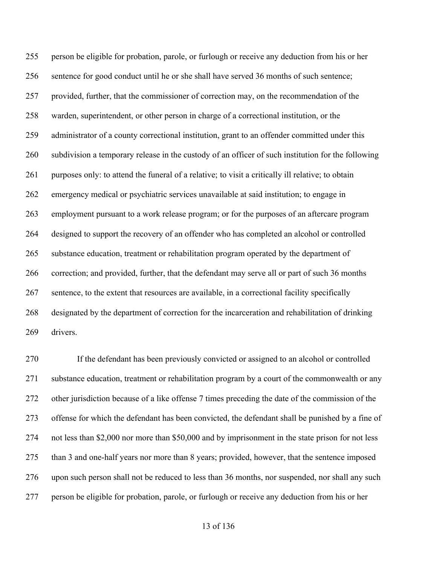person be eligible for probation, parole, or furlough or receive any deduction from his or her sentence for good conduct until he or she shall have served 36 months of such sentence; provided, further, that the commissioner of correction may, on the recommendation of the warden, superintendent, or other person in charge of a correctional institution, or the administrator of a county correctional institution, grant to an offender committed under this subdivision a temporary release in the custody of an officer of such institution for the following purposes only: to attend the funeral of a relative; to visit a critically ill relative; to obtain emergency medical or psychiatric services unavailable at said institution; to engage in employment pursuant to a work release program; or for the purposes of an aftercare program designed to support the recovery of an offender who has completed an alcohol or controlled substance education, treatment or rehabilitation program operated by the department of correction; and provided, further, that the defendant may serve all or part of such 36 months sentence, to the extent that resources are available, in a correctional facility specifically designated by the department of correction for the incarceration and rehabilitation of drinking drivers.

 If the defendant has been previously convicted or assigned to an alcohol or controlled substance education, treatment or rehabilitation program by a court of the commonwealth or any other jurisdiction because of a like offense 7 times preceding the date of the commission of the offense for which the defendant has been convicted, the defendant shall be punished by a fine of not less than \$2,000 nor more than \$50,000 and by imprisonment in the state prison for not less than 3 and one-half years nor more than 8 years; provided, however, that the sentence imposed upon such person shall not be reduced to less than 36 months, nor suspended, nor shall any such person be eligible for probation, parole, or furlough or receive any deduction from his or her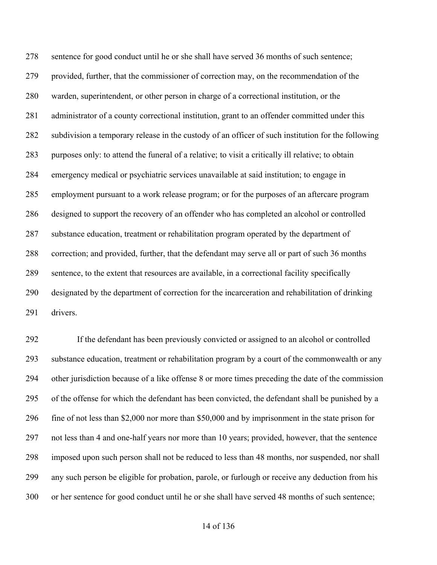sentence for good conduct until he or she shall have served 36 months of such sentence; provided, further, that the commissioner of correction may, on the recommendation of the warden, superintendent, or other person in charge of a correctional institution, or the administrator of a county correctional institution, grant to an offender committed under this subdivision a temporary release in the custody of an officer of such institution for the following purposes only: to attend the funeral of a relative; to visit a critically ill relative; to obtain emergency medical or psychiatric services unavailable at said institution; to engage in employment pursuant to a work release program; or for the purposes of an aftercare program designed to support the recovery of an offender who has completed an alcohol or controlled substance education, treatment or rehabilitation program operated by the department of correction; and provided, further, that the defendant may serve all or part of such 36 months sentence, to the extent that resources are available, in a correctional facility specifically designated by the department of correction for the incarceration and rehabilitation of drinking drivers.

 If the defendant has been previously convicted or assigned to an alcohol or controlled substance education, treatment or rehabilitation program by a court of the commonwealth or any other jurisdiction because of a like offense 8 or more times preceding the date of the commission of the offense for which the defendant has been convicted, the defendant shall be punished by a fine of not less than \$2,000 nor more than \$50,000 and by imprisonment in the state prison for not less than 4 and one-half years nor more than 10 years; provided, however, that the sentence imposed upon such person shall not be reduced to less than 48 months, nor suspended, nor shall any such person be eligible for probation, parole, or furlough or receive any deduction from his or her sentence for good conduct until he or she shall have served 48 months of such sentence;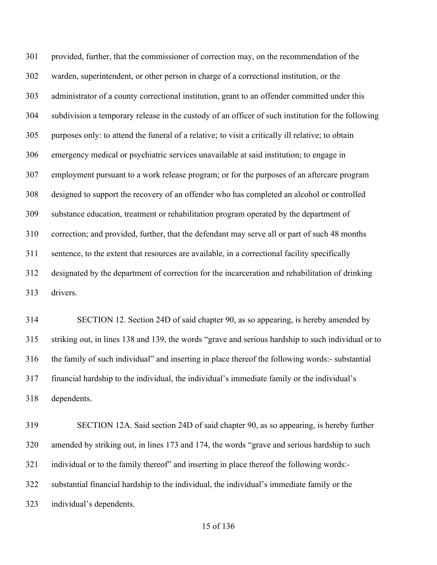provided, further, that the commissioner of correction may, on the recommendation of the warden, superintendent, or other person in charge of a correctional institution, or the administrator of a county correctional institution, grant to an offender committed under this subdivision a temporary release in the custody of an officer of such institution for the following purposes only: to attend the funeral of a relative; to visit a critically ill relative; to obtain emergency medical or psychiatric services unavailable at said institution; to engage in employment pursuant to a work release program; or for the purposes of an aftercare program designed to support the recovery of an offender who has completed an alcohol or controlled substance education, treatment or rehabilitation program operated by the department of correction; and provided, further, that the defendant may serve all or part of such 48 months sentence, to the extent that resources are available, in a correctional facility specifically designated by the department of correction for the incarceration and rehabilitation of drinking drivers.

 SECTION 12. Section 24D of said chapter 90, as so appearing, is hereby amended by striking out, in lines 138 and 139, the words "grave and serious hardship to such individual or to the family of such individual" and inserting in place thereof the following words:- substantial financial hardship to the individual, the individual's immediate family or the individual's dependents.

 SECTION 12A. Said section 24D of said chapter 90, as so appearing, is hereby further amended by striking out, in lines 173 and 174, the words "grave and serious hardship to such 321 individual or to the family thereof" and inserting in place thereof the following words:- substantial financial hardship to the individual, the individual's immediate family or the individual's dependents.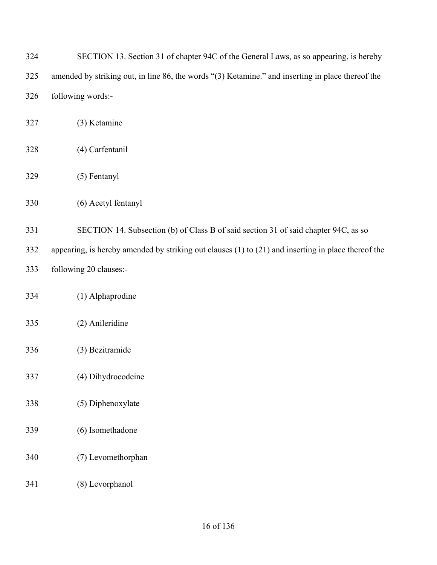| 324 | SECTION 13. Section 31 of chapter 94C of the General Laws, as so appearing, is hereby                   |
|-----|---------------------------------------------------------------------------------------------------------|
| 325 | amended by striking out, in line 86, the words "(3) Ketamine." and inserting in place thereof the       |
| 326 | following words:-                                                                                       |
| 327 | (3) Ketamine                                                                                            |
| 328 | (4) Carfentanil                                                                                         |
| 329 | (5) Fentanyl                                                                                            |
| 330 | (6) Acetyl fentanyl                                                                                     |
| 331 | SECTION 14. Subsection (b) of Class B of said section 31 of said chapter 94C, as so                     |
| 332 | appearing, is hereby amended by striking out clauses $(1)$ to $(21)$ and inserting in place thereof the |
| 333 | following 20 clauses:-                                                                                  |
| 334 | (1) Alphaprodine                                                                                        |
| 335 | (2) Anileridine                                                                                         |
| 336 | (3) Bezitramide                                                                                         |
| 337 | (4) Dihydrocodeine                                                                                      |
| 338 | (5) Diphenoxylate                                                                                       |
| 339 | (6) Isomethadone                                                                                        |
| 340 | (7) Levomethorphan                                                                                      |
| 341 | (8) Levorphanol                                                                                         |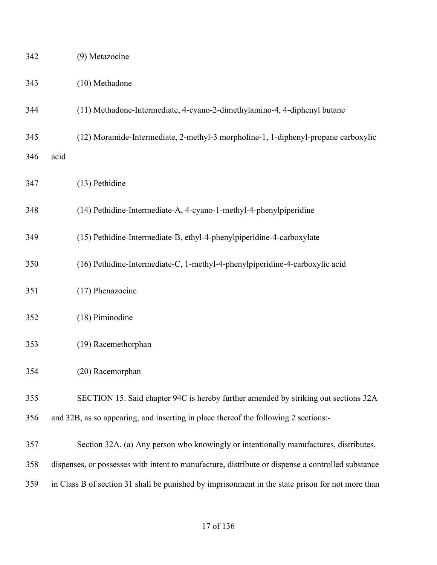| 342 |      | (9) Metazocine                                                                                    |
|-----|------|---------------------------------------------------------------------------------------------------|
| 343 |      | (10) Methadone                                                                                    |
| 344 |      | (11) Methadone-Intermediate, 4-cyano-2-dimethylamino-4, 4-diphenyl butane                         |
| 345 |      | (12) Moramide-Intermediate, 2-methyl-3 morpholine-1, 1-diphenyl-propane carboxylic                |
| 346 | acid |                                                                                                   |
| 347 |      | (13) Pethidine                                                                                    |
| 348 |      | (14) Pethidine-Intermediate-A, 4-cyano-1-methyl-4-phenylpiperidine                                |
| 349 |      | (15) Pethidine-Intermediate-B, ethyl-4-phenylpiperidine-4-carboxylate                             |
| 350 |      | (16) Pethidine-Intermediate-C, 1-methyl-4-phenylpiperidine-4-carboxylic acid                      |
| 351 |      | (17) Phenazocine                                                                                  |
| 352 |      | (18) Piminodine                                                                                   |
| 353 |      | (19) Racemethorphan                                                                               |
| 354 |      | (20) Racemorphan                                                                                  |
| 355 |      | SECTION 15. Said chapter 94C is hereby further amended by striking out sections 32A               |
| 356 |      | and 32B, as so appearing, and inserting in place thereof the following 2 sections:-               |
| 357 |      | Section 32A. (a) Any person who knowingly or intentionally manufactures, distributes,             |
| 358 |      | dispenses, or possesses with intent to manufacture, distribute or dispense a controlled substance |
| 359 |      | in Class B of section 31 shall be punished by imprisonment in the state prison for not more than  |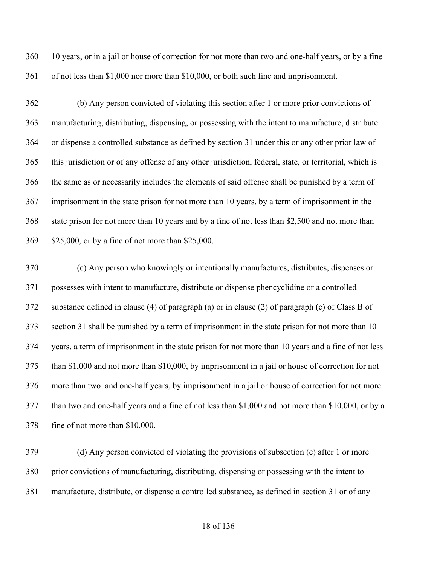10 years, or in a jail or house of correction for not more than two and one-half years, or by a fine of not less than \$1,000 nor more than \$10,000, or both such fine and imprisonment.

 (b) Any person convicted of violating this section after 1 or more prior convictions of manufacturing, distributing, dispensing, or possessing with the intent to manufacture, distribute or dispense a controlled substance as defined by section 31 under this or any other prior law of this jurisdiction or of any offense of any other jurisdiction, federal, state, or territorial, which is the same as or necessarily includes the elements of said offense shall be punished by a term of imprisonment in the state prison for not more than 10 years, by a term of imprisonment in the state prison for not more than 10 years and by a fine of not less than \$2,500 and not more than \$25,000, or by a fine of not more than \$25,000.

 (c) Any person who knowingly or intentionally manufactures, distributes, dispenses or possesses with intent to manufacture, distribute or dispense phencyclidine or a controlled substance defined in clause (4) of paragraph (a) or in clause (2) of paragraph (c) of Class B of section 31 shall be punished by a term of imprisonment in the state prison for not more than 10 years, a term of imprisonment in the state prison for not more than 10 years and a fine of not less than \$1,000 and not more than \$10,000, by imprisonment in a jail or house of correction for not more than two and one-half years, by imprisonment in a jail or house of correction for not more than two and one-half years and a fine of not less than \$1,000 and not more than \$10,000, or by a fine of not more than \$10,000.

 (d) Any person convicted of violating the provisions of subsection (c) after 1 or more prior convictions of manufacturing, distributing, dispensing or possessing with the intent to manufacture, distribute, or dispense a controlled substance, as defined in section 31 or of any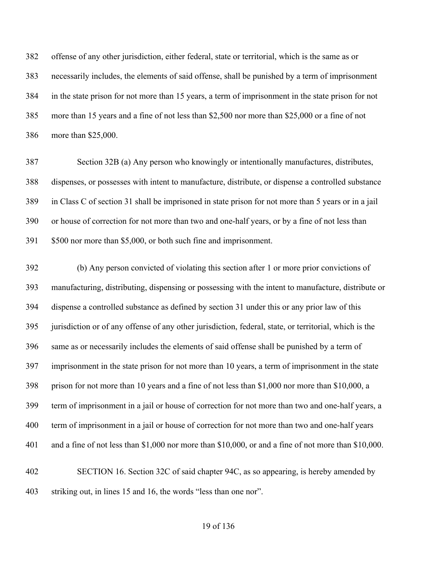offense of any other jurisdiction, either federal, state or territorial, which is the same as or necessarily includes, the elements of said offense, shall be punished by a term of imprisonment in the state prison for not more than 15 years, a term of imprisonment in the state prison for not more than 15 years and a fine of not less than \$2,500 nor more than \$25,000 or a fine of not more than \$25,000.

 Section 32B (a) Any person who knowingly or intentionally manufactures, distributes, dispenses, or possesses with intent to manufacture, distribute, or dispense a controlled substance in Class C of section 31 shall be imprisoned in state prison for not more than 5 years or in a jail or house of correction for not more than two and one-half years, or by a fine of not less than \$500 nor more than \$5,000, or both such fine and imprisonment.

 (b) Any person convicted of violating this section after 1 or more prior convictions of manufacturing, distributing, dispensing or possessing with the intent to manufacture, distribute or dispense a controlled substance as defined by section 31 under this or any prior law of this jurisdiction or of any offense of any other jurisdiction, federal, state, or territorial, which is the same as or necessarily includes the elements of said offense shall be punished by a term of imprisonment in the state prison for not more than 10 years, a term of imprisonment in the state prison for not more than 10 years and a fine of not less than \$1,000 nor more than \$10,000, a term of imprisonment in a jail or house of correction for not more than two and one-half years, a term of imprisonment in a jail or house of correction for not more than two and one-half years and a fine of not less than \$1,000 nor more than \$10,000, or and a fine of not more than \$10,000. SECTION 16. Section 32C of said chapter 94C, as so appearing, is hereby amended by

striking out, in lines 15 and 16, the words "less than one nor".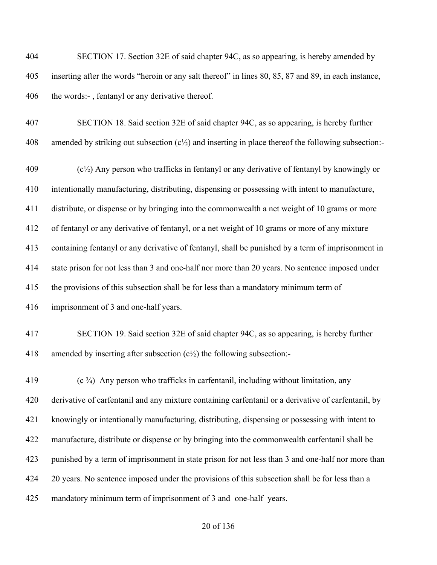SECTION 17. Section 32E of said chapter 94C, as so appearing, is hereby amended by inserting after the words "heroin or any salt thereof" in lines 80, 85, 87 and 89, in each instance, 406 the words:-, fentanyl or any derivative thereof.

 SECTION 18. Said section 32E of said chapter 94C, as so appearing, is hereby further 408 amended by striking out subsection  $(c^{1/2})$  and inserting in place thereof the following subsection:-

 (c<sup>1</sup>/<sub>2</sub>) Any person who trafficks in fentanyl or any derivative of fentanyl by knowingly or intentionally manufacturing, distributing, dispensing or possessing with intent to manufacture, distribute, or dispense or by bringing into the commonwealth a net weight of 10 grams or more of fentanyl or any derivative of fentanyl, or a net weight of 10 grams or more of any mixture containing fentanyl or any derivative of fentanyl, shall be punished by a term of imprisonment in state prison for not less than 3 and one-half nor more than 20 years. No sentence imposed under the provisions of this subsection shall be for less than a mandatory minimum term of imprisonment of 3 and one-half years.

 SECTION 19. Said section 32E of said chapter 94C, as so appearing, is hereby further 418 amended by inserting after subsection  $(c<sup>1</sup>/<sub>2</sub>)$  the following subsection:-

 (c  $\frac{3}{4}$ ) Any person who trafficks in carfentanil, including without limitation, any derivative of carfentanil and any mixture containing carfentanil or a derivative of carfentanil, by knowingly or intentionally manufacturing, distributing, dispensing or possessing with intent to manufacture, distribute or dispense or by bringing into the commonwealth carfentanil shall be punished by a term of imprisonment in state prison for not less than 3 and one-half nor more than 424 20 years. No sentence imposed under the provisions of this subsection shall be for less than a mandatory minimum term of imprisonment of 3 and one-half years.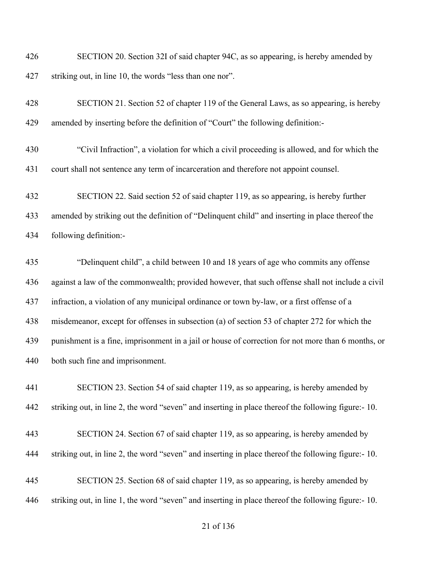SECTION 20. Section 32I of said chapter 94C, as so appearing, is hereby amended by striking out, in line 10, the words "less than one nor".

| 428 | SECTION 21. Section 52 of chapter 119 of the General Laws, as so appearing, is hereby            |
|-----|--------------------------------------------------------------------------------------------------|
| 429 | amended by inserting before the definition of "Court" the following definition:-                 |
| 430 | "Civil Infraction", a violation for which a civil proceeding is allowed, and for which the       |
| 431 | court shall not sentence any term of incarceration and therefore not appoint counsel.            |
| 432 | SECTION 22. Said section 52 of said chapter 119, as so appearing, is hereby further              |
| 433 | amended by striking out the definition of "Delinquent child" and inserting in place thereof the  |
| 434 | following definition:-                                                                           |
| 435 | "Delinquent child", a child between 10 and 18 years of age who commits any offense               |
| 436 | against a law of the commonwealth; provided however, that such offense shall not include a civil |

infraction, a violation of any municipal ordinance or town by-law, or a first offense of a

misdemeanor, except for offenses in subsection (a) of section 53 of chapter 272 for which the

 punishment is a fine, imprisonment in a jail or house of correction for not more than 6 months, or both such fine and imprisonment.

 SECTION 23. Section 54 of said chapter 119, as so appearing, is hereby amended by striking out, in line 2, the word "seven" and inserting in place thereof the following figure:- 10.

- SECTION 24. Section 67 of said chapter 119, as so appearing, is hereby amended by
- striking out, in line 2, the word "seven" and inserting in place thereof the following figure:- 10.

 SECTION 25. Section 68 of said chapter 119, as so appearing, is hereby amended by striking out, in line 1, the word "seven" and inserting in place thereof the following figure:- 10.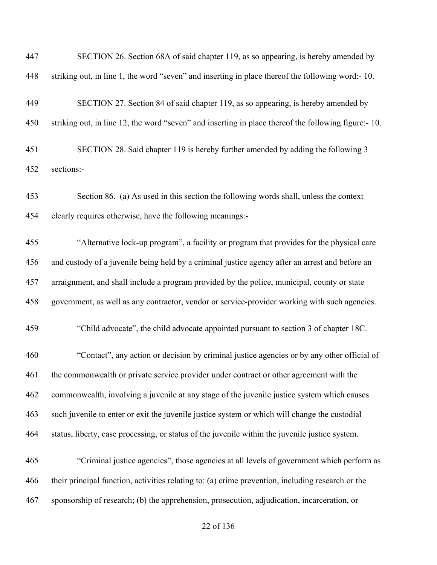| 447 | SECTION 26. Section 68A of said chapter 119, as so appearing, is hereby amended by                  |
|-----|-----------------------------------------------------------------------------------------------------|
| 448 | striking out, in line 1, the word "seven" and inserting in place thereof the following word:-10.    |
| 449 | SECTION 27. Section 84 of said chapter 119, as so appearing, is hereby amended by                   |
| 450 | striking out, in line 12, the word "seven" and inserting in place thereof the following figure:-10. |
| 451 | SECTION 28. Said chapter 119 is hereby further amended by adding the following 3                    |
| 452 | sections:-                                                                                          |
| 453 | Section 86. (a) As used in this section the following words shall, unless the context               |
| 454 | clearly requires otherwise, have the following meanings:-                                           |
| 455 | "Alternative lock-up program", a facility or program that provides for the physical care            |
| 456 | and custody of a juvenile being held by a criminal justice agency after an arrest and before an     |
| 457 | arraignment, and shall include a program provided by the police, municipal, county or state         |
| 458 | government, as well as any contractor, vendor or service-provider working with such agencies.       |
| 459 | "Child advocate", the child advocate appointed pursuant to section 3 of chapter 18C.                |
| 460 | "Contact", any action or decision by criminal justice agencies or by any other official of          |
| 461 | the commonwealth or private service provider under contract or other agreement with the             |
| 462 | commonwealth, involving a juvenile at any stage of the juvenile justice system which causes         |
| 463 | such juvenile to enter or exit the juvenile justice system or which will change the custodial       |
| 464 | status, liberty, case processing, or status of the juvenile within the juvenile justice system.     |
| 465 | "Criminal justice agencies", those agencies at all levels of government which perform as            |
| 466 | their principal function, activities relating to: (a) crime prevention, including research or the   |
| 467 | sponsorship of research; (b) the apprehension, prosecution, adjudication, incarceration, or         |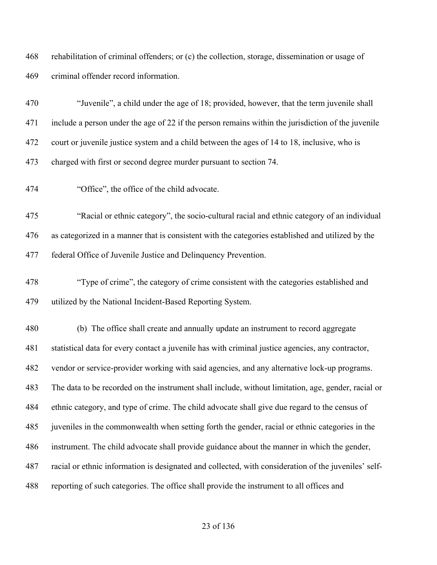rehabilitation of criminal offenders; or (c) the collection, storage, dissemination or usage of criminal offender record information.

| 470 | "Juvenile", a child under the age of 18; provided, however, that the term juvenile shall             |
|-----|------------------------------------------------------------------------------------------------------|
| 471 | include a person under the age of 22 if the person remains within the jurisdiction of the juvenile   |
| 472 | court or juvenile justice system and a child between the ages of 14 to 18, inclusive, who is         |
| 473 | charged with first or second degree murder pursuant to section 74.                                   |
| 474 | "Office", the office of the child advocate.                                                          |
| 475 | "Racial or ethnic category", the socio-cultural racial and ethnic category of an individual          |
| 476 | as categorized in a manner that is consistent with the categories established and utilized by the    |
| 477 | federal Office of Juvenile Justice and Delinquency Prevention.                                       |
| 478 | "Type of crime", the category of crime consistent with the categories established and                |
| 479 | utilized by the National Incident-Based Reporting System.                                            |
| 480 | (b) The office shall create and annually update an instrument to record aggregate                    |
| 481 | statistical data for every contact a juvenile has with criminal justice agencies, any contractor,    |
| 482 | vendor or service-provider working with said agencies, and any alternative lock-up programs.         |
| 483 | The data to be recorded on the instrument shall include, without limitation, age, gender, racial or  |
| 484 | ethnic category, and type of crime. The child advocate shall give due regard to the census of        |
| 485 | juveniles in the commonwealth when setting forth the gender, racial or ethnic categories in the      |
| 486 | instrument. The child advocate shall provide guidance about the manner in which the gender,          |
| 487 | racial or ethnic information is designated and collected, with consideration of the juveniles' self- |
| 488 | reporting of such categories. The office shall provide the instrument to all offices and             |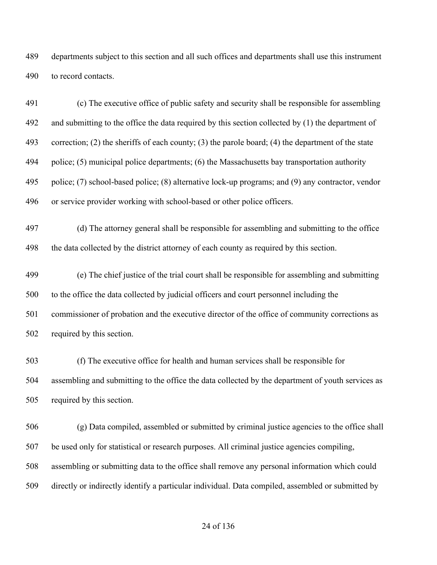departments subject to this section and all such offices and departments shall use this instrument to record contacts.

 (c) The executive office of public safety and security shall be responsible for assembling 492 and submitting to the office the data required by this section collected by (1) the department of correction; (2) the sheriffs of each county; (3) the parole board; (4) the department of the state police; (5) municipal police departments; (6) the Massachusetts bay transportation authority police; (7) school-based police; (8) alternative lock-up programs; and (9) any contractor, vendor or service provider working with school-based or other police officers.

 (d) The attorney general shall be responsible for assembling and submitting to the office the data collected by the district attorney of each county as required by this section.

 (e) The chief justice of the trial court shall be responsible for assembling and submitting to the office the data collected by judicial officers and court personnel including the commissioner of probation and the executive director of the office of community corrections as required by this section.

 (f) The executive office for health and human services shall be responsible for assembling and submitting to the office the data collected by the department of youth services as required by this section.

 (g) Data compiled, assembled or submitted by criminal justice agencies to the office shall be used only for statistical or research purposes. All criminal justice agencies compiling, assembling or submitting data to the office shall remove any personal information which could directly or indirectly identify a particular individual. Data compiled, assembled or submitted by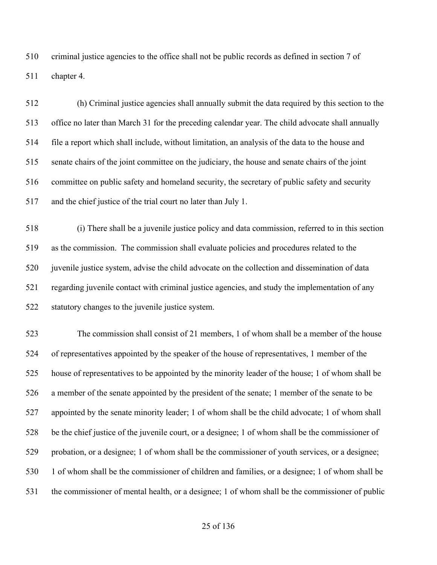criminal justice agencies to the office shall not be public records as defined in section 7 of chapter 4.

 (h) Criminal justice agencies shall annually submit the data required by this section to the office no later than March 31 for the preceding calendar year. The child advocate shall annually file a report which shall include, without limitation, an analysis of the data to the house and senate chairs of the joint committee on the judiciary, the house and senate chairs of the joint committee on public safety and homeland security, the secretary of public safety and security and the chief justice of the trial court no later than July 1.

 (i) There shall be a juvenile justice policy and data commission, referred to in this section as the commission. The commission shall evaluate policies and procedures related to the juvenile justice system, advise the child advocate on the collection and dissemination of data regarding juvenile contact with criminal justice agencies, and study the implementation of any statutory changes to the juvenile justice system.

 The commission shall consist of 21 members, 1 of whom shall be a member of the house of representatives appointed by the speaker of the house of representatives, 1 member of the house of representatives to be appointed by the minority leader of the house; 1 of whom shall be a member of the senate appointed by the president of the senate; 1 member of the senate to be appointed by the senate minority leader; 1 of whom shall be the child advocate; 1 of whom shall be the chief justice of the juvenile court, or a designee; 1 of whom shall be the commissioner of probation, or a designee; 1 of whom shall be the commissioner of youth services, or a designee; 1 of whom shall be the commissioner of children and families, or a designee; 1 of whom shall be the commissioner of mental health, or a designee; 1 of whom shall be the commissioner of public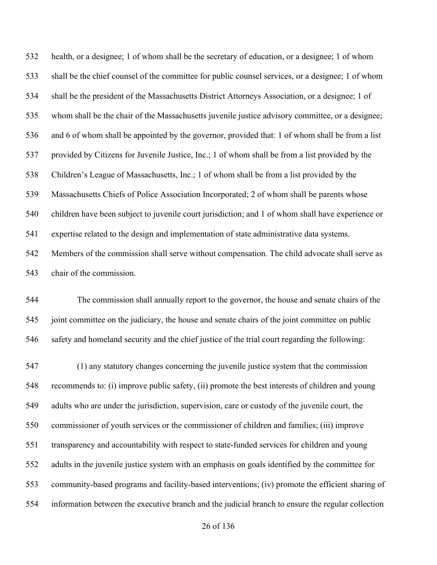health, or a designee; 1 of whom shall be the secretary of education, or a designee; 1 of whom shall be the chief counsel of the committee for public counsel services, or a designee; 1 of whom shall be the president of the Massachusetts District Attorneys Association, or a designee; 1 of whom shall be the chair of the Massachusetts juvenile justice advisory committee, or a designee; and 6 of whom shall be appointed by the governor, provided that: 1 of whom shall be from a list provided by Citizens for Juvenile Justice, Inc.; 1 of whom shall be from a list provided by the Children's League of Massachusetts, Inc.; 1 of whom shall be from a list provided by the Massachusetts Chiefs of Police Association Incorporated; 2 of whom shall be parents whose children have been subject to juvenile court jurisdiction; and 1 of whom shall have experience or expertise related to the design and implementation of state administrative data systems. Members of the commission shall serve without compensation. The child advocate shall serve as chair of the commission.

 The commission shall annually report to the governor, the house and senate chairs of the joint committee on the judiciary, the house and senate chairs of the joint committee on public safety and homeland security and the chief justice of the trial court regarding the following:

 (1) any statutory changes concerning the juvenile justice system that the commission recommends to: (i) improve public safety, (ii) promote the best interests of children and young adults who are under the jurisdiction, supervision, care or custody of the juvenile court, the commissioner of youth services or the commissioner of children and families; (iii) improve transparency and accountability with respect to state-funded services for children and young adults in the juvenile justice system with an emphasis on goals identified by the committee for community-based programs and facility-based interventions; (iv) promote the efficient sharing of information between the executive branch and the judicial branch to ensure the regular collection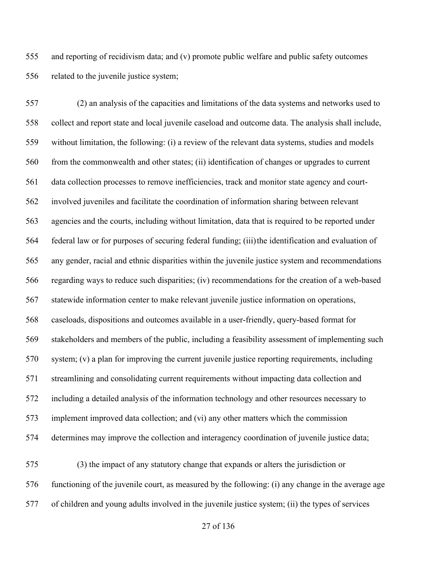and reporting of recidivism data; and (v) promote public welfare and public safety outcomes related to the juvenile justice system;

 (2) an analysis of the capacities and limitations of the data systems and networks used to collect and report state and local juvenile caseload and outcome data. The analysis shall include, without limitation, the following: (i) a review of the relevant data systems, studies and models from the commonwealth and other states; (ii) identification of changes or upgrades to current data collection processes to remove inefficiencies, track and monitor state agency and court- involved juveniles and facilitate the coordination of information sharing between relevant agencies and the courts, including without limitation, data that is required to be reported under federal law or for purposes of securing federal funding; (iii)the identification and evaluation of any gender, racial and ethnic disparities within the juvenile justice system and recommendations regarding ways to reduce such disparities; (iv) recommendations for the creation of a web-based statewide information center to make relevant juvenile justice information on operations, caseloads, dispositions and outcomes available in a user-friendly, query-based format for stakeholders and members of the public, including a feasibility assessment of implementing such system; (v) a plan for improving the current juvenile justice reporting requirements, including streamlining and consolidating current requirements without impacting data collection and including a detailed analysis of the information technology and other resources necessary to implement improved data collection; and (vi) any other matters which the commission determines may improve the collection and interagency coordination of juvenile justice data;

 (3) the impact of any statutory change that expands or alters the jurisdiction or functioning of the juvenile court, as measured by the following: (i) any change in the average age of children and young adults involved in the juvenile justice system; (ii) the types of services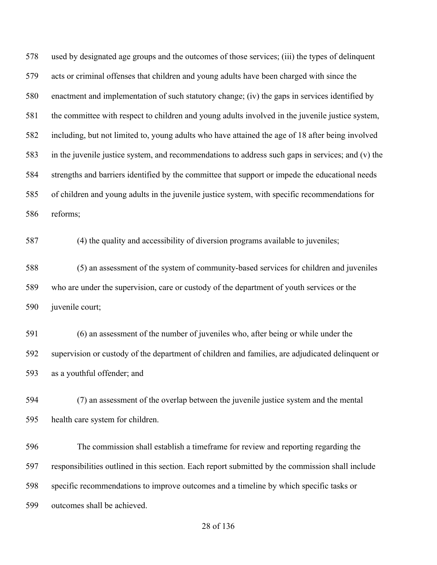used by designated age groups and the outcomes of those services; (iii) the types of delinquent acts or criminal offenses that children and young adults have been charged with since the enactment and implementation of such statutory change; (iv) the gaps in services identified by the committee with respect to children and young adults involved in the juvenile justice system, including, but not limited to, young adults who have attained the age of 18 after being involved in the juvenile justice system, and recommendations to address such gaps in services; and (v) the strengths and barriers identified by the committee that support or impede the educational needs of children and young adults in the juvenile justice system, with specific recommendations for reforms;

(4) the quality and accessibility of diversion programs available to juveniles;

 (5) an assessment of the system of community-based services for children and juveniles who are under the supervision, care or custody of the department of youth services or the juvenile court;

 (6) an assessment of the number of juveniles who, after being or while under the supervision or custody of the department of children and families, are adjudicated delinquent or as a youthful offender; and

 (7) an assessment of the overlap between the juvenile justice system and the mental health care system for children.

 The commission shall establish a timeframe for review and reporting regarding the responsibilities outlined in this section. Each report submitted by the commission shall include specific recommendations to improve outcomes and a timeline by which specific tasks or outcomes shall be achieved.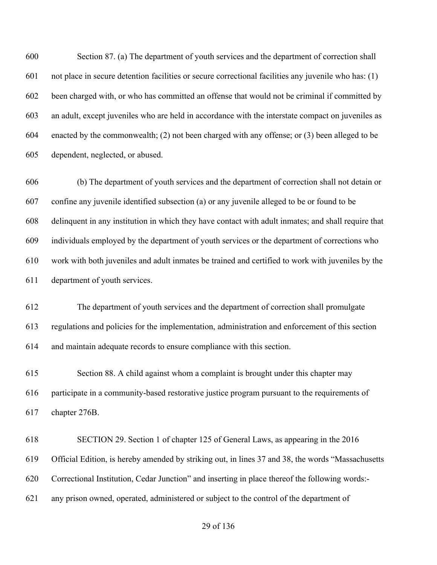Section 87. (a) The department of youth services and the department of correction shall not place in secure detention facilities or secure correctional facilities any juvenile who has: (1) been charged with, or who has committed an offense that would not be criminal if committed by an adult, except juveniles who are held in accordance with the interstate compact on juveniles as enacted by the commonwealth; (2) not been charged with any offense; or (3) been alleged to be dependent, neglected, or abused.

 (b) The department of youth services and the department of correction shall not detain or confine any juvenile identified subsection (a) or any juvenile alleged to be or found to be delinquent in any institution in which they have contact with adult inmates; and shall require that individuals employed by the department of youth services or the department of corrections who work with both juveniles and adult inmates be trained and certified to work with juveniles by the department of youth services.

 The department of youth services and the department of correction shall promulgate regulations and policies for the implementation, administration and enforcement of this section and maintain adequate records to ensure compliance with this section.

 Section 88. A child against whom a complaint is brought under this chapter may participate in a community-based restorative justice program pursuant to the requirements of chapter 276B.

 SECTION 29. Section 1 of chapter 125 of General Laws, as appearing in the 2016 Official Edition, is hereby amended by striking out, in lines 37 and 38, the words "Massachusetts Correctional Institution, Cedar Junction" and inserting in place thereof the following words:- any prison owned, operated, administered or subject to the control of the department of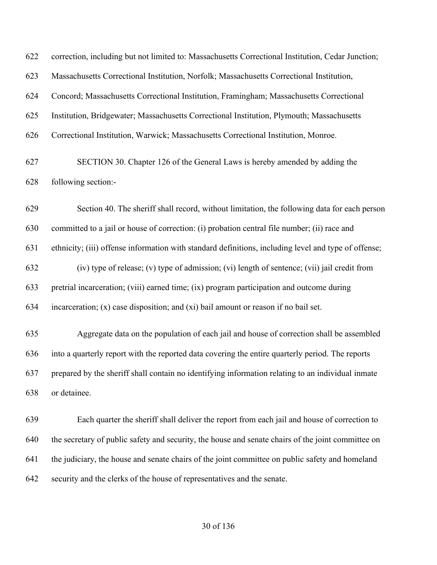| 622        | correction, including but not limited to: Massachusetts Correctional Institution, Cedar Junction;    |
|------------|------------------------------------------------------------------------------------------------------|
| 623        | Massachusetts Correctional Institution, Norfolk; Massachusetts Correctional Institution,             |
| 624        | Concord; Massachusetts Correctional Institution, Framingham; Massachusetts Correctional              |
| 625        | Institution, Bridgewater; Massachusetts Correctional Institution, Plymouth; Massachusetts            |
| 626        | Correctional Institution, Warwick; Massachusetts Correctional Institution, Monroe.                   |
| 627<br>628 | SECTION 30. Chapter 126 of the General Laws is hereby amended by adding the<br>following section:-   |
| 629        | Section 40. The sheriff shall record, without limitation, the following data for each person         |
| 630        | committed to a jail or house of correction: (i) probation central file number; (ii) race and         |
| 631        | ethnicity; (iii) offense information with standard definitions, including level and type of offense; |
| 632        | (iv) type of release; (v) type of admission; (vi) length of sentence; (vii) jail credit from         |
| 633        | pretrial incarceration; (viii) earned time; (ix) program participation and outcome during            |
| 634        | incarceration; $(x)$ case disposition; and $(xi)$ bail amount or reason if no bail set.              |
| 635        | Aggregate data on the population of each jail and house of correction shall be assembled             |
| 636        | into a quarterly report with the reported data covering the entire quarterly period. The reports     |
| 637        | prepared by the sheriff shall contain no identifying information relating to an individual inmate    |
| 638        | or detainee.                                                                                         |
| 639        | Each quarter the sheriff shall deliver the report from each jail and house of correction to          |
| 640        | the secretary of public safety and security, the house and senate chairs of the joint committee on   |
| 641        | the judiciary, the house and senate chairs of the joint committee on public safety and homeland      |
| 642        | security and the clerks of the house of representatives and the senate.                              |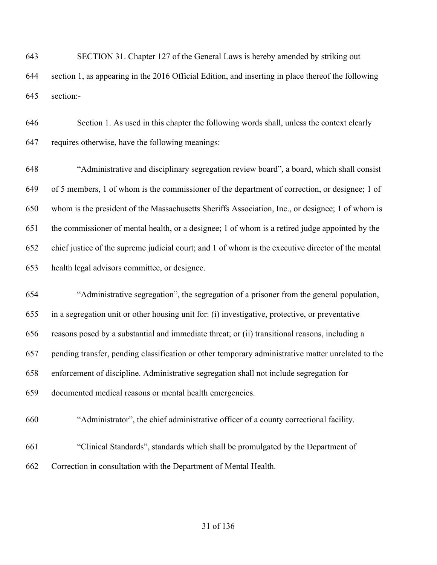SECTION 31. Chapter 127 of the General Laws is hereby amended by striking out section 1, as appearing in the 2016 Official Edition, and inserting in place thereof the following section:-

 Section 1. As used in this chapter the following words shall, unless the context clearly requires otherwise, have the following meanings:

 "Administrative and disciplinary segregation review board", a board, which shall consist of 5 members, 1 of whom is the commissioner of the department of correction, or designee; 1 of whom is the president of the Massachusetts Sheriffs Association, Inc., or designee; 1 of whom is the commissioner of mental health, or a designee; 1 of whom is a retired judge appointed by the chief justice of the supreme judicial court; and 1 of whom is the executive director of the mental health legal advisors committee, or designee.

 "Administrative segregation", the segregation of a prisoner from the general population, in a segregation unit or other housing unit for: (i) investigative, protective, or preventative reasons posed by a substantial and immediate threat; or (ii) transitional reasons, including a pending transfer, pending classification or other temporary administrative matter unrelated to the enforcement of discipline. Administrative segregation shall not include segregation for documented medical reasons or mental health emergencies.

- "Administrator", the chief administrative officer of a county correctional facility.
- "Clinical Standards", standards which shall be promulgated by the Department of Correction in consultation with the Department of Mental Health.
	- of 136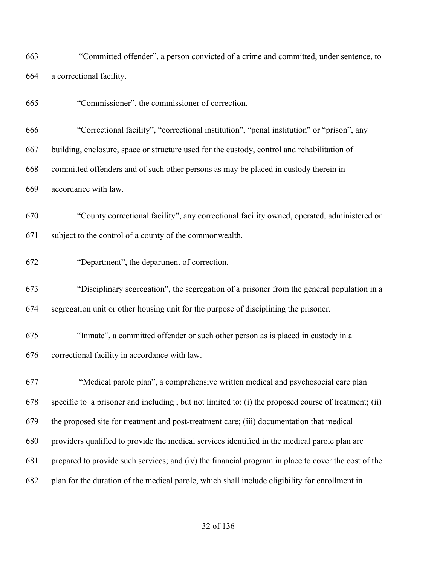| 663        | "Committed offender", a person convicted of a crime and committed, under sentence, to                                                                 |
|------------|-------------------------------------------------------------------------------------------------------------------------------------------------------|
| 664        | a correctional facility.                                                                                                                              |
| 665        | "Commissioner", the commissioner of correction.                                                                                                       |
| 666        | "Correctional facility", "correctional institution", "penal institution" or "prison", any                                                             |
| 667        | building, enclosure, space or structure used for the custody, control and rehabilitation of                                                           |
| 668        | committed offenders and of such other persons as may be placed in custody therein in                                                                  |
| 669        | accordance with law.                                                                                                                                  |
| 670<br>671 | "County correctional facility", any correctional facility owned, operated, administered or<br>subject to the control of a county of the commonwealth. |
| 672        | "Department", the department of correction.                                                                                                           |
| 673        | "Disciplinary segregation", the segregation of a prisoner from the general population in a                                                            |
| 674        | segregation unit or other housing unit for the purpose of disciplining the prisoner.                                                                  |
| 675<br>676 | "Inmate", a committed offender or such other person as is placed in custody in a<br>correctional facility in accordance with law.                     |
| 677        | "Medical parole plan", a comprehensive written medical and psychosocial care plan                                                                     |
| 678        | specific to a prisoner and including, but not limited to: (i) the proposed course of treatment; (ii)                                                  |
| 679        | the proposed site for treatment and post-treatment care; (iii) documentation that medical                                                             |
| 680        | providers qualified to provide the medical services identified in the medical parole plan are                                                         |
| 681        | prepared to provide such services; and (iv) the financial program in place to cover the cost of the                                                   |
| 682        | plan for the duration of the medical parole, which shall include eligibility for enrollment in                                                        |
|            |                                                                                                                                                       |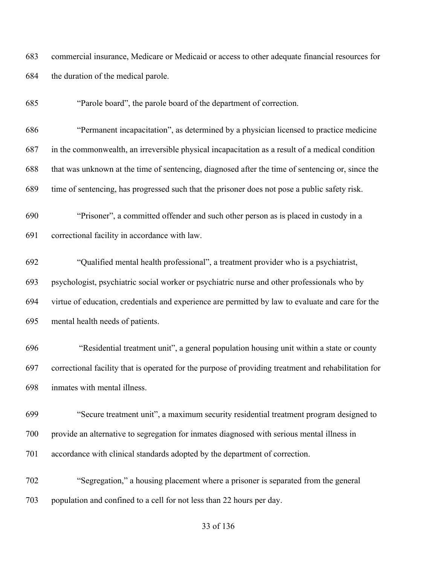commercial insurance, Medicare or Medicaid or access to other adequate financial resources for the duration of the medical parole.

"Parole board", the parole board of the department of correction.

 "Permanent incapacitation", as determined by a physician licensed to practice medicine in the commonwealth, an irreversible physical incapacitation as a result of a medical condition that was unknown at the time of sentencing, diagnosed after the time of sentencing or, since the time of sentencing, has progressed such that the prisoner does not pose a public safety risk.

 "Prisoner", a committed offender and such other person as is placed in custody in a correctional facility in accordance with law.

 "Qualified mental health professional", a treatment provider who is a psychiatrist, psychologist, psychiatric social worker or psychiatric nurse and other professionals who by virtue of education, credentials and experience are permitted by law to evaluate and care for the mental health needs of patients.

 "Residential treatment unit", a general population housing unit within a state or county correctional facility that is operated for the purpose of providing treatment and rehabilitation for inmates with mental illness.

 "Secure treatment unit", a maximum security residential treatment program designed to provide an alternative to segregation for inmates diagnosed with serious mental illness in accordance with clinical standards adopted by the department of correction.

 "Segregation," a housing placement where a prisoner is separated from the general population and confined to a cell for not less than 22 hours per day.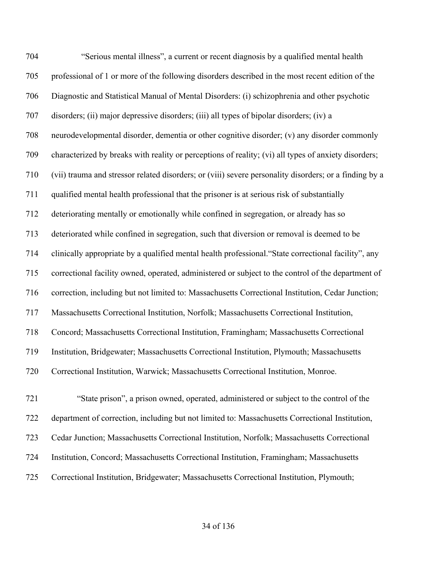704 "Serious mental illness", a current or recent diagnosis by a qualified mental health professional of 1 or more of the following disorders described in the most recent edition of the Diagnostic and Statistical Manual of Mental Disorders: (i) schizophrenia and other psychotic disorders; (ii) major depressive disorders; (iii) all types of bipolar disorders; (iv) a neurodevelopmental disorder, dementia or other cognitive disorder; (v) any disorder commonly characterized by breaks with reality or perceptions of reality; (vi) all types of anxiety disorders; (vii) trauma and stressor related disorders; or (viii) severe personality disorders; or a finding by a qualified mental health professional that the prisoner is at serious risk of substantially deteriorating mentally or emotionally while confined in segregation, or already has so deteriorated while confined in segregation, such that diversion or removal is deemed to be clinically appropriate by a qualified mental health professional."State correctional facility", any correctional facility owned, operated, administered or subject to the control of the department of correction, including but not limited to: Massachusetts Correctional Institution, Cedar Junction; Massachusetts Correctional Institution, Norfolk; Massachusetts Correctional Institution, Concord; Massachusetts Correctional Institution, Framingham; Massachusetts Correctional Institution, Bridgewater; Massachusetts Correctional Institution, Plymouth; Massachusetts Correctional Institution, Warwick; Massachusetts Correctional Institution, Monroe. "State prison", a prison owned, operated, administered or subject to the control of the department of correction, including but not limited to: Massachusetts Correctional Institution,

Cedar Junction; Massachusetts Correctional Institution, Norfolk; Massachusetts Correctional

- Institution, Concord; Massachusetts Correctional Institution, Framingham; Massachusetts
- Correctional Institution, Bridgewater; Massachusetts Correctional Institution, Plymouth;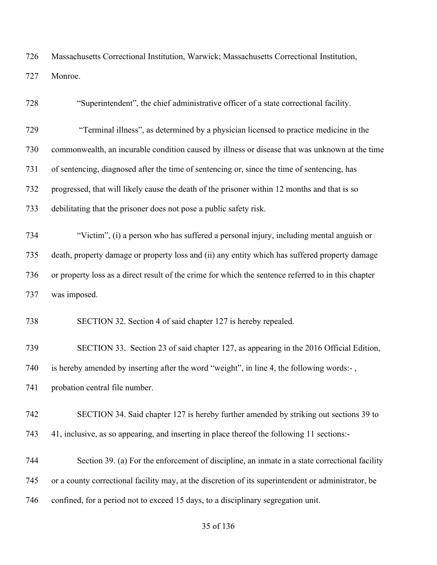Massachusetts Correctional Institution, Warwick; Massachusetts Correctional Institution, Monroe.

| 728 | "Superintendent", the chief administrative officer of a state correctional facility.                |
|-----|-----------------------------------------------------------------------------------------------------|
| 729 | "Terminal illness", as determined by a physician licensed to practice medicine in the               |
| 730 | commonwealth, an incurable condition caused by illness or disease that was unknown at the time      |
| 731 | of sentencing, diagnosed after the time of sentencing or, since the time of sentencing, has         |
| 732 | progressed, that will likely cause the death of the prisoner within 12 months and that is so        |
| 733 | debilitating that the prisoner does not pose a public safety risk.                                  |
| 734 | "Victim", (i) a person who has suffered a personal injury, including mental anguish or              |
| 735 | death, property damage or property loss and (ii) any entity which has suffered property damage      |
| 736 | or property loss as a direct result of the crime for which the sentence referred to in this chapter |
| 737 | was imposed.                                                                                        |
| 738 | SECTION 32. Section 4 of said chapter 127 is hereby repealed.                                       |
| 739 | SECTION 33. Section 23 of said chapter 127, as appearing in the 2016 Official Edition,              |
| 740 | is hereby amended by inserting after the word "weight", in line 4, the following words:-,           |
| 741 | probation central file number.                                                                      |
| 742 | SECTION 34. Said chapter 127 is hereby further amended by striking out sections 39 to               |
| 743 | 41, inclusive, as so appearing, and inserting in place thereof the following 11 sections:-          |
| 744 | Section 39. (a) For the enforcement of discipline, an inmate in a state correctional facility       |
| 745 | or a county correctional facility may, at the discretion of its superintendent or administrator, be |
| 746 | confined, for a period not to exceed 15 days, to a disciplinary segregation unit.                   |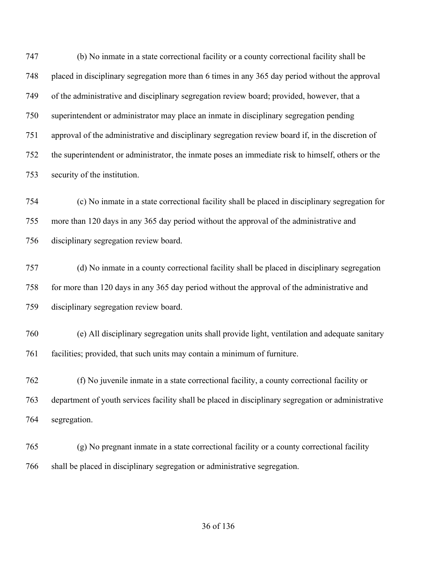(b) No inmate in a state correctional facility or a county correctional facility shall be placed in disciplinary segregation more than 6 times in any 365 day period without the approval of the administrative and disciplinary segregation review board; provided, however, that a superintendent or administrator may place an inmate in disciplinary segregation pending approval of the administrative and disciplinary segregation review board if, in the discretion of the superintendent or administrator, the inmate poses an immediate risk to himself, others or the security of the institution.

 (c) No inmate in a state correctional facility shall be placed in disciplinary segregation for more than 120 days in any 365 day period without the approval of the administrative and disciplinary segregation review board.

 (d) No inmate in a county correctional facility shall be placed in disciplinary segregation for more than 120 days in any 365 day period without the approval of the administrative and disciplinary segregation review board.

 (e) All disciplinary segregation units shall provide light, ventilation and adequate sanitary facilities; provided, that such units may contain a minimum of furniture.

 (f) No juvenile inmate in a state correctional facility, a county correctional facility or department of youth services facility shall be placed in disciplinary segregation or administrative segregation.

 (g) No pregnant inmate in a state correctional facility or a county correctional facility shall be placed in disciplinary segregation or administrative segregation.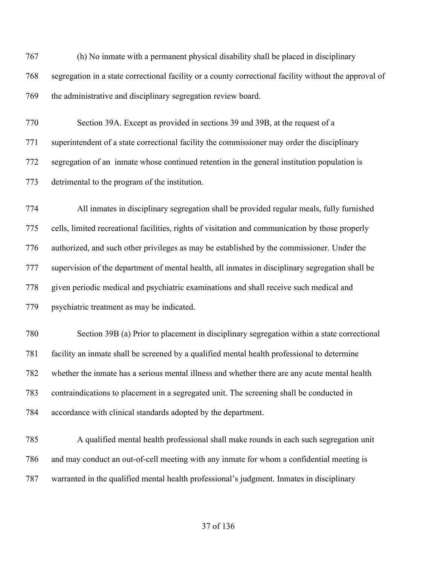(h) No inmate with a permanent physical disability shall be placed in disciplinary segregation in a state correctional facility or a county correctional facility without the approval of the administrative and disciplinary segregation review board.

 Section 39A. Except as provided in sections 39 and 39B, at the request of a superintendent of a state correctional facility the commissioner may order the disciplinary segregation of an inmate whose continued retention in the general institution population is detrimental to the program of the institution.

 All inmates in disciplinary segregation shall be provided regular meals, fully furnished cells, limited recreational facilities, rights of visitation and communication by those properly authorized, and such other privileges as may be established by the commissioner. Under the supervision of the department of mental health, all inmates in disciplinary segregation shall be given periodic medical and psychiatric examinations and shall receive such medical and psychiatric treatment as may be indicated.

 Section 39B (a) Prior to placement in disciplinary segregation within a state correctional facility an inmate shall be screened by a qualified mental health professional to determine whether the inmate has a serious mental illness and whether there are any acute mental health contraindications to placement in a segregated unit. The screening shall be conducted in accordance with clinical standards adopted by the department.

 A qualified mental health professional shall make rounds in each such segregation unit and may conduct an out-of-cell meeting with any inmate for whom a confidential meeting is warranted in the qualified mental health professional's judgment. Inmates in disciplinary

## of 136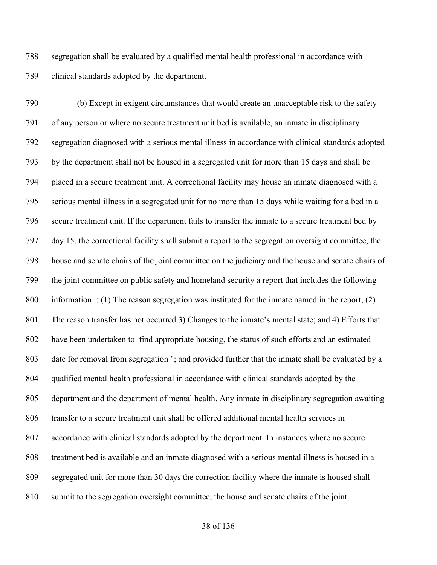segregation shall be evaluated by a qualified mental health professional in accordance with clinical standards adopted by the department.

 (b) Except in exigent circumstances that would create an unacceptable risk to the safety of any person or where no secure treatment unit bed is available, an inmate in disciplinary segregation diagnosed with a serious mental illness in accordance with clinical standards adopted by the department shall not be housed in a segregated unit for more than 15 days and shall be placed in a secure treatment unit. A correctional facility may house an inmate diagnosed with a serious mental illness in a segregated unit for no more than 15 days while waiting for a bed in a secure treatment unit. If the department fails to transfer the inmate to a secure treatment bed by day 15, the correctional facility shall submit a report to the segregation oversight committee, the house and senate chairs of the joint committee on the judiciary and the house and senate chairs of the joint committee on public safety and homeland security a report that includes the following information: : (1) The reason segregation was instituted for the inmate named in the report; (2) The reason transfer has not occurred 3) Changes to the inmate's mental state; and 4) Efforts that have been undertaken to find appropriate housing, the status of such efforts and an estimated date for removal from segregation "; and provided further that the inmate shall be evaluated by a qualified mental health professional in accordance with clinical standards adopted by the department and the department of mental health. Any inmate in disciplinary segregation awaiting transfer to a secure treatment unit shall be offered additional mental health services in accordance with clinical standards adopted by the department. In instances where no secure treatment bed is available and an inmate diagnosed with a serious mental illness is housed in a segregated unit for more than 30 days the correction facility where the inmate is housed shall submit to the segregation oversight committee, the house and senate chairs of the joint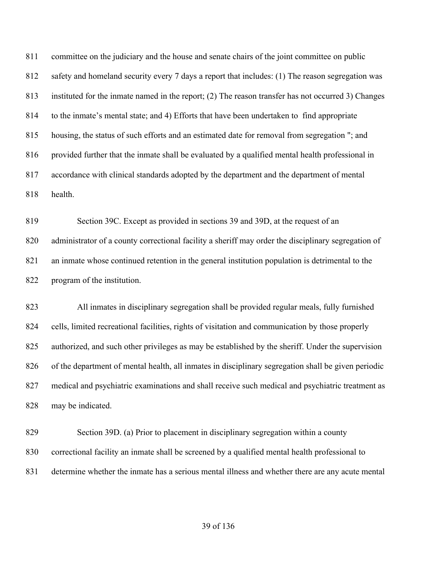committee on the judiciary and the house and senate chairs of the joint committee on public safety and homeland security every 7 days a report that includes: (1) The reason segregation was instituted for the inmate named in the report; (2) The reason transfer has not occurred 3) Changes to the inmate's mental state; and 4) Efforts that have been undertaken to find appropriate housing, the status of such efforts and an estimated date for removal from segregation "; and provided further that the inmate shall be evaluated by a qualified mental health professional in accordance with clinical standards adopted by the department and the department of mental health.

 Section 39C. Except as provided in sections 39 and 39D, at the request of an administrator of a county correctional facility a sheriff may order the disciplinary segregation of an inmate whose continued retention in the general institution population is detrimental to the program of the institution.

 All inmates in disciplinary segregation shall be provided regular meals, fully furnished cells, limited recreational facilities, rights of visitation and communication by those properly authorized, and such other privileges as may be established by the sheriff. Under the supervision of the department of mental health, all inmates in disciplinary segregation shall be given periodic medical and psychiatric examinations and shall receive such medical and psychiatric treatment as may be indicated.

 Section 39D. (a) Prior to placement in disciplinary segregation within a county correctional facility an inmate shall be screened by a qualified mental health professional to determine whether the inmate has a serious mental illness and whether there are any acute mental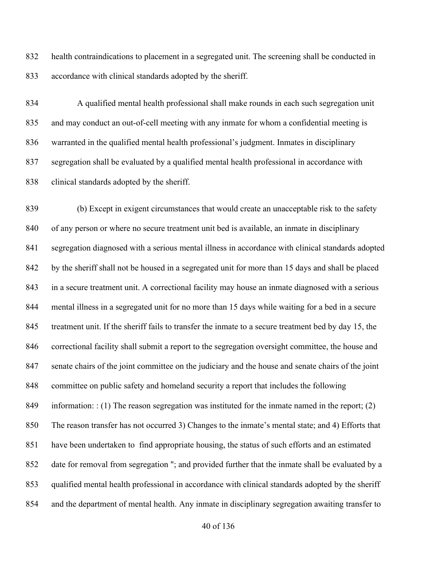health contraindications to placement in a segregated unit. The screening shall be conducted in accordance with clinical standards adopted by the sheriff.

 A qualified mental health professional shall make rounds in each such segregation unit and may conduct an out-of-cell meeting with any inmate for whom a confidential meeting is warranted in the qualified mental health professional's judgment. Inmates in disciplinary segregation shall be evaluated by a qualified mental health professional in accordance with clinical standards adopted by the sheriff.

 (b) Except in exigent circumstances that would create an unacceptable risk to the safety of any person or where no secure treatment unit bed is available, an inmate in disciplinary segregation diagnosed with a serious mental illness in accordance with clinical standards adopted by the sheriff shall not be housed in a segregated unit for more than 15 days and shall be placed in a secure treatment unit. A correctional facility may house an inmate diagnosed with a serious mental illness in a segregated unit for no more than 15 days while waiting for a bed in a secure treatment unit. If the sheriff fails to transfer the inmate to a secure treatment bed by day 15, the correctional facility shall submit a report to the segregation oversight committee, the house and senate chairs of the joint committee on the judiciary and the house and senate chairs of the joint committee on public safety and homeland security a report that includes the following information: : (1) The reason segregation was instituted for the inmate named in the report; (2) The reason transfer has not occurred 3) Changes to the inmate's mental state; and 4) Efforts that have been undertaken to find appropriate housing, the status of such efforts and an estimated date for removal from segregation "; and provided further that the inmate shall be evaluated by a qualified mental health professional in accordance with clinical standards adopted by the sheriff and the department of mental health. Any inmate in disciplinary segregation awaiting transfer to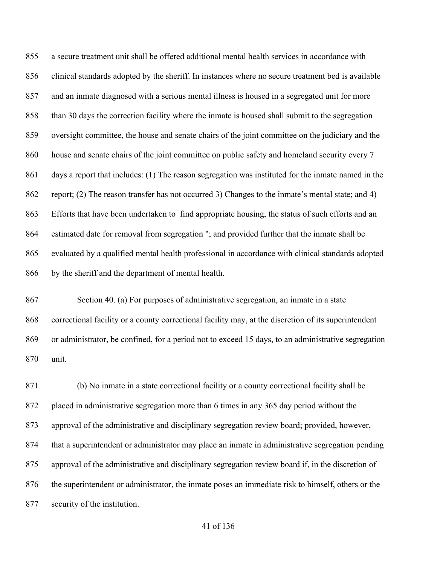a secure treatment unit shall be offered additional mental health services in accordance with clinical standards adopted by the sheriff. In instances where no secure treatment bed is available and an inmate diagnosed with a serious mental illness is housed in a segregated unit for more than 30 days the correction facility where the inmate is housed shall submit to the segregation oversight committee, the house and senate chairs of the joint committee on the judiciary and the house and senate chairs of the joint committee on public safety and homeland security every 7 days a report that includes: (1) The reason segregation was instituted for the inmate named in the report; (2) The reason transfer has not occurred 3) Changes to the inmate's mental state; and 4) Efforts that have been undertaken to find appropriate housing, the status of such efforts and an estimated date for removal from segregation "; and provided further that the inmate shall be evaluated by a qualified mental health professional in accordance with clinical standards adopted by the sheriff and the department of mental health.

 Section 40. (a) For purposes of administrative segregation, an inmate in a state correctional facility or a county correctional facility may, at the discretion of its superintendent or administrator, be confined, for a period not to exceed 15 days, to an administrative segregation unit.

 (b) No inmate in a state correctional facility or a county correctional facility shall be placed in administrative segregation more than 6 times in any 365 day period without the approval of the administrative and disciplinary segregation review board; provided, however, that a superintendent or administrator may place an inmate in administrative segregation pending approval of the administrative and disciplinary segregation review board if, in the discretion of the superintendent or administrator, the inmate poses an immediate risk to himself, others or the security of the institution.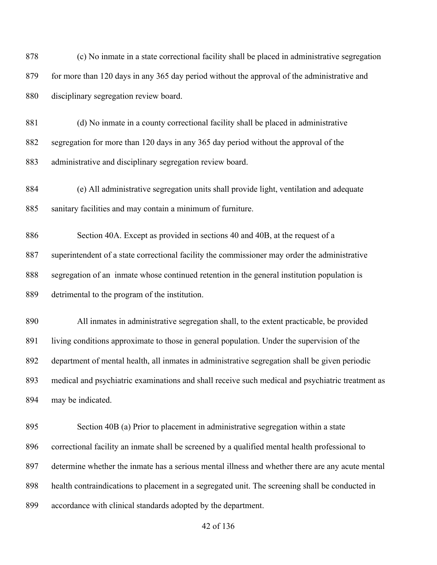(c) No inmate in a state correctional facility shall be placed in administrative segregation 879 for more than 120 days in any 365 day period without the approval of the administrative and disciplinary segregation review board.

 (d) No inmate in a county correctional facility shall be placed in administrative segregation for more than 120 days in any 365 day period without the approval of the administrative and disciplinary segregation review board.

 (e) All administrative segregation units shall provide light, ventilation and adequate sanitary facilities and may contain a minimum of furniture.

 Section 40A. Except as provided in sections 40 and 40B, at the request of a superintendent of a state correctional facility the commissioner may order the administrative segregation of an inmate whose continued retention in the general institution population is detrimental to the program of the institution.

 All inmates in administrative segregation shall, to the extent practicable, be provided 891 living conditions approximate to those in general population. Under the supervision of the department of mental health, all inmates in administrative segregation shall be given periodic medical and psychiatric examinations and shall receive such medical and psychiatric treatment as may be indicated.

 Section 40B (a) Prior to placement in administrative segregation within a state correctional facility an inmate shall be screened by a qualified mental health professional to determine whether the inmate has a serious mental illness and whether there are any acute mental health contraindications to placement in a segregated unit. The screening shall be conducted in accordance with clinical standards adopted by the department.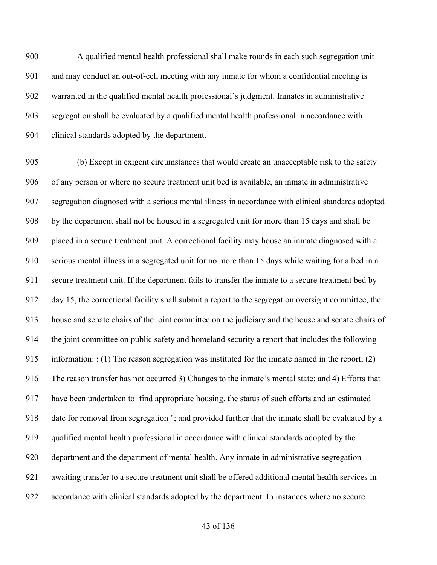A qualified mental health professional shall make rounds in each such segregation unit and may conduct an out-of-cell meeting with any inmate for whom a confidential meeting is warranted in the qualified mental health professional's judgment. Inmates in administrative segregation shall be evaluated by a qualified mental health professional in accordance with clinical standards adopted by the department.

 (b) Except in exigent circumstances that would create an unacceptable risk to the safety of any person or where no secure treatment unit bed is available, an inmate in administrative segregation diagnosed with a serious mental illness in accordance with clinical standards adopted by the department shall not be housed in a segregated unit for more than 15 days and shall be placed in a secure treatment unit. A correctional facility may house an inmate diagnosed with a serious mental illness in a segregated unit for no more than 15 days while waiting for a bed in a secure treatment unit. If the department fails to transfer the inmate to a secure treatment bed by day 15, the correctional facility shall submit a report to the segregation oversight committee, the house and senate chairs of the joint committee on the judiciary and the house and senate chairs of the joint committee on public safety and homeland security a report that includes the following 915 information: : (1) The reason segregation was instituted for the inmate named in the report; (2) The reason transfer has not occurred 3) Changes to the inmate's mental state; and 4) Efforts that have been undertaken to find appropriate housing, the status of such efforts and an estimated date for removal from segregation "; and provided further that the inmate shall be evaluated by a qualified mental health professional in accordance with clinical standards adopted by the department and the department of mental health. Any inmate in administrative segregation awaiting transfer to a secure treatment unit shall be offered additional mental health services in accordance with clinical standards adopted by the department. In instances where no secure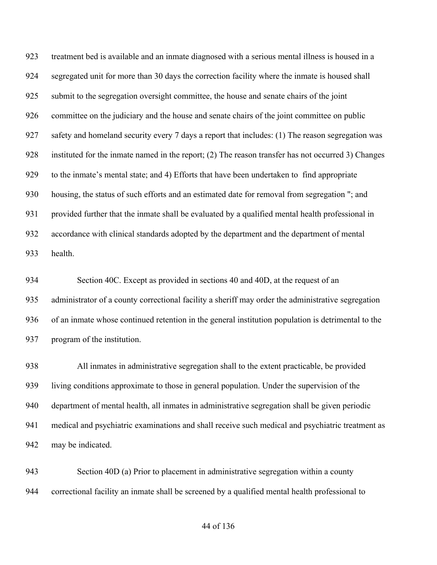treatment bed is available and an inmate diagnosed with a serious mental illness is housed in a segregated unit for more than 30 days the correction facility where the inmate is housed shall submit to the segregation oversight committee, the house and senate chairs of the joint committee on the judiciary and the house and senate chairs of the joint committee on public safety and homeland security every 7 days a report that includes: (1) The reason segregation was instituted for the inmate named in the report; (2) The reason transfer has not occurred 3) Changes to the inmate's mental state; and 4) Efforts that have been undertaken to find appropriate housing, the status of such efforts and an estimated date for removal from segregation "; and provided further that the inmate shall be evaluated by a qualified mental health professional in accordance with clinical standards adopted by the department and the department of mental health.

 Section 40C. Except as provided in sections 40 and 40D, at the request of an administrator of a county correctional facility a sheriff may order the administrative segregation of an inmate whose continued retention in the general institution population is detrimental to the program of the institution.

 All inmates in administrative segregation shall to the extent practicable, be provided living conditions approximate to those in general population. Under the supervision of the department of mental health, all inmates in administrative segregation shall be given periodic medical and psychiatric examinations and shall receive such medical and psychiatric treatment as may be indicated.

 Section 40D (a) Prior to placement in administrative segregation within a county correctional facility an inmate shall be screened by a qualified mental health professional to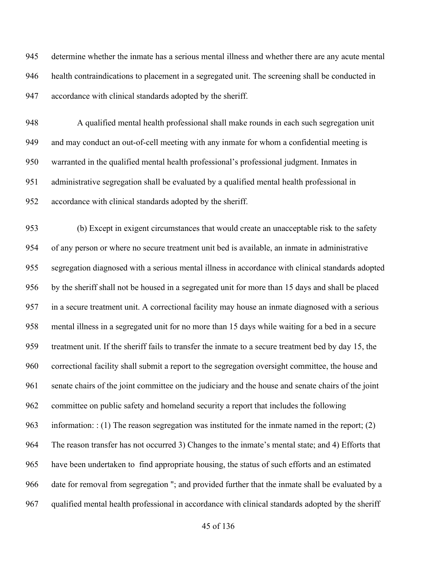determine whether the inmate has a serious mental illness and whether there are any acute mental health contraindications to placement in a segregated unit. The screening shall be conducted in accordance with clinical standards adopted by the sheriff.

 A qualified mental health professional shall make rounds in each such segregation unit and may conduct an out-of-cell meeting with any inmate for whom a confidential meeting is warranted in the qualified mental health professional's professional judgment. Inmates in administrative segregation shall be evaluated by a qualified mental health professional in accordance with clinical standards adopted by the sheriff.

 (b) Except in exigent circumstances that would create an unacceptable risk to the safety of any person or where no secure treatment unit bed is available, an inmate in administrative segregation diagnosed with a serious mental illness in accordance with clinical standards adopted by the sheriff shall not be housed in a segregated unit for more than 15 days and shall be placed in a secure treatment unit. A correctional facility may house an inmate diagnosed with a serious mental illness in a segregated unit for no more than 15 days while waiting for a bed in a secure treatment unit. If the sheriff fails to transfer the inmate to a secure treatment bed by day 15, the correctional facility shall submit a report to the segregation oversight committee, the house and senate chairs of the joint committee on the judiciary and the house and senate chairs of the joint committee on public safety and homeland security a report that includes the following information: : (1) The reason segregation was instituted for the inmate named in the report; (2) The reason transfer has not occurred 3) Changes to the inmate's mental state; and 4) Efforts that have been undertaken to find appropriate housing, the status of such efforts and an estimated date for removal from segregation "; and provided further that the inmate shall be evaluated by a qualified mental health professional in accordance with clinical standards adopted by the sheriff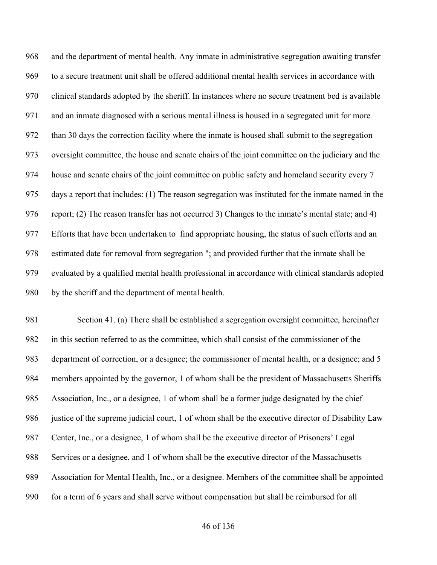and the department of mental health. Any inmate in administrative segregation awaiting transfer to a secure treatment unit shall be offered additional mental health services in accordance with clinical standards adopted by the sheriff. In instances where no secure treatment bed is available and an inmate diagnosed with a serious mental illness is housed in a segregated unit for more than 30 days the correction facility where the inmate is housed shall submit to the segregation oversight committee, the house and senate chairs of the joint committee on the judiciary and the house and senate chairs of the joint committee on public safety and homeland security every 7 days a report that includes: (1) The reason segregation was instituted for the inmate named in the report; (2) The reason transfer has not occurred 3) Changes to the inmate's mental state; and 4) Efforts that have been undertaken to find appropriate housing, the status of such efforts and an estimated date for removal from segregation "; and provided further that the inmate shall be evaluated by a qualified mental health professional in accordance with clinical standards adopted by the sheriff and the department of mental health.

 Section 41. (a) There shall be established a segregation oversight committee, hereinafter in this section referred to as the committee, which shall consist of the commissioner of the department of correction, or a designee; the commissioner of mental health, or a designee; and 5 members appointed by the governor, 1 of whom shall be the president of Massachusetts Sheriffs Association, Inc., or a designee, 1 of whom shall be a former judge designated by the chief justice of the supreme judicial court, 1 of whom shall be the executive director of Disability Law Center, Inc., or a designee, 1 of whom shall be the executive director of Prisoners' Legal Services or a designee, and 1 of whom shall be the executive director of the Massachusetts Association for Mental Health, Inc., or a designee. Members of the committee shall be appointed for a term of 6 years and shall serve without compensation but shall be reimbursed for all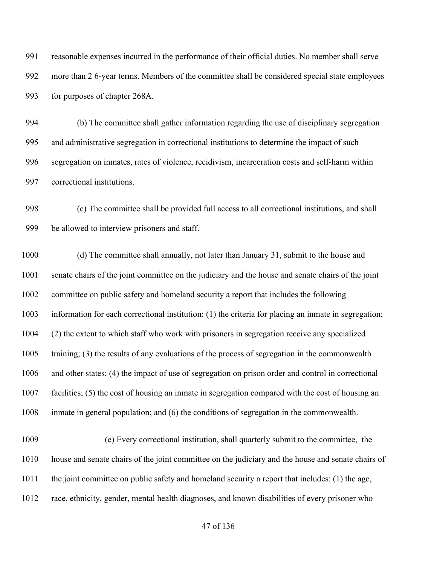reasonable expenses incurred in the performance of their official duties. No member shall serve more than 2 6-year terms. Members of the committee shall be considered special state employees for purposes of chapter 268A.

 (b) The committee shall gather information regarding the use of disciplinary segregation and administrative segregation in correctional institutions to determine the impact of such segregation on inmates, rates of violence, recidivism, incarceration costs and self-harm within correctional institutions.

 (c) The committee shall be provided full access to all correctional institutions, and shall be allowed to interview prisoners and staff.

 (d) The committee shall annually, not later than January 31, submit to the house and senate chairs of the joint committee on the judiciary and the house and senate chairs of the joint committee on public safety and homeland security a report that includes the following information for each correctional institution: (1) the criteria for placing an inmate in segregation; (2) the extent to which staff who work with prisoners in segregation receive any specialized training; (3) the results of any evaluations of the process of segregation in the commonwealth and other states; (4) the impact of use of segregation on prison order and control in correctional facilities; (5) the cost of housing an inmate in segregation compared with the cost of housing an inmate in general population; and (6) the conditions of segregation in the commonwealth.

 (e) Every correctional institution, shall quarterly submit to the committee, the house and senate chairs of the joint committee on the judiciary and the house and senate chairs of 1011 the joint committee on public safety and homeland security a report that includes: (1) the age, race, ethnicity, gender, mental health diagnoses, and known disabilities of every prisoner who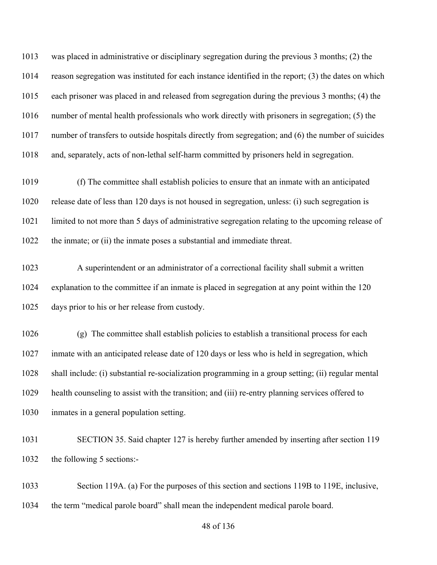was placed in administrative or disciplinary segregation during the previous 3 months; (2) the reason segregation was instituted for each instance identified in the report; (3) the dates on which each prisoner was placed in and released from segregation during the previous 3 months; (4) the number of mental health professionals who work directly with prisoners in segregation; (5) the number of transfers to outside hospitals directly from segregation; and (6) the number of suicides and, separately, acts of non-lethal self-harm committed by prisoners held in segregation.

 (f) The committee shall establish policies to ensure that an inmate with an anticipated release date of less than 120 days is not housed in segregation, unless: (i) such segregation is limited to not more than 5 days of administrative segregation relating to the upcoming release of the inmate; or (ii) the inmate poses a substantial and immediate threat.

 A superintendent or an administrator of a correctional facility shall submit a written explanation to the committee if an inmate is placed in segregation at any point within the 120 days prior to his or her release from custody.

 (g) The committee shall establish policies to establish a transitional process for each inmate with an anticipated release date of 120 days or less who is held in segregation, which shall include: (i) substantial re-socialization programming in a group setting; (ii) regular mental health counseling to assist with the transition; and (iii) re-entry planning services offered to inmates in a general population setting.

 SECTION 35. Said chapter 127 is hereby further amended by inserting after section 119 the following 5 sections:-

 Section 119A. (a) For the purposes of this section and sections 119B to 119E, inclusive, the term "medical parole board" shall mean the independent medical parole board.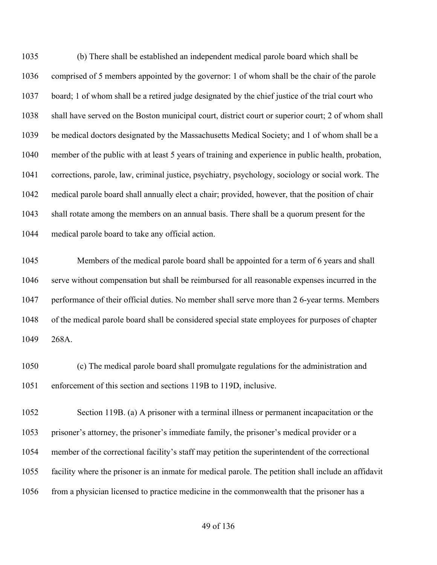(b) There shall be established an independent medical parole board which shall be comprised of 5 members appointed by the governor: 1 of whom shall be the chair of the parole board; 1 of whom shall be a retired judge designated by the chief justice of the trial court who shall have served on the Boston municipal court, district court or superior court; 2 of whom shall be medical doctors designated by the Massachusetts Medical Society; and 1 of whom shall be a member of the public with at least 5 years of training and experience in public health, probation, corrections, parole, law, criminal justice, psychiatry, psychology, sociology or social work. The medical parole board shall annually elect a chair; provided, however, that the position of chair shall rotate among the members on an annual basis. There shall be a quorum present for the medical parole board to take any official action.

 Members of the medical parole board shall be appointed for a term of 6 years and shall serve without compensation but shall be reimbursed for all reasonable expenses incurred in the performance of their official duties. No member shall serve more than 2 6-year terms. Members of the medical parole board shall be considered special state employees for purposes of chapter 268A.

 (c) The medical parole board shall promulgate regulations for the administration and enforcement of this section and sections 119B to 119D, inclusive.

 Section 119B. (a) A prisoner with a terminal illness or permanent incapacitation or the prisoner's attorney, the prisoner's immediate family, the prisoner's medical provider or a member of the correctional facility's staff may petition the superintendent of the correctional facility where the prisoner is an inmate for medical parole. The petition shall include an affidavit from a physician licensed to practice medicine in the commonwealth that the prisoner has a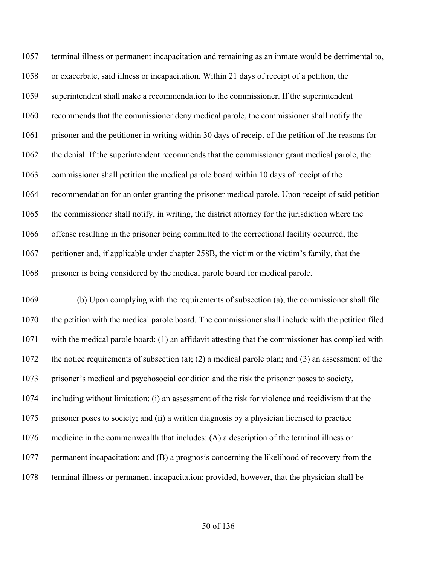terminal illness or permanent incapacitation and remaining as an inmate would be detrimental to, or exacerbate, said illness or incapacitation. Within 21 days of receipt of a petition, the superintendent shall make a recommendation to the commissioner. If the superintendent recommends that the commissioner deny medical parole, the commissioner shall notify the prisoner and the petitioner in writing within 30 days of receipt of the petition of the reasons for the denial. If the superintendent recommends that the commissioner grant medical parole, the commissioner shall petition the medical parole board within 10 days of receipt of the recommendation for an order granting the prisoner medical parole. Upon receipt of said petition the commissioner shall notify, in writing, the district attorney for the jurisdiction where the offense resulting in the prisoner being committed to the correctional facility occurred, the petitioner and, if applicable under chapter 258B, the victim or the victim's family, that the prisoner is being considered by the medical parole board for medical parole.

 (b) Upon complying with the requirements of subsection (a), the commissioner shall file the petition with the medical parole board. The commissioner shall include with the petition filed with the medical parole board: (1) an affidavit attesting that the commissioner has complied with the notice requirements of subsection (a); (2) a medical parole plan; and (3) an assessment of the prisoner's medical and psychosocial condition and the risk the prisoner poses to society, including without limitation: (i) an assessment of the risk for violence and recidivism that the prisoner poses to society; and (ii) a written diagnosis by a physician licensed to practice medicine in the commonwealth that includes: (A) a description of the terminal illness or permanent incapacitation; and (B) a prognosis concerning the likelihood of recovery from the terminal illness or permanent incapacitation; provided, however, that the physician shall be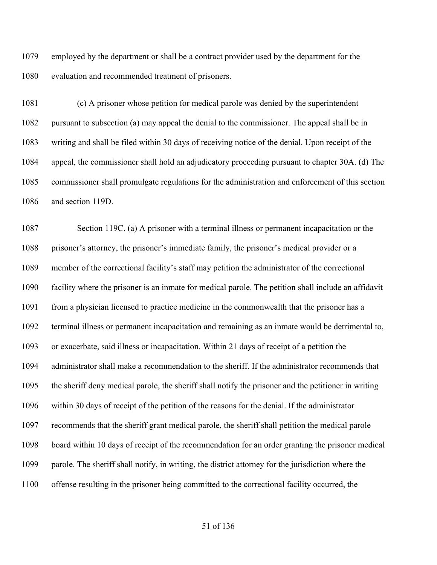employed by the department or shall be a contract provider used by the department for the evaluation and recommended treatment of prisoners.

 (c) A prisoner whose petition for medical parole was denied by the superintendent pursuant to subsection (a) may appeal the denial to the commissioner. The appeal shall be in writing and shall be filed within 30 days of receiving notice of the denial. Upon receipt of the appeal, the commissioner shall hold an adjudicatory proceeding pursuant to chapter 30A. (d) The commissioner shall promulgate regulations for the administration and enforcement of this section and section 119D.

 Section 119C. (a) A prisoner with a terminal illness or permanent incapacitation or the prisoner's attorney, the prisoner's immediate family, the prisoner's medical provider or a member of the correctional facility's staff may petition the administrator of the correctional facility where the prisoner is an inmate for medical parole. The petition shall include an affidavit 1091 from a physician licensed to practice medicine in the commonwealth that the prisoner has a terminal illness or permanent incapacitation and remaining as an inmate would be detrimental to, or exacerbate, said illness or incapacitation. Within 21 days of receipt of a petition the administrator shall make a recommendation to the sheriff. If the administrator recommends that the sheriff deny medical parole, the sheriff shall notify the prisoner and the petitioner in writing within 30 days of receipt of the petition of the reasons for the denial. If the administrator recommends that the sheriff grant medical parole, the sheriff shall petition the medical parole board within 10 days of receipt of the recommendation for an order granting the prisoner medical parole. The sheriff shall notify, in writing, the district attorney for the jurisdiction where the offense resulting in the prisoner being committed to the correctional facility occurred, the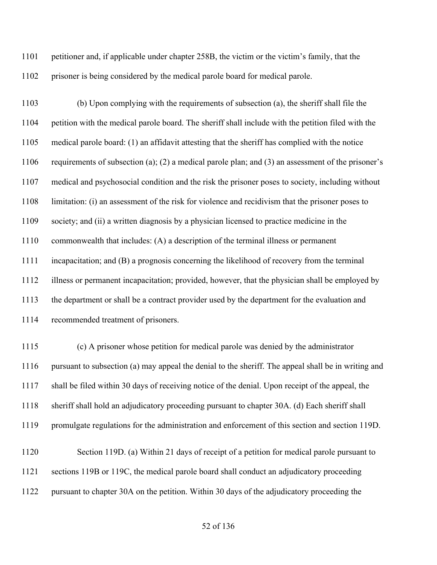petitioner and, if applicable under chapter 258B, the victim or the victim's family, that the prisoner is being considered by the medical parole board for medical parole.

 (b) Upon complying with the requirements of subsection (a), the sheriff shall file the petition with the medical parole board. The sheriff shall include with the petition filed with the medical parole board: (1) an affidavit attesting that the sheriff has complied with the notice requirements of subsection (a); (2) a medical parole plan; and (3) an assessment of the prisoner's medical and psychosocial condition and the risk the prisoner poses to society, including without limitation: (i) an assessment of the risk for violence and recidivism that the prisoner poses to society; and (ii) a written diagnosis by a physician licensed to practice medicine in the commonwealth that includes: (A) a description of the terminal illness or permanent incapacitation; and (B) a prognosis concerning the likelihood of recovery from the terminal illness or permanent incapacitation; provided, however, that the physician shall be employed by the department or shall be a contract provider used by the department for the evaluation and recommended treatment of prisoners.

 (c) A prisoner whose petition for medical parole was denied by the administrator pursuant to subsection (a) may appeal the denial to the sheriff. The appeal shall be in writing and shall be filed within 30 days of receiving notice of the denial. Upon receipt of the appeal, the sheriff shall hold an adjudicatory proceeding pursuant to chapter 30A. (d) Each sheriff shall promulgate regulations for the administration and enforcement of this section and section 119D.

 Section 119D. (a) Within 21 days of receipt of a petition for medical parole pursuant to sections 119B or 119C, the medical parole board shall conduct an adjudicatory proceeding pursuant to chapter 30A on the petition. Within 30 days of the adjudicatory proceeding the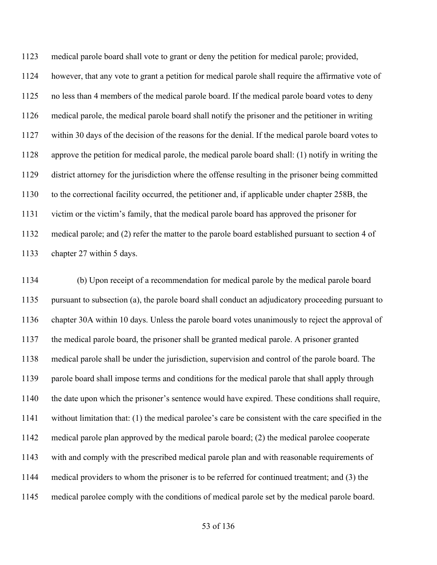medical parole board shall vote to grant or deny the petition for medical parole; provided, however, that any vote to grant a petition for medical parole shall require the affirmative vote of no less than 4 members of the medical parole board. If the medical parole board votes to deny medical parole, the medical parole board shall notify the prisoner and the petitioner in writing within 30 days of the decision of the reasons for the denial. If the medical parole board votes to approve the petition for medical parole, the medical parole board shall: (1) notify in writing the district attorney for the jurisdiction where the offense resulting in the prisoner being committed to the correctional facility occurred, the petitioner and, if applicable under chapter 258B, the victim or the victim's family, that the medical parole board has approved the prisoner for medical parole; and (2) refer the matter to the parole board established pursuant to section 4 of chapter 27 within 5 days.

 (b) Upon receipt of a recommendation for medical parole by the medical parole board pursuant to subsection (a), the parole board shall conduct an adjudicatory proceeding pursuant to chapter 30A within 10 days. Unless the parole board votes unanimously to reject the approval of the medical parole board, the prisoner shall be granted medical parole. A prisoner granted medical parole shall be under the jurisdiction, supervision and control of the parole board. The parole board shall impose terms and conditions for the medical parole that shall apply through the date upon which the prisoner's sentence would have expired. These conditions shall require, without limitation that: (1) the medical parolee's care be consistent with the care specified in the medical parole plan approved by the medical parole board; (2) the medical parolee cooperate with and comply with the prescribed medical parole plan and with reasonable requirements of medical providers to whom the prisoner is to be referred for continued treatment; and (3) the medical parolee comply with the conditions of medical parole set by the medical parole board.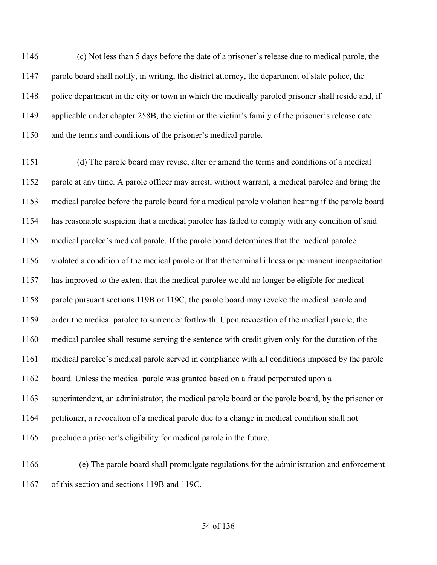(c) Not less than 5 days before the date of a prisoner's release due to medical parole, the parole board shall notify, in writing, the district attorney, the department of state police, the police department in the city or town in which the medically paroled prisoner shall reside and, if applicable under chapter 258B, the victim or the victim's family of the prisoner's release date and the terms and conditions of the prisoner's medical parole.

 (d) The parole board may revise, alter or amend the terms and conditions of a medical parole at any time. A parole officer may arrest, without warrant, a medical parolee and bring the medical parolee before the parole board for a medical parole violation hearing if the parole board has reasonable suspicion that a medical parolee has failed to comply with any condition of said medical parolee's medical parole. If the parole board determines that the medical parolee violated a condition of the medical parole or that the terminal illness or permanent incapacitation has improved to the extent that the medical parolee would no longer be eligible for medical parole pursuant sections 119B or 119C, the parole board may revoke the medical parole and order the medical parolee to surrender forthwith. Upon revocation of the medical parole, the medical parolee shall resume serving the sentence with credit given only for the duration of the medical parolee's medical parole served in compliance with all conditions imposed by the parole board. Unless the medical parole was granted based on a fraud perpetrated upon a superintendent, an administrator, the medical parole board or the parole board, by the prisoner or petitioner, a revocation of a medical parole due to a change in medical condition shall not preclude a prisoner's eligibility for medical parole in the future.

 (e) The parole board shall promulgate regulations for the administration and enforcement of this section and sections 119B and 119C.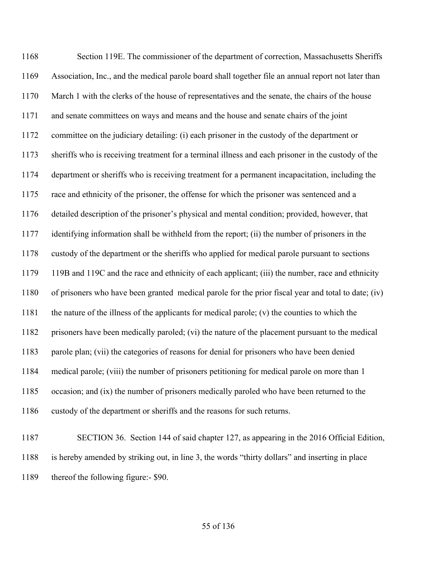Section 119E. The commissioner of the department of correction, Massachusetts Sheriffs Association, Inc., and the medical parole board shall together file an annual report not later than March 1 with the clerks of the house of representatives and the senate, the chairs of the house and senate committees on ways and means and the house and senate chairs of the joint committee on the judiciary detailing: (i) each prisoner in the custody of the department or sheriffs who is receiving treatment for a terminal illness and each prisoner in the custody of the department or sheriffs who is receiving treatment for a permanent incapacitation, including the race and ethnicity of the prisoner, the offense for which the prisoner was sentenced and a detailed description of the prisoner's physical and mental condition; provided, however, that identifying information shall be withheld from the report; (ii) the number of prisoners in the custody of the department or the sheriffs who applied for medical parole pursuant to sections 119B and 119C and the race and ethnicity of each applicant; (iii) the number, race and ethnicity of prisoners who have been granted medical parole for the prior fiscal year and total to date; (iv) the nature of the illness of the applicants for medical parole; (v) the counties to which the prisoners have been medically paroled; (vi) the nature of the placement pursuant to the medical parole plan; (vii) the categories of reasons for denial for prisoners who have been denied medical parole; (viii) the number of prisoners petitioning for medical parole on more than 1 occasion; and (ix) the number of prisoners medically paroled who have been returned to the custody of the department or sheriffs and the reasons for such returns.

 SECTION 36. Section 144 of said chapter 127, as appearing in the 2016 Official Edition, is hereby amended by striking out, in line 3, the words "thirty dollars" and inserting in place thereof the following figure:- \$90.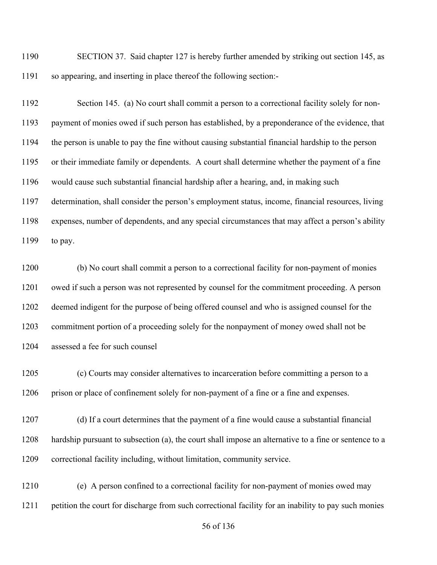SECTION 37. Said chapter 127 is hereby further amended by striking out section 145, as so appearing, and inserting in place thereof the following section:-

 Section 145. (a) No court shall commit a person to a correctional facility solely for non- payment of monies owed if such person has established, by a preponderance of the evidence, that the person is unable to pay the fine without causing substantial financial hardship to the person or their immediate family or dependents. A court shall determine whether the payment of a fine would cause such substantial financial hardship after a hearing, and, in making such determination, shall consider the person's employment status, income, financial resources, living expenses, number of dependents, and any special circumstances that may affect a person's ability to pay.

 (b) No court shall commit a person to a correctional facility for non-payment of monies owed if such a person was not represented by counsel for the commitment proceeding. A person deemed indigent for the purpose of being offered counsel and who is assigned counsel for the commitment portion of a proceeding solely for the nonpayment of money owed shall not be assessed a fee for such counsel

 (c) Courts may consider alternatives to incarceration before committing a person to a 1206 prison or place of confinement solely for non-payment of a fine or a fine and expenses.

 (d) If a court determines that the payment of a fine would cause a substantial financial hardship pursuant to subsection (a), the court shall impose an alternative to a fine or sentence to a correctional facility including, without limitation, community service.

 (e) A person confined to a correctional facility for non-payment of monies owed may petition the court for discharge from such correctional facility for an inability to pay such monies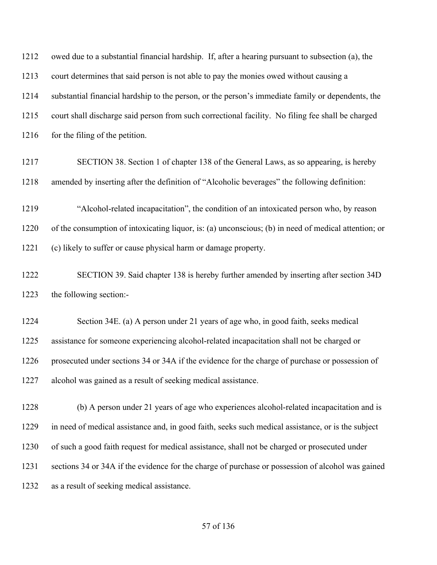owed due to a substantial financial hardship. If, after a hearing pursuant to subsection (a), the court determines that said person is not able to pay the monies owed without causing a substantial financial hardship to the person, or the person's immediate family or dependents, the court shall discharge said person from such correctional facility. No filing fee shall be charged 1216 for the filing of the petition.

 SECTION 38. Section 1 of chapter 138 of the General Laws, as so appearing, is hereby amended by inserting after the definition of "Alcoholic beverages" the following definition:

 "Alcohol-related incapacitation", the condition of an intoxicated person who, by reason of the consumption of intoxicating liquor, is: (a) unconscious; (b) in need of medical attention; or (c) likely to suffer or cause physical harm or damage property.

 SECTION 39. Said chapter 138 is hereby further amended by inserting after section 34D the following section:-

 Section 34E. (a) A person under 21 years of age who, in good faith, seeks medical assistance for someone experiencing alcohol-related incapacitation shall not be charged or prosecuted under sections 34 or 34A if the evidence for the charge of purchase or possession of alcohol was gained as a result of seeking medical assistance.

 (b) A person under 21 years of age who experiences alcohol-related incapacitation and is in need of medical assistance and, in good faith, seeks such medical assistance, or is the subject of such a good faith request for medical assistance, shall not be charged or prosecuted under sections 34 or 34A if the evidence for the charge of purchase or possession of alcohol was gained as a result of seeking medical assistance.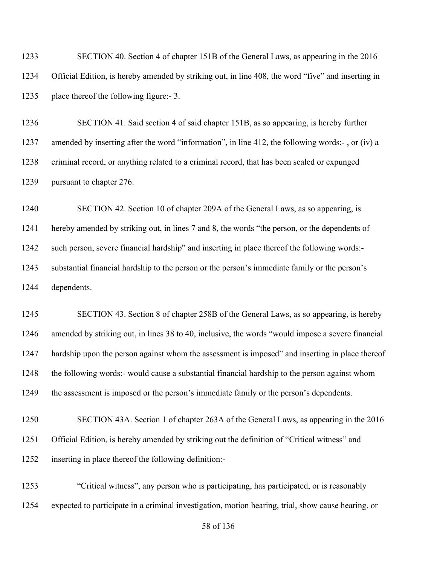SECTION 40. Section 4 of chapter 151B of the General Laws, as appearing in the 2016 Official Edition, is hereby amended by striking out, in line 408, the word "five" and inserting in place thereof the following figure:- 3.

 SECTION 41. Said section 4 of said chapter 151B, as so appearing, is hereby further amended by inserting after the word "information", in line 412, the following words:- , or (iv) a criminal record, or anything related to a criminal record, that has been sealed or expunged pursuant to chapter 276.

 SECTION 42. Section 10 of chapter 209A of the General Laws, as so appearing, is hereby amended by striking out, in lines 7 and 8, the words "the person, or the dependents of such person, severe financial hardship" and inserting in place thereof the following words:- substantial financial hardship to the person or the person's immediate family or the person's dependents.

 SECTION 43. Section 8 of chapter 258B of the General Laws, as so appearing, is hereby amended by striking out, in lines 38 to 40, inclusive, the words "would impose a severe financial hardship upon the person against whom the assessment is imposed" and inserting in place thereof the following words:- would cause a substantial financial hardship to the person against whom the assessment is imposed or the person's immediate family or the person's dependents.

 SECTION 43A. Section 1 of chapter 263A of the General Laws, as appearing in the 2016 Official Edition, is hereby amended by striking out the definition of "Critical witness" and inserting in place thereof the following definition:-

 "Critical witness", any person who is participating, has participated, or is reasonably expected to participate in a criminal investigation, motion hearing, trial, show cause hearing, or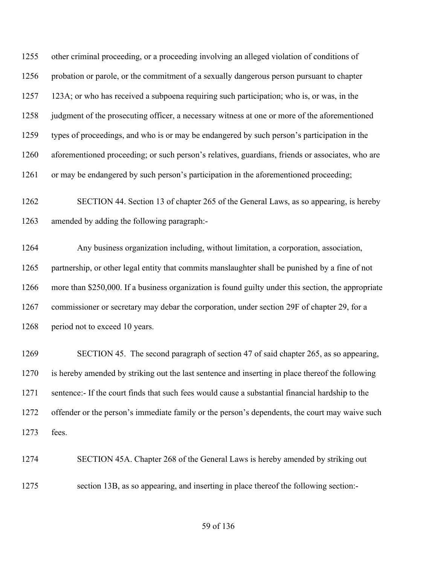other criminal proceeding, or a proceeding involving an alleged violation of conditions of 1256 probation or parole, or the commitment of a sexually dangerous person pursuant to chapter 123A; or who has received a subpoena requiring such participation; who is, or was, in the 1258 judgment of the prosecuting officer, a necessary witness at one or more of the aforementioned types of proceedings, and who is or may be endangered by such person's participation in the aforementioned proceeding; or such person's relatives, guardians, friends or associates, who are 1261 or may be endangered by such person's participation in the aforementioned proceeding;

 SECTION 44. Section 13 of chapter 265 of the General Laws, as so appearing, is hereby amended by adding the following paragraph:-

 Any business organization including, without limitation, a corporation, association, partnership, or other legal entity that commits manslaughter shall be punished by a fine of not more than \$250,000. If a business organization is found guilty under this section, the appropriate commissioner or secretary may debar the corporation, under section 29F of chapter 29, for a 1268 period not to exceed 10 years.

 SECTION 45. The second paragraph of section 47 of said chapter 265, as so appearing, is hereby amended by striking out the last sentence and inserting in place thereof the following sentence:- If the court finds that such fees would cause a substantial financial hardship to the offender or the person's immediate family or the person's dependents, the court may waive such fees.

SECTION 45A. Chapter 268 of the General Laws is hereby amended by striking out

section 13B, as so appearing, and inserting in place thereof the following section:-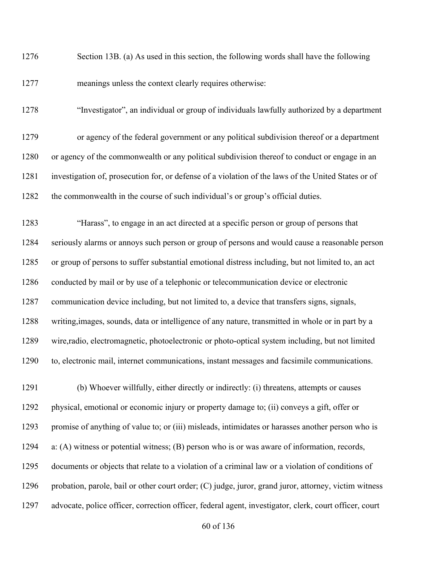Section 13B. (a) As used in this section, the following words shall have the following meanings unless the context clearly requires otherwise:

"Investigator", an individual or group of individuals lawfully authorized by a department

 or agency of the federal government or any political subdivision thereof or a department or agency of the commonwealth or any political subdivision thereof to conduct or engage in an investigation of, prosecution for, or defense of a violation of the laws of the United States or of the commonwealth in the course of such individual's or group's official duties.

 "Harass", to engage in an act directed at a specific person or group of persons that seriously alarms or annoys such person or group of persons and would cause a reasonable person or group of persons to suffer substantial emotional distress including, but not limited to, an act 1286 conducted by mail or by use of a telephonic or telecommunication device or electronic communication device including, but not limited to, a device that transfers signs, signals, writing,images, sounds, data or intelligence of any nature, transmitted in whole or in part by a wire,radio, electromagnetic, photoelectronic or photo-optical system including, but not limited to, electronic mail, internet communications, instant messages and facsimile communications.

 (b) Whoever willfully, either directly or indirectly: (i) threatens, attempts or causes physical, emotional or economic injury or property damage to; (ii) conveys a gift, offer or promise of anything of value to; or (iii) misleads, intimidates or harasses another person who is a: (A) witness or potential witness; (B) person who is or was aware of information, records, documents or objects that relate to a violation of a criminal law or a violation of conditions of 1296 probation, parole, bail or other court order; (C) judge, juror, grand juror, attorney, victim witness advocate, police officer, correction officer, federal agent, investigator, clerk, court officer, court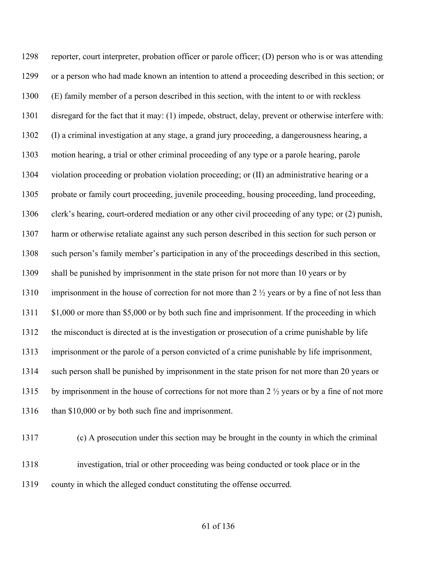reporter, court interpreter, probation officer or parole officer; (D) person who is or was attending or a person who had made known an intention to attend a proceeding described in this section; or (E) family member of a person described in this section, with the intent to or with reckless disregard for the fact that it may: (1) impede, obstruct, delay, prevent or otherwise interfere with: (I) a criminal investigation at any stage, a grand jury proceeding, a dangerousness hearing, a motion hearing, a trial or other criminal proceeding of any type or a parole hearing, parole violation proceeding or probation violation proceeding; or (II) an administrative hearing or a probate or family court proceeding, juvenile proceeding, housing proceeding, land proceeding, clerk's hearing, court-ordered mediation or any other civil proceeding of any type; or (2) punish, harm or otherwise retaliate against any such person described in this section for such person or such person's family member's participation in any of the proceedings described in this section, shall be punished by imprisonment in the state prison for not more than 10 years or by 1310 imprisonment in the house of correction for not more than 2  $\frac{1}{2}$  years or by a fine of not less than \$1,000 or more than \$5,000 or by both such fine and imprisonment. If the proceeding in which the misconduct is directed at is the investigation or prosecution of a crime punishable by life imprisonment or the parole of a person convicted of a crime punishable by life imprisonment, such person shall be punished by imprisonment in the state prison for not more than 20 years or 1315 by imprisonment in the house of corrections for not more than 2  $\frac{1}{2}$  years or by a fine of not more 1316 than \$10,000 or by both such fine and imprisonment.

(c) A prosecution under this section may be brought in the county in which the criminal

 investigation, trial or other proceeding was being conducted or took place or in the county in which the alleged conduct constituting the offense occurred.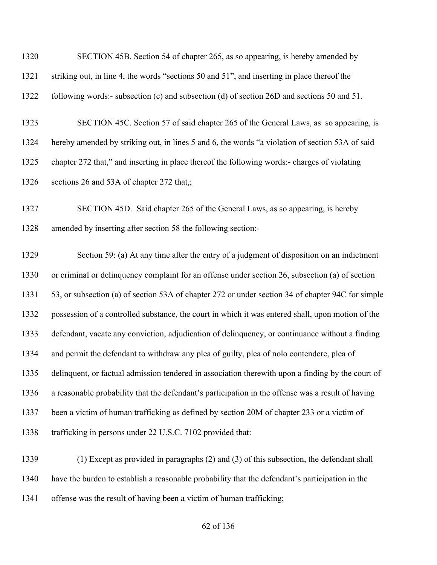| 1320 | SECTION 45B. Section 54 of chapter 265, as so appearing, is hereby amended by                     |
|------|---------------------------------------------------------------------------------------------------|
| 1321 | striking out, in line 4, the words "sections 50 and 51", and inserting in place thereof the       |
| 1322 | following words:- subsection (c) and subsection (d) of section 26D and sections 50 and 51.        |
| 1323 | SECTION 45C. Section 57 of said chapter 265 of the General Laws, as so appearing, is              |
| 1324 | hereby amended by striking out, in lines 5 and 6, the words "a violation of section 53A of said   |
| 1325 | chapter 272 that," and inserting in place thereof the following words:- charges of violating      |
| 1326 | sections 26 and 53A of chapter 272 that,;                                                         |
| 1327 | SECTION 45D. Said chapter 265 of the General Laws, as so appearing, is hereby                     |
| 1328 | amended by inserting after section 58 the following section:-                                     |
| 1329 | Section 59: (a) At any time after the entry of a judgment of disposition on an indictment         |
| 1330 | or criminal or delinquency complaint for an offense under section 26, subsection (a) of section   |
| 1331 | 53, or subsection (a) of section 53A of chapter 272 or under section 34 of chapter 94C for simple |
| 1332 | possession of a controlled substance, the court in which it was entered shall, upon motion of the |
| 1333 | defendant, vacate any conviction, adjudication of delinquency, or continuance without a finding   |
| 1334 | and permit the defendant to withdraw any plea of guilty, plea of nolo contendere, plea of         |
| 1335 | delinquent, or factual admission tendered in association therewith upon a finding by the court of |
| 1336 | a reasonable probability that the defendant's participation in the offense was a result of having |
| 1337 | been a victim of human trafficking as defined by section 20M of chapter 233 or a victim of        |
| 1338 | trafficking in persons under 22 U.S.C. 7102 provided that:                                        |
| 1339 | $(1)$ Except as provided in paragraphs $(2)$ and $(3)$ of this subsection, the defendant shall    |
| 1340 | have the burden to establish a reasonable probability that the defendant's participation in the   |
| 1341 | offense was the result of having been a victim of human trafficking;                              |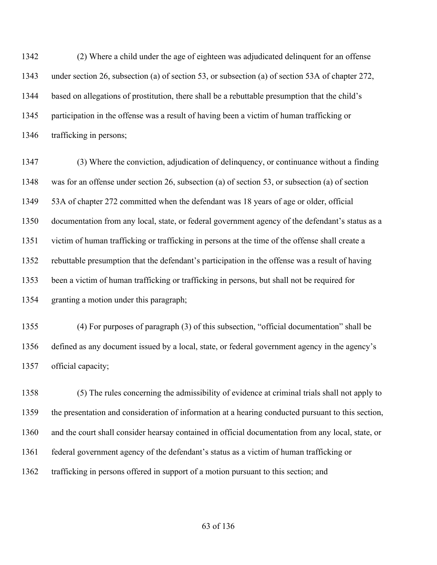(2) Where a child under the age of eighteen was adjudicated delinquent for an offense under section 26, subsection (a) of section 53, or subsection (a) of section 53A of chapter 272, based on allegations of prostitution, there shall be a rebuttable presumption that the child's participation in the offense was a result of having been a victim of human trafficking or trafficking in persons;

 (3) Where the conviction, adjudication of delinquency, or continuance without a finding was for an offense under section 26, subsection (a) of section 53, or subsection (a) of section 53A of chapter 272 committed when the defendant was 18 years of age or older, official documentation from any local, state, or federal government agency of the defendant's status as a victim of human trafficking or trafficking in persons at the time of the offense shall create a rebuttable presumption that the defendant's participation in the offense was a result of having been a victim of human trafficking or trafficking in persons, but shall not be required for granting a motion under this paragraph;

 (4) For purposes of paragraph (3) of this subsection, "official documentation" shall be defined as any document issued by a local, state, or federal government agency in the agency's official capacity;

 (5) The rules concerning the admissibility of evidence at criminal trials shall not apply to the presentation and consideration of information at a hearing conducted pursuant to this section, and the court shall consider hearsay contained in official documentation from any local, state, or federal government agency of the defendant's status as a victim of human trafficking or trafficking in persons offered in support of a motion pursuant to this section; and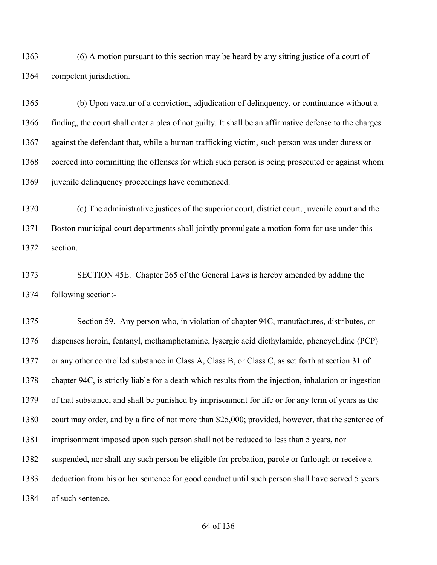(6) A motion pursuant to this section may be heard by any sitting justice of a court of competent jurisdiction.

 (b) Upon vacatur of a conviction, adjudication of delinquency, or continuance without a finding, the court shall enter a plea of not guilty. It shall be an affirmative defense to the charges against the defendant that, while a human trafficking victim, such person was under duress or coerced into committing the offenses for which such person is being prosecuted or against whom 1369 juvenile delinquency proceedings have commenced.

 (c) The administrative justices of the superior court, district court, juvenile court and the Boston municipal court departments shall jointly promulgate a motion form for use under this section.

 SECTION 45E. Chapter 265 of the General Laws is hereby amended by adding the following section:-

 Section 59. Any person who, in violation of chapter 94C, manufactures, distributes, or dispenses heroin, fentanyl, methamphetamine, lysergic acid diethylamide, phencyclidine (PCP) or any other controlled substance in Class A, Class B, or Class C, as set forth at section 31 of chapter 94C, is strictly liable for a death which results from the injection, inhalation or ingestion of that substance, and shall be punished by imprisonment for life or for any term of years as the court may order, and by a fine of not more than \$25,000; provided, however, that the sentence of imprisonment imposed upon such person shall not be reduced to less than 5 years, nor suspended, nor shall any such person be eligible for probation, parole or furlough or receive a deduction from his or her sentence for good conduct until such person shall have served 5 years of such sentence.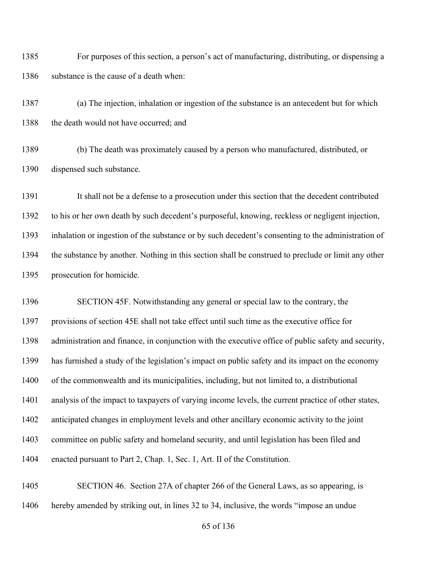For purposes of this section, a person's act of manufacturing, distributing, or dispensing a 1386 substance is the cause of a death when:

 (a) The injection, inhalation or ingestion of the substance is an antecedent but for which 1388 the death would not have occurred; and

 (b) The death was proximately caused by a person who manufactured, distributed, or dispensed such substance.

 It shall not be a defense to a prosecution under this section that the decedent contributed to his or her own death by such decedent's purposeful, knowing, reckless or negligent injection, inhalation or ingestion of the substance or by such decedent's consenting to the administration of the substance by another. Nothing in this section shall be construed to preclude or limit any other prosecution for homicide.

 SECTION 45F. Notwithstanding any general or special law to the contrary, the provisions of section 45E shall not take effect until such time as the executive office for administration and finance, in conjunction with the executive office of public safety and security, has furnished a study of the legislation's impact on public safety and its impact on the economy of the commonwealth and its municipalities, including, but not limited to, a distributional analysis of the impact to taxpayers of varying income levels, the current practice of other states, anticipated changes in employment levels and other ancillary economic activity to the joint committee on public safety and homeland security, and until legislation has been filed and enacted pursuant to Part 2, Chap. 1, Sec. 1, Art. II of the Constitution.

 SECTION 46. Section 27A of chapter 266 of the General Laws, as so appearing, is hereby amended by striking out, in lines 32 to 34, inclusive, the words "impose an undue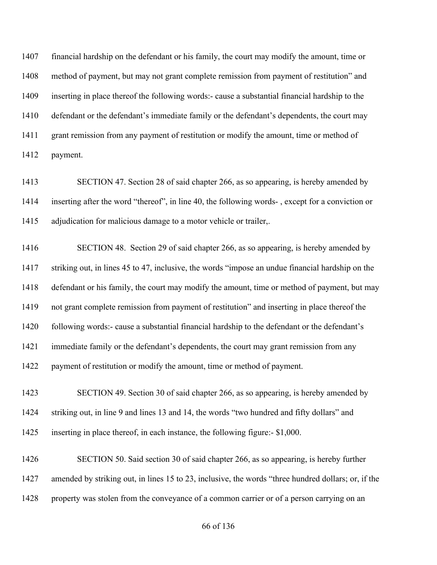financial hardship on the defendant or his family, the court may modify the amount, time or method of payment, but may not grant complete remission from payment of restitution" and inserting in place thereof the following words:- cause a substantial financial hardship to the defendant or the defendant's immediate family or the defendant's dependents, the court may 1411 grant remission from any payment of restitution or modify the amount, time or method of payment.

 SECTION 47. Section 28 of said chapter 266, as so appearing, is hereby amended by inserting after the word "thereof", in line 40, the following words- , except for a conviction or adjudication for malicious damage to a motor vehicle or trailer,.

 SECTION 48. Section 29 of said chapter 266, as so appearing, is hereby amended by striking out, in lines 45 to 47, inclusive, the words "impose an undue financial hardship on the defendant or his family, the court may modify the amount, time or method of payment, but may not grant complete remission from payment of restitution" and inserting in place thereof the 1420 following words:- cause a substantial financial hardship to the defendant or the defendant's immediate family or the defendant's dependents, the court may grant remission from any payment of restitution or modify the amount, time or method of payment.

 SECTION 49. Section 30 of said chapter 266, as so appearing, is hereby amended by striking out, in line 9 and lines 13 and 14, the words "two hundred and fifty dollars" and inserting in place thereof, in each instance, the following figure:- \$1,000.

 SECTION 50. Said section 30 of said chapter 266, as so appearing, is hereby further amended by striking out, in lines 15 to 23, inclusive, the words "three hundred dollars; or, if the property was stolen from the conveyance of a common carrier or of a person carrying on an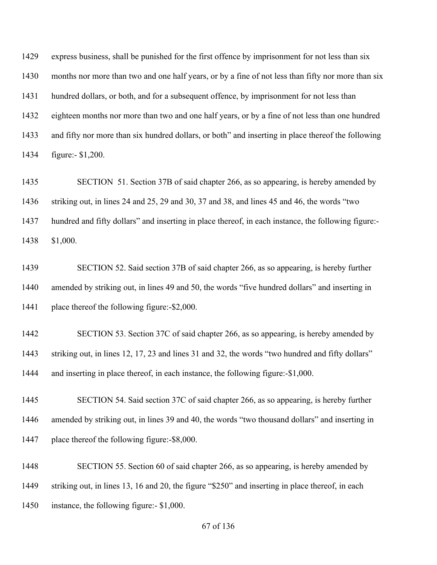express business, shall be punished for the first offence by imprisonment for not less than six months nor more than two and one half years, or by a fine of not less than fifty nor more than six hundred dollars, or both, and for a subsequent offence, by imprisonment for not less than eighteen months nor more than two and one half years, or by a fine of not less than one hundred and fifty nor more than six hundred dollars, or both" and inserting in place thereof the following figure:- \$1,200.

 SECTION 51. Section 37B of said chapter 266, as so appearing, is hereby amended by striking out, in lines 24 and 25, 29 and 30, 37 and 38, and lines 45 and 46, the words "two hundred and fifty dollars" and inserting in place thereof, in each instance, the following figure:- \$1,000.

 SECTION 52. Said section 37B of said chapter 266, as so appearing, is hereby further amended by striking out, in lines 49 and 50, the words "five hundred dollars" and inserting in place thereof the following figure:-\$2,000.

 SECTION 53. Section 37C of said chapter 266, as so appearing, is hereby amended by 1443 striking out, in lines 12, 17, 23 and lines 31 and 32, the words "two hundred and fifty dollars" and inserting in place thereof, in each instance, the following figure:-\$1,000.

 SECTION 54. Said section 37C of said chapter 266, as so appearing, is hereby further amended by striking out, in lines 39 and 40, the words "two thousand dollars" and inserting in place thereof the following figure:-\$8,000.

 SECTION 55. Section 60 of said chapter 266, as so appearing, is hereby amended by striking out, in lines 13, 16 and 20, the figure "\$250" and inserting in place thereof, in each instance, the following figure:- \$1,000.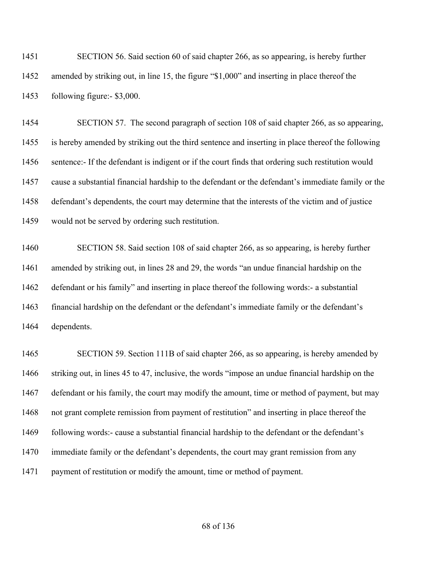SECTION 56. Said section 60 of said chapter 266, as so appearing, is hereby further amended by striking out, in line 15, the figure "\$1,000" and inserting in place thereof the following figure:- \$3,000.

 SECTION 57. The second paragraph of section 108 of said chapter 266, as so appearing, is hereby amended by striking out the third sentence and inserting in place thereof the following sentence:- If the defendant is indigent or if the court finds that ordering such restitution would cause a substantial financial hardship to the defendant or the defendant's immediate family or the defendant's dependents, the court may determine that the interests of the victim and of justice would not be served by ordering such restitution.

 SECTION 58. Said section 108 of said chapter 266, as so appearing, is hereby further amended by striking out, in lines 28 and 29, the words "an undue financial hardship on the defendant or his family" and inserting in place thereof the following words:- a substantial financial hardship on the defendant or the defendant's immediate family or the defendant's dependents.

 SECTION 59. Section 111B of said chapter 266, as so appearing, is hereby amended by striking out, in lines 45 to 47, inclusive, the words "impose an undue financial hardship on the defendant or his family, the court may modify the amount, time or method of payment, but may not grant complete remission from payment of restitution" and inserting in place thereof the 1469 following words:- cause a substantial financial hardship to the defendant or the defendant's immediate family or the defendant's dependents, the court may grant remission from any payment of restitution or modify the amount, time or method of payment.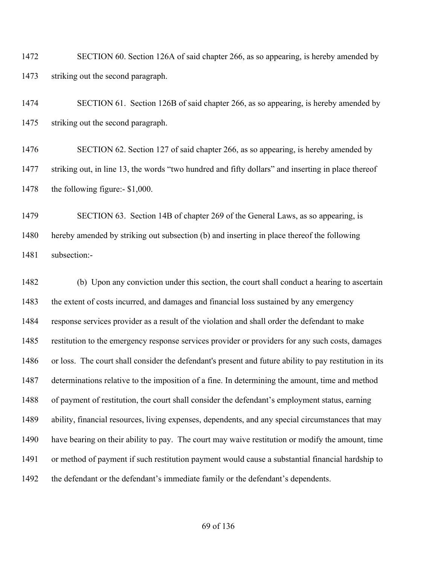SECTION 60. Section 126A of said chapter 266, as so appearing, is hereby amended by striking out the second paragraph.

 SECTION 61. Section 126B of said chapter 266, as so appearing, is hereby amended by striking out the second paragraph.

 SECTION 62. Section 127 of said chapter 266, as so appearing, is hereby amended by striking out, in line 13, the words "two hundred and fifty dollars" and inserting in place thereof 1478 the following figure:- \$1,000.

 SECTION 63. Section 14B of chapter 269 of the General Laws, as so appearing, is hereby amended by striking out subsection (b) and inserting in place thereof the following subsection:-

 (b) Upon any conviction under this section, the court shall conduct a hearing to ascertain 1483 the extent of costs incurred, and damages and financial loss sustained by any emergency response services provider as a result of the violation and shall order the defendant to make restitution to the emergency response services provider or providers for any such costs, damages or loss. The court shall consider the defendant's present and future ability to pay restitution in its determinations relative to the imposition of a fine. In determining the amount, time and method of payment of restitution, the court shall consider the defendant's employment status, earning ability, financial resources, living expenses, dependents, and any special circumstances that may have bearing on their ability to pay. The court may waive restitution or modify the amount, time or method of payment if such restitution payment would cause a substantial financial hardship to the defendant or the defendant's immediate family or the defendant's dependents.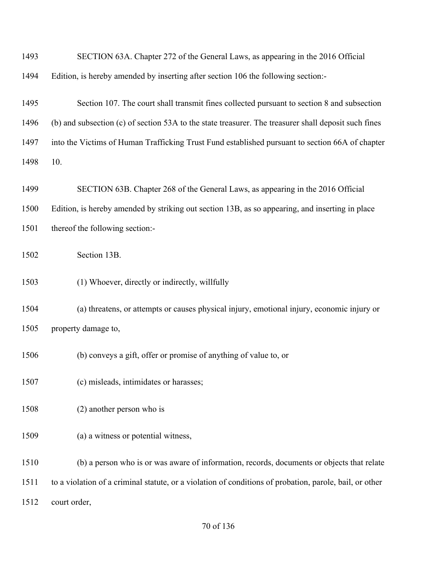| 1493 | SECTION 63A. Chapter 272 of the General Laws, as appearing in the 2016 Official                         |
|------|---------------------------------------------------------------------------------------------------------|
| 1494 | Edition, is hereby amended by inserting after section 106 the following section:-                       |
| 1495 | Section 107. The court shall transmit fines collected pursuant to section 8 and subsection              |
| 1496 | (b) and subsection (c) of section 53A to the state treasurer. The treasurer shall deposit such fines    |
| 1497 | into the Victims of Human Trafficking Trust Fund established pursuant to section 66A of chapter         |
| 1498 | 10.                                                                                                     |
| 1499 | SECTION 63B. Chapter 268 of the General Laws, as appearing in the 2016 Official                         |
| 1500 | Edition, is hereby amended by striking out section 13B, as so appearing, and inserting in place         |
| 1501 | thereof the following section:-                                                                         |
| 1502 | Section 13B.                                                                                            |
| 1503 | (1) Whoever, directly or indirectly, willfully                                                          |
| 1504 | (a) threatens, or attempts or causes physical injury, emotional injury, economic injury or              |
| 1505 | property damage to,                                                                                     |
| 1506 | (b) conveys a gift, offer or promise of anything of value to, or                                        |
| 1507 | (c) misleads, intimidates or harasses;                                                                  |
| 1508 | $(2)$ another person who is                                                                             |
| 1509 | (a) a witness or potential witness,                                                                     |
| 1510 | (b) a person who is or was aware of information, records, documents or objects that relate              |
| 1511 | to a violation of a criminal statute, or a violation of conditions of probation, parole, bail, or other |
| 1512 | court order,                                                                                            |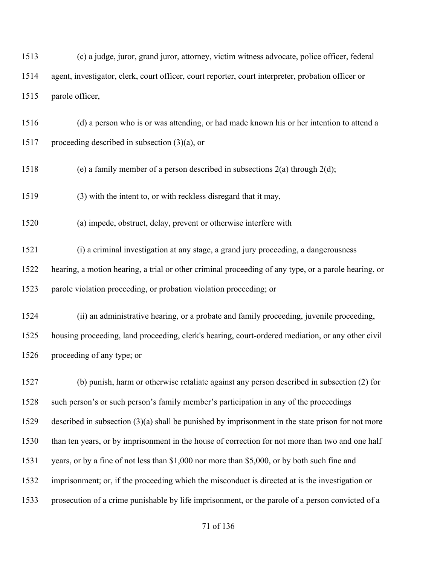(c) a judge, juror, grand juror, attorney, victim witness advocate, police officer, federal agent, investigator, clerk, court officer, court reporter, court interpreter, probation officer or parole officer,

 (d) a person who is or was attending, or had made known his or her intention to attend a 1517 proceeding described in subsection  $(3)(a)$ , or

1518 (e) a family member of a person described in subsections  $2(a)$  through  $2(d)$ ;

(3) with the intent to, or with reckless disregard that it may,

(a) impede, obstruct, delay, prevent or otherwise interfere with

 (i) a criminal investigation at any stage, a grand jury proceeding, a dangerousness hearing, a motion hearing, a trial or other criminal proceeding of any type, or a parole hearing, or parole violation proceeding, or probation violation proceeding; or

 (ii) an administrative hearing, or a probate and family proceeding, juvenile proceeding, housing proceeding, land proceeding, clerk's hearing, court-ordered mediation, or any other civil proceeding of any type; or

 (b) punish, harm or otherwise retaliate against any person described in subsection (2) for such person's or such person's family member's participation in any of the proceedings described in subsection (3)(a) shall be punished by imprisonment in the state prison for not more than ten years, or by imprisonment in the house of correction for not more than two and one half years, or by a fine of not less than \$1,000 nor more than \$5,000, or by both such fine and imprisonment; or, if the proceeding which the misconduct is directed at is the investigation or prosecution of a crime punishable by life imprisonment, or the parole of a person convicted of a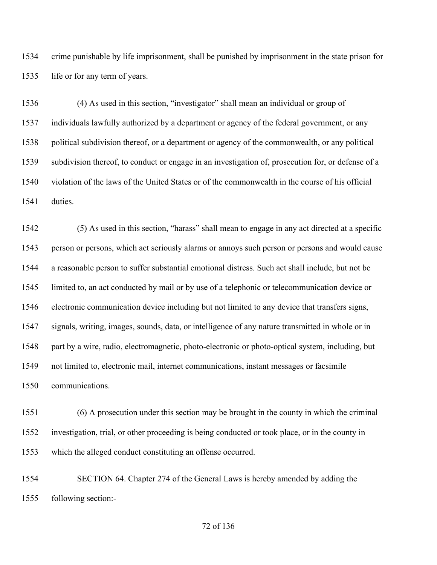crime punishable by life imprisonment, shall be punished by imprisonment in the state prison for life or for any term of years.

 (4) As used in this section, "investigator" shall mean an individual or group of individuals lawfully authorized by a department or agency of the federal government, or any political subdivision thereof, or a department or agency of the commonwealth, or any political subdivision thereof, to conduct or engage in an investigation of, prosecution for, or defense of a violation of the laws of the United States or of the commonwealth in the course of his official duties.

 (5) As used in this section, "harass" shall mean to engage in any act directed at a specific person or persons, which act seriously alarms or annoys such person or persons and would cause a reasonable person to suffer substantial emotional distress. Such act shall include, but not be limited to, an act conducted by mail or by use of a telephonic or telecommunication device or electronic communication device including but not limited to any device that transfers signs, signals, writing, images, sounds, data, or intelligence of any nature transmitted in whole or in part by a wire, radio, electromagnetic, photo-electronic or photo-optical system, including, but not limited to, electronic mail, internet communications, instant messages or facsimile communications.

 (6) A prosecution under this section may be brought in the county in which the criminal investigation, trial, or other proceeding is being conducted or took place, or in the county in which the alleged conduct constituting an offense occurred.

 SECTION 64. Chapter 274 of the General Laws is hereby amended by adding the following section:-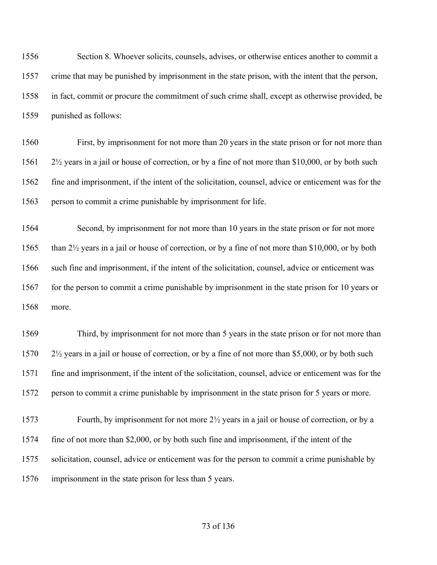Section 8. Whoever solicits, counsels, advises, or otherwise entices another to commit a crime that may be punished by imprisonment in the state prison, with the intent that the person, in fact, commit or procure the commitment of such crime shall, except as otherwise provided, be punished as follows:

 First, by imprisonment for not more than 20 years in the state prison or for not more than 2½ years in a jail or house of correction, or by a fine of not more than \$10,000, or by both such fine and imprisonment, if the intent of the solicitation, counsel, advice or enticement was for the person to commit a crime punishable by imprisonment for life.

 Second, by imprisonment for not more than 10 years in the state prison or for not more than 2½ years in a jail or house of correction, or by a fine of not more than \$10,000, or by both such fine and imprisonment, if the intent of the solicitation, counsel, advice or enticement was 1567 for the person to commit a crime punishable by imprisonment in the state prison for 10 years or more.

 Third, by imprisonment for not more than 5 years in the state prison or for not more than 2½ years in a jail or house of correction, or by a fine of not more than \$5,000, or by both such fine and imprisonment, if the intent of the solicitation, counsel, advice or enticement was for the person to commit a crime punishable by imprisonment in the state prison for 5 years or more.

 Fourth, by imprisonment for not more 2½ years in a jail or house of correction, or by a fine of not more than \$2,000, or by both such fine and imprisonment, if the intent of the solicitation, counsel, advice or enticement was for the person to commit a crime punishable by imprisonment in the state prison for less than 5 years.

## of 136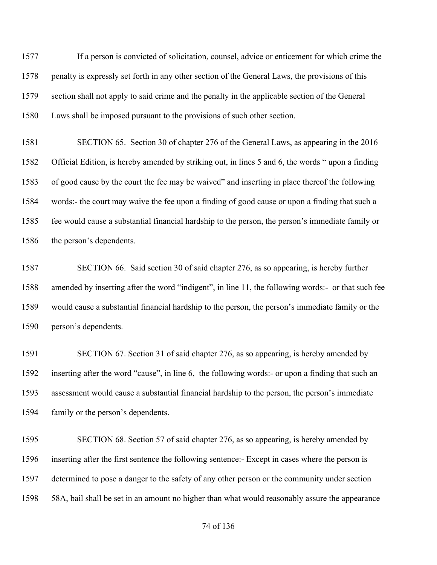If a person is convicted of solicitation, counsel, advice or enticement for which crime the penalty is expressly set forth in any other section of the General Laws, the provisions of this section shall not apply to said crime and the penalty in the applicable section of the General Laws shall be imposed pursuant to the provisions of such other section.

 SECTION 65. Section 30 of chapter 276 of the General Laws, as appearing in the 2016 Official Edition, is hereby amended by striking out, in lines 5 and 6, the words " upon a finding of good cause by the court the fee may be waived" and inserting in place thereof the following words:- the court may waive the fee upon a finding of good cause or upon a finding that such a fee would cause a substantial financial hardship to the person, the person's immediate family or the person's dependents.

 SECTION 66. Said section 30 of said chapter 276, as so appearing, is hereby further amended by inserting after the word "indigent", in line 11, the following words:- or that such fee would cause a substantial financial hardship to the person, the person's immediate family or the person's dependents.

 SECTION 67. Section 31 of said chapter 276, as so appearing, is hereby amended by inserting after the word "cause", in line 6, the following words:- or upon a finding that such an assessment would cause a substantial financial hardship to the person, the person's immediate family or the person's dependents.

 SECTION 68. Section 57 of said chapter 276, as so appearing, is hereby amended by inserting after the first sentence the following sentence:- Except in cases where the person is determined to pose a danger to the safety of any other person or the community under section 58A, bail shall be set in an amount no higher than what would reasonably assure the appearance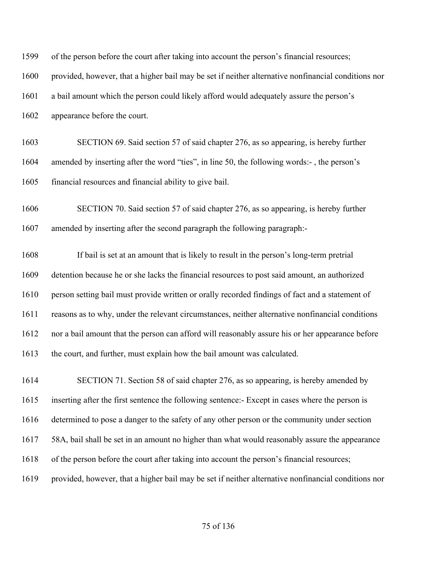| 1599 | of the person before the court after taking into account the person's financial resources;          |  |  |
|------|-----------------------------------------------------------------------------------------------------|--|--|
| 1600 | provided, however, that a higher bail may be set if neither alternative nonfinancial conditions nor |  |  |
| 1601 | a bail amount which the person could likely afford would adequately assure the person's             |  |  |
| 1602 | appearance before the court.                                                                        |  |  |
| 1603 | SECTION 69. Said section 57 of said chapter 276, as so appearing, is hereby further                 |  |  |
| 1604 | amended by inserting after the word "ties", in line 50, the following words:-, the person's         |  |  |
| 1605 | financial resources and financial ability to give bail.                                             |  |  |
| 1606 | SECTION 70. Said section 57 of said chapter 276, as so appearing, is hereby further                 |  |  |
| 1607 | amended by inserting after the second paragraph the following paragraph:-                           |  |  |
| 1608 | If bail is set at an amount that is likely to result in the person's long-term pretrial             |  |  |
| 1609 | detention because he or she lacks the financial resources to post said amount, an authorized        |  |  |
| 1610 | person setting bail must provide written or orally recorded findings of fact and a statement of     |  |  |
| 1611 | reasons as to why, under the relevant circumstances, neither alternative nonfinancial conditions    |  |  |
| 1612 | nor a bail amount that the person can afford will reasonably assure his or her appearance before    |  |  |
| 1613 | the court, and further, must explain how the bail amount was calculated.                            |  |  |
| 1614 | SECTION 71. Section 58 of said chapter 276, as so appearing, is hereby amended by                   |  |  |
| 1615 | inserting after the first sentence the following sentence:- Except in cases where the person is     |  |  |
| 1616 | determined to pose a danger to the safety of any other person or the community under section        |  |  |
| 1617 | 58A, bail shall be set in an amount no higher than what would reasonably assure the appearance      |  |  |
| 1618 | of the person before the court after taking into account the person's financial resources;          |  |  |
| 1619 | provided, however, that a higher bail may be set if neither alternative nonfinancial conditions nor |  |  |

# of 136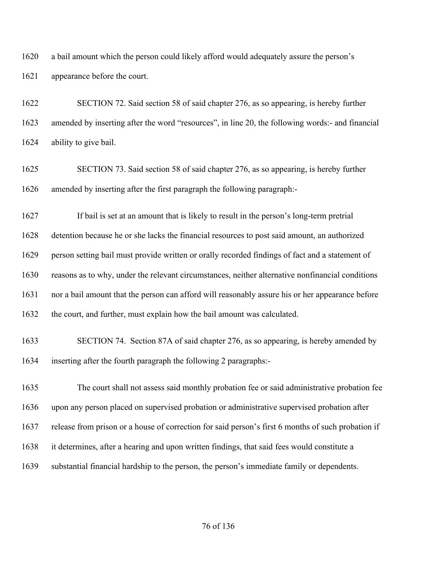a bail amount which the person could likely afford would adequately assure the person's appearance before the court.

 SECTION 72. Said section 58 of said chapter 276, as so appearing, is hereby further amended by inserting after the word "resources", in line 20, the following words:- and financial ability to give bail.

 SECTION 73. Said section 58 of said chapter 276, as so appearing, is hereby further amended by inserting after the first paragraph the following paragraph:-

 If bail is set at an amount that is likely to result in the person's long-term pretrial detention because he or she lacks the financial resources to post said amount, an authorized person setting bail must provide written or orally recorded findings of fact and a statement of reasons as to why, under the relevant circumstances, neither alternative nonfinancial conditions nor a bail amount that the person can afford will reasonably assure his or her appearance before 1632 the court, and further, must explain how the bail amount was calculated.

# SECTION 74. Section 87A of said chapter 276, as so appearing, is hereby amended by inserting after the fourth paragraph the following 2 paragraphs:-

 The court shall not assess said monthly probation fee or said administrative probation fee upon any person placed on supervised probation or administrative supervised probation after release from prison or a house of correction for said person's first 6 months of such probation if it determines, after a hearing and upon written findings, that said fees would constitute a substantial financial hardship to the person, the person's immediate family or dependents.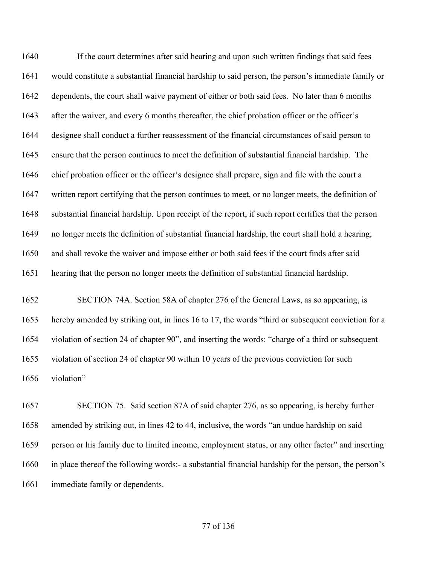If the court determines after said hearing and upon such written findings that said fees would constitute a substantial financial hardship to said person, the person's immediate family or dependents, the court shall waive payment of either or both said fees. No later than 6 months after the waiver, and every 6 months thereafter, the chief probation officer or the officer's designee shall conduct a further reassessment of the financial circumstances of said person to ensure that the person continues to meet the definition of substantial financial hardship. The chief probation officer or the officer's designee shall prepare, sign and file with the court a written report certifying that the person continues to meet, or no longer meets, the definition of substantial financial hardship. Upon receipt of the report, if such report certifies that the person no longer meets the definition of substantial financial hardship, the court shall hold a hearing, and shall revoke the waiver and impose either or both said fees if the court finds after said hearing that the person no longer meets the definition of substantial financial hardship.

 SECTION 74A. Section 58A of chapter 276 of the General Laws, as so appearing, is hereby amended by striking out, in lines 16 to 17, the words "third or subsequent conviction for a violation of section 24 of chapter 90", and inserting the words: "charge of a third or subsequent violation of section 24 of chapter 90 within 10 years of the previous conviction for such violation"

 SECTION 75. Said section 87A of said chapter 276, as so appearing, is hereby further amended by striking out, in lines 42 to 44, inclusive, the words "an undue hardship on said person or his family due to limited income, employment status, or any other factor" and inserting in place thereof the following words:- a substantial financial hardship for the person, the person's immediate family or dependents.

## of 136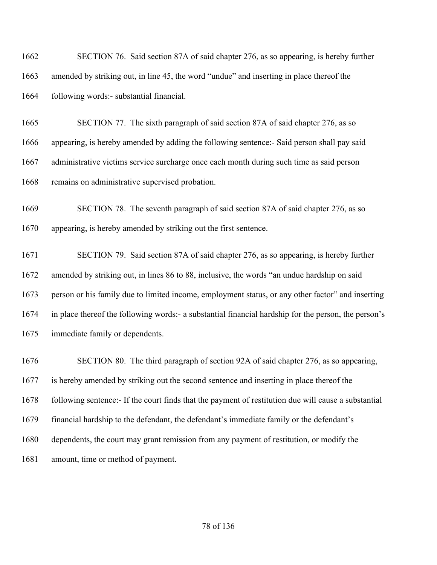| 1662 | SECTION 76. Said section 87A of said chapter 276, as so appearing, is hereby further                 |
|------|------------------------------------------------------------------------------------------------------|
| 1663 | amended by striking out, in line 45, the word "undue" and inserting in place thereof the             |
| 1664 | following words:- substantial financial.                                                             |
| 1665 | SECTION 77. The sixth paragraph of said section 87A of said chapter 276, as so                       |
| 1666 | appearing, is hereby amended by adding the following sentence:- Said person shall pay said           |
| 1667 | administrative victims service surcharge once each month during such time as said person             |
| 1668 | remains on administrative supervised probation.                                                      |
| 1669 | SECTION 78. The seventh paragraph of said section 87A of said chapter 276, as so                     |
| 1670 | appearing, is hereby amended by striking out the first sentence.                                     |
| 1671 | SECTION 79. Said section 87A of said chapter 276, as so appearing, is hereby further                 |
| 1672 | amended by striking out, in lines 86 to 88, inclusive, the words "an undue hardship on said          |
| 1673 | person or his family due to limited income, employment status, or any other factor" and inserting    |
| 1674 | in place thereof the following words:- a substantial financial hardship for the person, the person's |
|      |                                                                                                      |
| 1675 | immediate family or dependents.                                                                      |
| 1676 | SECTION 80. The third paragraph of section 92A of said chapter 276, as so appearing,                 |
| 1677 | is hereby amended by striking out the second sentence and inserting in place thereof the             |
| 1678 | following sentence:- If the court finds that the payment of restitution due will cause a substantial |

dependents, the court may grant remission from any payment of restitution, or modify the

amount, time or method of payment.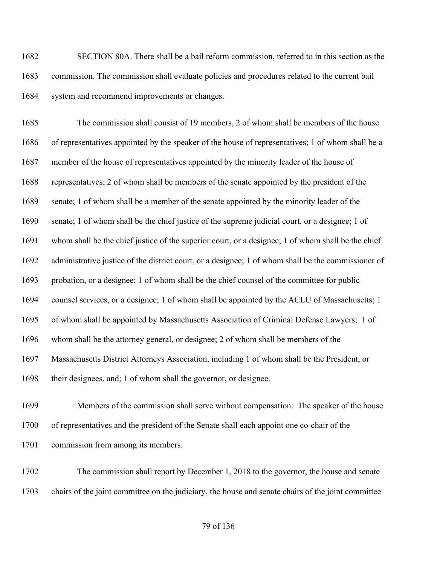SECTION 80A. There shall be a bail reform commission, referred to in this section as the commission. The commission shall evaluate policies and procedures related to the current bail 1684 system and recommend improvements or changes.

 The commission shall consist of 19 members, 2 of whom shall be members of the house of representatives appointed by the speaker of the house of representatives; 1 of whom shall be a member of the house of representatives appointed by the minority leader of the house of representatives; 2 of whom shall be members of the senate appointed by the president of the senate; 1 of whom shall be a member of the senate appointed by the minority leader of the senate; 1 of whom shall be the chief justice of the supreme judicial court, or a designee; 1 of whom shall be the chief justice of the superior court, or a designee; 1 of whom shall be the chief administrative justice of the district court, or a designee; 1 of whom shall be the commissioner of probation, or a designee; 1 of whom shall be the chief counsel of the committee for public counsel services, or a designee; 1 of whom shall be appointed by the ACLU of Massachusetts; 1 of whom shall be appointed by Massachusetts Association of Criminal Defense Lawyers; 1 of whom shall be the attorney general, or designee; 2 of whom shall be members of the Massachusetts District Attorneys Association, including 1 of whom shall be the President, or their designees, and; 1 of whom shall the governor, or designee.

 Members of the commission shall serve without compensation. The speaker of the house of representatives and the president of the Senate shall each appoint one co-chair of the commission from among its members.

 The commission shall report by December 1, 2018 to the governor, the house and senate chairs of the joint committee on the judiciary, the house and senate chairs of the joint committee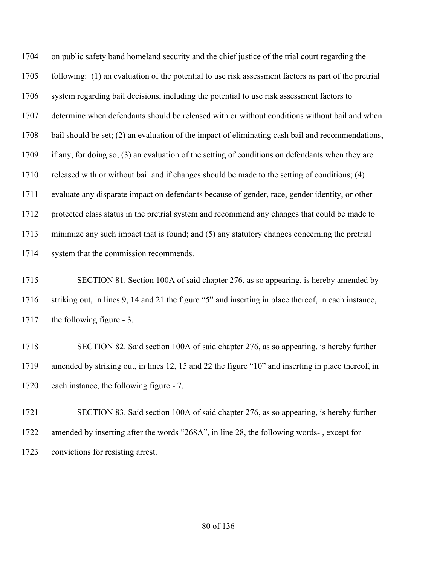on public safety band homeland security and the chief justice of the trial court regarding the following: (1) an evaluation of the potential to use risk assessment factors as part of the pretrial system regarding bail decisions, including the potential to use risk assessment factors to determine when defendants should be released with or without conditions without bail and when bail should be set; (2) an evaluation of the impact of eliminating cash bail and recommendations, if any, for doing so; (3) an evaluation of the setting of conditions on defendants when they are released with or without bail and if changes should be made to the setting of conditions; (4) evaluate any disparate impact on defendants because of gender, race, gender identity, or other protected class status in the pretrial system and recommend any changes that could be made to minimize any such impact that is found; and (5) any statutory changes concerning the pretrial system that the commission recommends.

 SECTION 81. Section 100A of said chapter 276, as so appearing, is hereby amended by striking out, in lines 9, 14 and 21 the figure "5" and inserting in place thereof, in each instance, the following figure:- 3.

 SECTION 82. Said section 100A of said chapter 276, as so appearing, is hereby further amended by striking out, in lines 12, 15 and 22 the figure "10" and inserting in place thereof, in each instance, the following figure:- 7.

 SECTION 83. Said section 100A of said chapter 276, as so appearing, is hereby further amended by inserting after the words "268A", in line 28, the following words- , except for convictions for resisting arrest.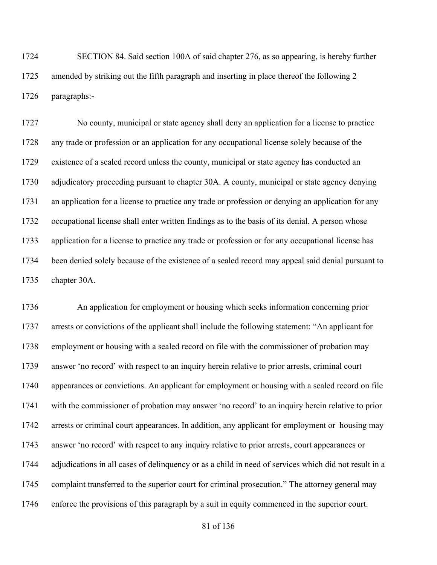SECTION 84. Said section 100A of said chapter 276, as so appearing, is hereby further 1725 amended by striking out the fifth paragraph and inserting in place thereof the following 2 paragraphs:-

 No county, municipal or state agency shall deny an application for a license to practice any trade or profession or an application for any occupational license solely because of the existence of a sealed record unless the county, municipal or state agency has conducted an adjudicatory proceeding pursuant to chapter 30A. A county, municipal or state agency denying an application for a license to practice any trade or profession or denying an application for any occupational license shall enter written findings as to the basis of its denial. A person whose application for a license to practice any trade or profession or for any occupational license has been denied solely because of the existence of a sealed record may appeal said denial pursuant to chapter 30A.

 An application for employment or housing which seeks information concerning prior arrests or convictions of the applicant shall include the following statement: "An applicant for employment or housing with a sealed record on file with the commissioner of probation may answer 'no record' with respect to an inquiry herein relative to prior arrests, criminal court appearances or convictions. An applicant for employment or housing with a sealed record on file with the commissioner of probation may answer 'no record' to an inquiry herein relative to prior arrests or criminal court appearances. In addition, any applicant for employment or housing may answer 'no record' with respect to any inquiry relative to prior arrests, court appearances or adjudications in all cases of delinquency or as a child in need of services which did not result in a complaint transferred to the superior court for criminal prosecution." The attorney general may enforce the provisions of this paragraph by a suit in equity commenced in the superior court.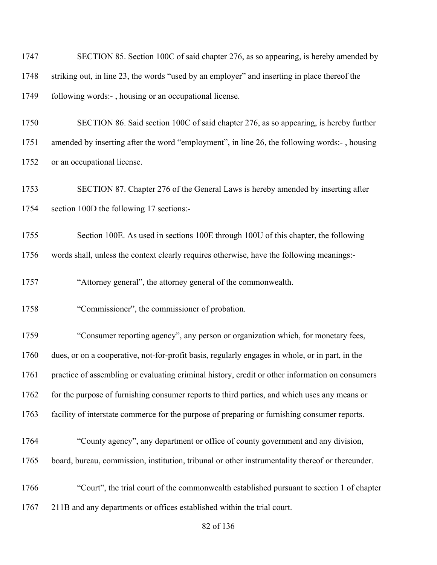| 1747 | SECTION 85. Section 100C of said chapter 276, as so appearing, is hereby amended by              |
|------|--------------------------------------------------------------------------------------------------|
| 1748 | striking out, in line 23, the words "used by an employer" and inserting in place thereof the     |
| 1749 | following words:-, housing or an occupational license.                                           |
| 1750 | SECTION 86. Said section 100C of said chapter 276, as so appearing, is hereby further            |
| 1751 | amended by inserting after the word "employment", in line 26, the following words:-, housing     |
| 1752 | or an occupational license.                                                                      |
| 1753 | SECTION 87. Chapter 276 of the General Laws is hereby amended by inserting after                 |
| 1754 | section 100D the following 17 sections:-                                                         |
| 1755 | Section 100E. As used in sections 100E through 100U of this chapter, the following               |
| 1756 | words shall, unless the context clearly requires otherwise, have the following meanings:-        |
| 1757 | "Attorney general", the attorney general of the commonwealth.                                    |
| 1758 | "Commissioner", the commissioner of probation.                                                   |
| 1759 | "Consumer reporting agency", any person or organization which, for monetary fees,                |
| 1760 | dues, or on a cooperative, not-for-profit basis, regularly engages in whole, or in part, in the  |
| 1761 | practice of assembling or evaluating criminal history, credit or other information on consumers  |
| 1762 | for the purpose of furnishing consumer reports to third parties, and which uses any means or     |
| 1763 | facility of interstate commerce for the purpose of preparing or furnishing consumer reports.     |
| 1764 | "County agency", any department or office of county government and any division,                 |
| 1765 | board, bureau, commission, institution, tribunal or other instrumentality thereof or thereunder. |
| 1766 | "Court", the trial court of the commonwealth established pursuant to section 1 of chapter        |
| 1767 | 211B and any departments or offices established within the trial court.                          |

of 136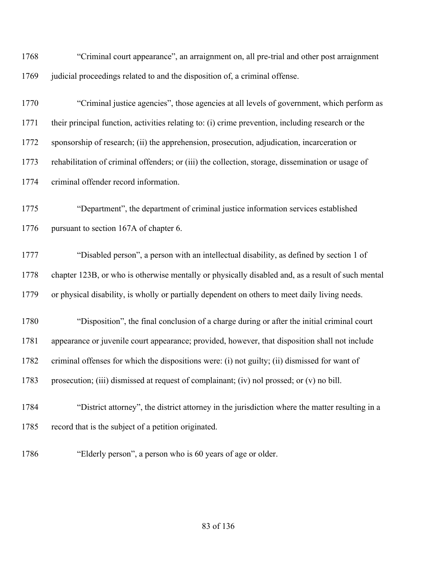| 1768 | "Criminal court appearance", an arraignment on, all pre-trial and other post arraignment          |
|------|---------------------------------------------------------------------------------------------------|
| 1769 | judicial proceedings related to and the disposition of, a criminal offense.                       |
| 1770 | "Criminal justice agencies", those agencies at all levels of government, which perform as         |
| 1771 | their principal function, activities relating to: (i) crime prevention, including research or the |
| 1772 | sponsorship of research; (ii) the apprehension, prosecution, adjudication, incarceration or       |
| 1773 | rehabilitation of criminal offenders; or (iii) the collection, storage, dissemination or usage of |
| 1774 | criminal offender record information.                                                             |
| 1775 | "Department", the department of criminal justice information services established                 |
| 1776 | pursuant to section 167A of chapter 6.                                                            |
| 1777 | "Disabled person", a person with an intellectual disability, as defined by section 1 of           |
| 1778 | chapter 123B, or who is otherwise mentally or physically disabled and, as a result of such mental |
| 1779 | or physical disability, is wholly or partially dependent on others to meet daily living needs.    |
| 1780 | "Disposition", the final conclusion of a charge during or after the initial criminal court        |
| 1781 | appearance or juvenile court appearance; provided, however, that disposition shall not include    |
| 1782 | criminal offenses for which the dispositions were: (i) not guilty; (ii) dismissed for want of     |
| 1783 | prosecution; (iii) dismissed at request of complainant; (iv) nol prossed; or (v) no bill.         |
| 1784 | "District attorney", the district attorney in the jurisdiction where the matter resulting in a    |
| 1785 | record that is the subject of a petition originated.                                              |
| 1786 | "Elderly person", a person who is 60 years of age or older.                                       |

# of 136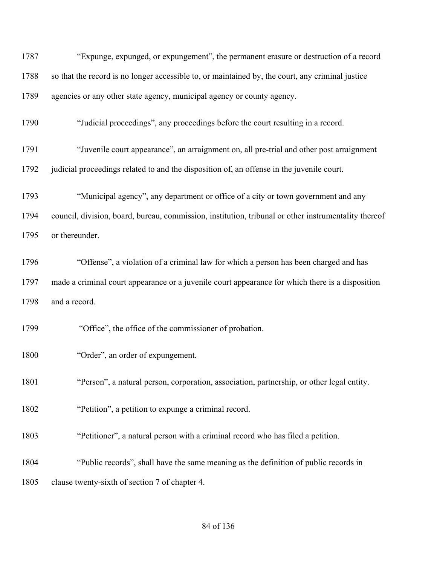| 1787 | "Expunge, expunged, or expungement", the permanent erasure or destruction of a record                |  |  |
|------|------------------------------------------------------------------------------------------------------|--|--|
| 1788 | so that the record is no longer accessible to, or maintained by, the court, any criminal justice     |  |  |
| 1789 | agencies or any other state agency, municipal agency or county agency.                               |  |  |
| 1790 | "Judicial proceedings", any proceedings before the court resulting in a record.                      |  |  |
| 1791 | "Juvenile court appearance", an arraignment on, all pre-trial and other post arraignment             |  |  |
| 1792 | judicial proceedings related to and the disposition of, an offense in the juvenile court.            |  |  |
| 1793 | "Municipal agency", any department or office of a city or town government and any                    |  |  |
| 1794 | council, division, board, bureau, commission, institution, tribunal or other instrumentality thereof |  |  |
| 1795 | or thereunder.                                                                                       |  |  |
| 1796 | "Offense", a violation of a criminal law for which a person has been charged and has                 |  |  |
| 1797 | made a criminal court appearance or a juvenile court appearance for which there is a disposition     |  |  |
| 1798 | and a record.                                                                                        |  |  |
| 1799 | "Office", the office of the commissioner of probation.                                               |  |  |
| 1800 | "Order", an order of expungement.                                                                    |  |  |
| 1801 | "Person", a natural person, corporation, association, partnership, or other legal entity.            |  |  |
| 1802 | "Petition", a petition to expunge a criminal record.                                                 |  |  |
| 1803 | "Petitioner", a natural person with a criminal record who has filed a petition.                      |  |  |
| 1804 | "Public records", shall have the same meaning as the definition of public records in                 |  |  |
| 1805 | clause twenty-sixth of section 7 of chapter 4.                                                       |  |  |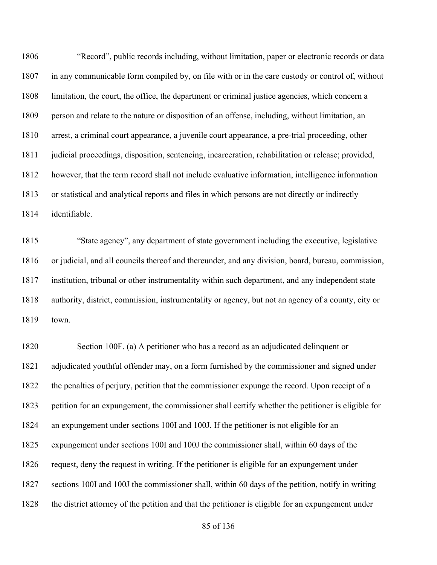"Record", public records including, without limitation, paper or electronic records or data in any communicable form compiled by, on file with or in the care custody or control of, without limitation, the court, the office, the department or criminal justice agencies, which concern a person and relate to the nature or disposition of an offense, including, without limitation, an arrest, a criminal court appearance, a juvenile court appearance, a pre-trial proceeding, other judicial proceedings, disposition, sentencing, incarceration, rehabilitation or release; provided, however, that the term record shall not include evaluative information, intelligence information or statistical and analytical reports and files in which persons are not directly or indirectly identifiable.

 "State agency", any department of state government including the executive, legislative or judicial, and all councils thereof and thereunder, and any division, board, bureau, commission, institution, tribunal or other instrumentality within such department, and any independent state authority, district, commission, instrumentality or agency, but not an agency of a county, city or town.

 Section 100F. (a) A petitioner who has a record as an adjudicated delinquent or adjudicated youthful offender may, on a form furnished by the commissioner and signed under the penalties of perjury, petition that the commissioner expunge the record. Upon receipt of a petition for an expungement, the commissioner shall certify whether the petitioner is eligible for an expungement under sections 100I and 100J. If the petitioner is not eligible for an expungement under sections 100I and 100J the commissioner shall, within 60 days of the request, deny the request in writing. If the petitioner is eligible for an expungement under sections 100I and 100J the commissioner shall, within 60 days of the petition, notify in writing the district attorney of the petition and that the petitioner is eligible for an expungement under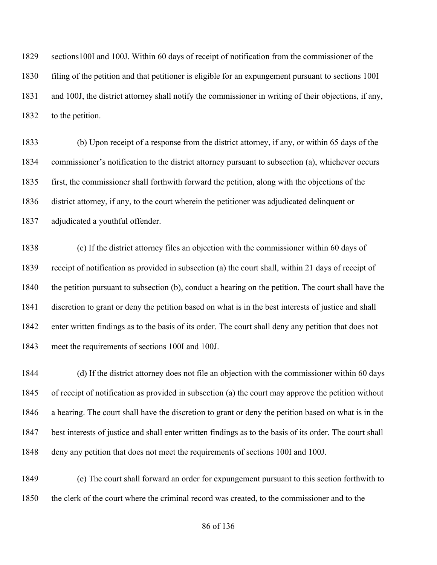sections100I and 100J. Within 60 days of receipt of notification from the commissioner of the filing of the petition and that petitioner is eligible for an expungement pursuant to sections 100I and 100J, the district attorney shall notify the commissioner in writing of their objections, if any, to the petition.

 (b) Upon receipt of a response from the district attorney, if any, or within 65 days of the commissioner's notification to the district attorney pursuant to subsection (a), whichever occurs first, the commissioner shall forthwith forward the petition, along with the objections of the district attorney, if any, to the court wherein the petitioner was adjudicated delinquent or adjudicated a youthful offender.

 (c) If the district attorney files an objection with the commissioner within 60 days of receipt of notification as provided in subsection (a) the court shall, within 21 days of receipt of the petition pursuant to subsection (b), conduct a hearing on the petition. The court shall have the discretion to grant or deny the petition based on what is in the best interests of justice and shall enter written findings as to the basis of its order. The court shall deny any petition that does not meet the requirements of sections 100I and 100J.

 (d) If the district attorney does not file an objection with the commissioner within 60 days of receipt of notification as provided in subsection (a) the court may approve the petition without a hearing. The court shall have the discretion to grant or deny the petition based on what is in the best interests of justice and shall enter written findings as to the basis of its order. The court shall deny any petition that does not meet the requirements of sections 100I and 100J.

 (e) The court shall forward an order for expungement pursuant to this section forthwith to the clerk of the court where the criminal record was created, to the commissioner and to the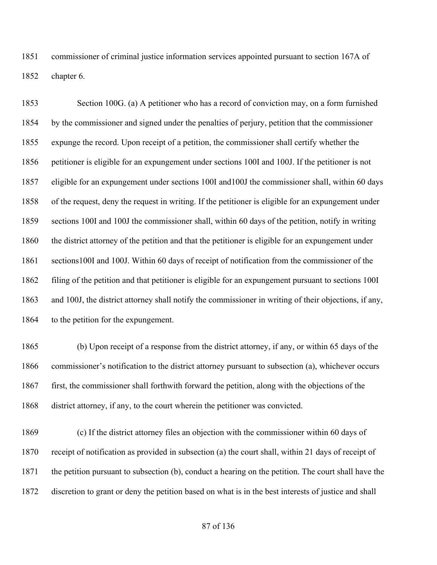commissioner of criminal justice information services appointed pursuant to section 167A of chapter 6.

 Section 100G. (a) A petitioner who has a record of conviction may, on a form furnished by the commissioner and signed under the penalties of perjury, petition that the commissioner expunge the record. Upon receipt of a petition, the commissioner shall certify whether the petitioner is eligible for an expungement under sections 100I and 100J. If the petitioner is not eligible for an expungement under sections 100I and100J the commissioner shall, within 60 days of the request, deny the request in writing. If the petitioner is eligible for an expungement under sections 100I and 100J the commissioner shall, within 60 days of the petition, notify in writing the district attorney of the petition and that the petitioner is eligible for an expungement under sections100I and 100J. Within 60 days of receipt of notification from the commissioner of the filing of the petition and that petitioner is eligible for an expungement pursuant to sections 100I and 100J, the district attorney shall notify the commissioner in writing of their objections, if any, 1864 to the petition for the expungement.

 (b) Upon receipt of a response from the district attorney, if any, or within 65 days of the commissioner's notification to the district attorney pursuant to subsection (a), whichever occurs first, the commissioner shall forthwith forward the petition, along with the objections of the district attorney, if any, to the court wherein the petitioner was convicted.

 (c) If the district attorney files an objection with the commissioner within 60 days of receipt of notification as provided in subsection (a) the court shall, within 21 days of receipt of the petition pursuant to subsection (b), conduct a hearing on the petition. The court shall have the discretion to grant or deny the petition based on what is in the best interests of justice and shall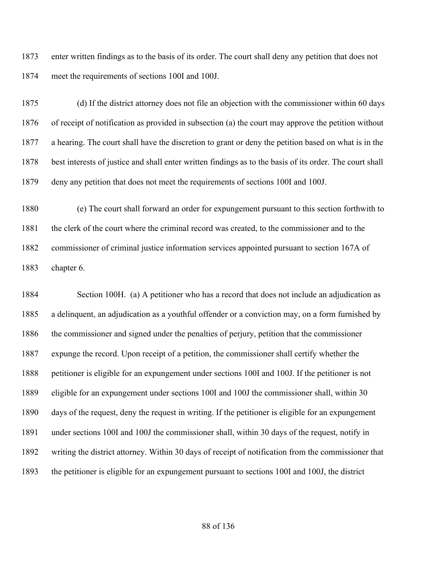enter written findings as to the basis of its order. The court shall deny any petition that does not meet the requirements of sections 100I and 100J.

 (d) If the district attorney does not file an objection with the commissioner within 60 days of receipt of notification as provided in subsection (a) the court may approve the petition without a hearing. The court shall have the discretion to grant or deny the petition based on what is in the best interests of justice and shall enter written findings as to the basis of its order. The court shall deny any petition that does not meet the requirements of sections 100I and 100J.

 (e) The court shall forward an order for expungement pursuant to this section forthwith to the clerk of the court where the criminal record was created, to the commissioner and to the commissioner of criminal justice information services appointed pursuant to section 167A of chapter 6.

 Section 100H. (a) A petitioner who has a record that does not include an adjudication as a delinquent, an adjudication as a youthful offender or a conviction may, on a form furnished by the commissioner and signed under the penalties of perjury, petition that the commissioner expunge the record. Upon receipt of a petition, the commissioner shall certify whether the petitioner is eligible for an expungement under sections 100I and 100J. If the petitioner is not eligible for an expungement under sections 100I and 100J the commissioner shall, within 30 days of the request, deny the request in writing. If the petitioner is eligible for an expungement under sections 100I and 100J the commissioner shall, within 30 days of the request, notify in writing the district attorney. Within 30 days of receipt of notification from the commissioner that the petitioner is eligible for an expungement pursuant to sections 100I and 100J, the district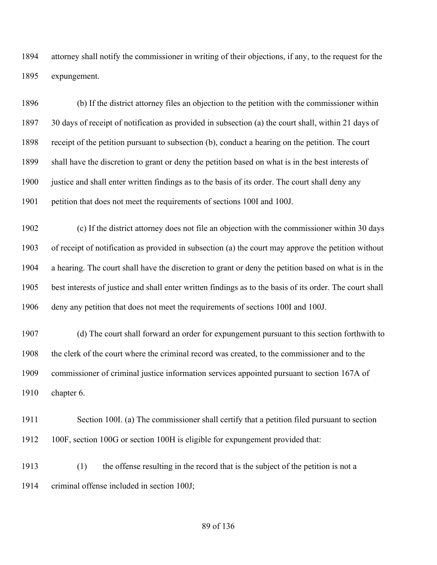attorney shall notify the commissioner in writing of their objections, if any, to the request for the expungement.

 (b) If the district attorney files an objection to the petition with the commissioner within 30 days of receipt of notification as provided in subsection (a) the court shall, within 21 days of receipt of the petition pursuant to subsection (b), conduct a hearing on the petition. The court shall have the discretion to grant or deny the petition based on what is in the best interests of justice and shall enter written findings as to the basis of its order. The court shall deny any petition that does not meet the requirements of sections 100I and 100J.

 (c) If the district attorney does not file an objection with the commissioner within 30 days of receipt of notification as provided in subsection (a) the court may approve the petition without a hearing. The court shall have the discretion to grant or deny the petition based on what is in the best interests of justice and shall enter written findings as to the basis of its order. The court shall deny any petition that does not meet the requirements of sections 100I and 100J.

 (d) The court shall forward an order for expungement pursuant to this section forthwith to the clerk of the court where the criminal record was created, to the commissioner and to the commissioner of criminal justice information services appointed pursuant to section 167A of chapter 6.

 Section 100I. (a) The commissioner shall certify that a petition filed pursuant to section 100F, section 100G or section 100H is eligible for expungement provided that:

 (1) the offense resulting in the record that is the subject of the petition is not a criminal offense included in section 100J;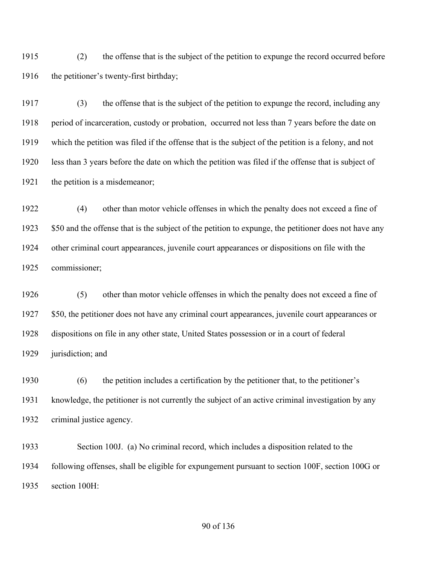(2) the offense that is the subject of the petition to expunge the record occurred before 1916 the petitioner's twenty-first birthday;

 (3) the offense that is the subject of the petition to expunge the record, including any period of incarceration, custody or probation, occurred not less than 7 years before the date on which the petition was filed if the offense that is the subject of the petition is a felony, and not less than 3 years before the date on which the petition was filed if the offense that is subject of 1921 the petition is a misdemeanor;

 (4) other than motor vehicle offenses in which the penalty does not exceed a fine of 1923 \$50 and the offense that is the subject of the petition to expunge, the petitioner does not have any other criminal court appearances, juvenile court appearances or dispositions on file with the commissioner;

 (5) other than motor vehicle offenses in which the penalty does not exceed a fine of 1927 \$50, the petitioner does not have any criminal court appearances, juvenile court appearances or dispositions on file in any other state, United States possession or in a court of federal jurisdiction; and

 (6) the petition includes a certification by the petitioner that, to the petitioner's knowledge, the petitioner is not currently the subject of an active criminal investigation by any criminal justice agency.

 Section 100J. (a) No criminal record, which includes a disposition related to the following offenses, shall be eligible for expungement pursuant to section 100F, section 100G or section 100H: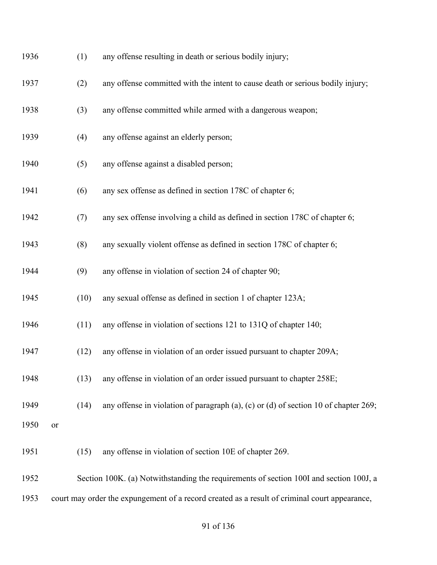| 1936 |           | (1)  | any offense resulting in death or serious bodily injury;                                      |
|------|-----------|------|-----------------------------------------------------------------------------------------------|
| 1937 |           | (2)  | any offense committed with the intent to cause death or serious bodily injury;                |
| 1938 |           | (3)  | any offense committed while armed with a dangerous weapon;                                    |
| 1939 |           | (4)  | any offense against an elderly person;                                                        |
| 1940 |           | (5)  | any offense against a disabled person;                                                        |
| 1941 |           | (6)  | any sex offense as defined in section 178C of chapter 6;                                      |
| 1942 |           | (7)  | any sex offense involving a child as defined in section 178C of chapter 6;                    |
| 1943 |           | (8)  | any sexually violent offense as defined in section 178C of chapter 6;                         |
| 1944 |           | (9)  | any offense in violation of section 24 of chapter 90;                                         |
| 1945 |           | (10) | any sexual offense as defined in section 1 of chapter 123A;                                   |
| 1946 |           | (11) | any offense in violation of sections 121 to 131Q of chapter 140;                              |
| 1947 |           | (12) | any offense in violation of an order issued pursuant to chapter 209A;                         |
| 1948 |           | (13) | any offense in violation of an order issued pursuant to chapter 258E;                         |
| 1949 |           | (14) | any offense in violation of paragraph $(a)$ , $(c)$ or $(d)$ of section 10 of chapter 269;    |
| 1950 | <b>or</b> |      |                                                                                               |
| 1951 |           | (15) | any offense in violation of section 10E of chapter 269.                                       |
| 1952 |           |      | Section 100K. (a) Notwithstanding the requirements of section 100I and section 100J, a        |
| 1953 |           |      | court may order the expungement of a record created as a result of criminal court appearance, |
|      |           |      |                                                                                               |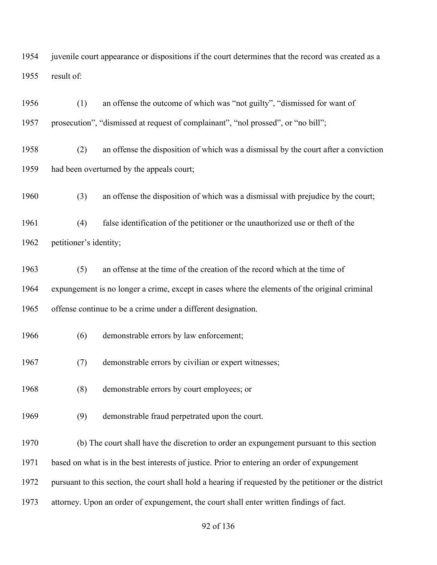juvenile court appearance or dispositions if the court determines that the record was created as a result of:

 (1) an offense the outcome of which was "not guilty", "dismissed for want of prosecution", "dismissed at request of complainant", "nol prossed", or "no bill";

 (2) an offense the disposition of which was a dismissal by the court after a conviction had been overturned by the appeals court;

(3) an offense the disposition of which was a dismissal with prejudice by the court;

 (4) false identification of the petitioner or the unauthorized use or theft of the petitioner's identity;

 (5) an offense at the time of the creation of the record which at the time of expungement is no longer a crime, except in cases where the elements of the original criminal offense continue to be a crime under a different designation.

- (6) demonstrable errors by law enforcement;
- (7) demonstrable errors by civilian or expert witnesses;
- (8) demonstrable errors by court employees; or
- (9) demonstrable fraud perpetrated upon the court.
- (b) The court shall have the discretion to order an expungement pursuant to this section
- based on what is in the best interests of justice. Prior to entering an order of expungement

pursuant to this section, the court shall hold a hearing if requested by the petitioner or the district

attorney. Upon an order of expungement, the court shall enter written findings of fact.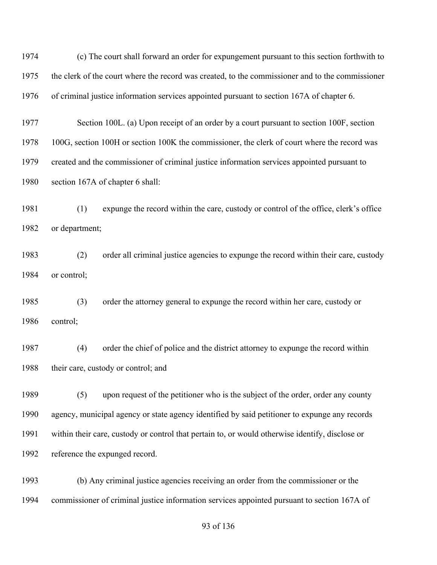| 1974 | (c) The court shall forward an order for expungement pursuant to this section forthwith to       |  |  |
|------|--------------------------------------------------------------------------------------------------|--|--|
| 1975 | the clerk of the court where the record was created, to the commissioner and to the commissioner |  |  |
| 1976 | of criminal justice information services appointed pursuant to section 167A of chapter 6.        |  |  |
| 1977 | Section 100L. (a) Upon receipt of an order by a court pursuant to section 100F, section          |  |  |
| 1978 | 100G, section 100H or section 100K the commissioner, the clerk of court where the record was     |  |  |
| 1979 | created and the commissioner of criminal justice information services appointed pursuant to      |  |  |
| 1980 | section 167A of chapter 6 shall:                                                                 |  |  |
| 1981 | (1)<br>expunge the record within the care, custody or control of the office, clerk's office      |  |  |
| 1982 | or department;                                                                                   |  |  |
| 1983 | (2)<br>order all criminal justice agencies to expunge the record within their care, custody      |  |  |
| 1984 | or control;                                                                                      |  |  |
| 1985 | (3)<br>order the attorney general to expunge the record within her care, custody or              |  |  |
| 1986 | control;                                                                                         |  |  |
| 1987 | order the chief of police and the district attorney to expunge the record within<br>(4)          |  |  |
| 1988 | their care, custody or control; and                                                              |  |  |
| 1989 | upon request of the petitioner who is the subject of the order, order any county<br>(5)          |  |  |
| 1990 | agency, municipal agency or state agency identified by said petitioner to expunge any records    |  |  |
| 1991 | within their care, custody or control that pertain to, or would otherwise identify, disclose or  |  |  |
| 1992 | reference the expunged record.                                                                   |  |  |
| 1993 | (b) Any criminal justice agencies receiving an order from the commissioner or the                |  |  |
| 1994 | commissioner of criminal justice information services appointed pursuant to section 167A of      |  |  |

of 136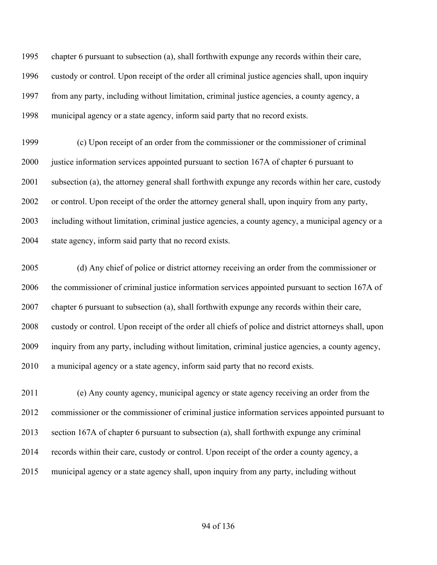chapter 6 pursuant to subsection (a), shall forthwith expunge any records within their care, custody or control. Upon receipt of the order all criminal justice agencies shall, upon inquiry from any party, including without limitation, criminal justice agencies, a county agency, a municipal agency or a state agency, inform said party that no record exists.

 (c) Upon receipt of an order from the commissioner or the commissioner of criminal 2000 justice information services appointed pursuant to section 167A of chapter 6 pursuant to subsection (a), the attorney general shall forthwith expunge any records within her care, custody or control. Upon receipt of the order the attorney general shall, upon inquiry from any party, including without limitation, criminal justice agencies, a county agency, a municipal agency or a state agency, inform said party that no record exists.

 (d) Any chief of police or district attorney receiving an order from the commissioner or the commissioner of criminal justice information services appointed pursuant to section 167A of chapter 6 pursuant to subsection (a), shall forthwith expunge any records within their care, custody or control. Upon receipt of the order all chiefs of police and district attorneys shall, upon inquiry from any party, including without limitation, criminal justice agencies, a county agency, a municipal agency or a state agency, inform said party that no record exists.

 (e) Any county agency, municipal agency or state agency receiving an order from the commissioner or the commissioner of criminal justice information services appointed pursuant to section 167A of chapter 6 pursuant to subsection (a), shall forthwith expunge any criminal records within their care, custody or control. Upon receipt of the order a county agency, a municipal agency or a state agency shall, upon inquiry from any party, including without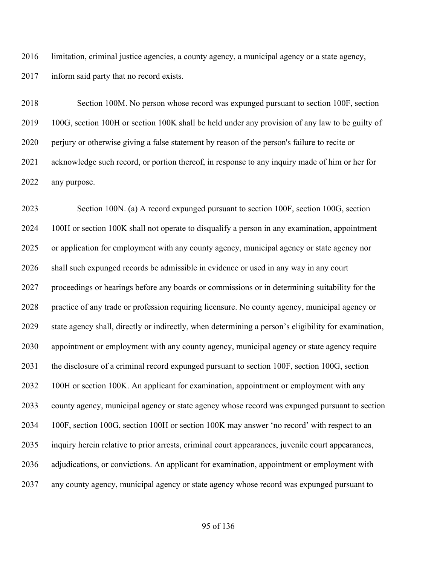limitation, criminal justice agencies, a county agency, a municipal agency or a state agency, inform said party that no record exists.

 Section 100M. No person whose record was expunged pursuant to section 100F, section 100G, section 100H or section 100K shall be held under any provision of any law to be guilty of perjury or otherwise giving a false statement by reason of the person's failure to recite or acknowledge such record, or portion thereof, in response to any inquiry made of him or her for any purpose.

 Section 100N. (a) A record expunged pursuant to section 100F, section 100G, section 100H or section 100K shall not operate to disqualify a person in any examination, appointment or application for employment with any county agency, municipal agency or state agency nor shall such expunged records be admissible in evidence or used in any way in any court proceedings or hearings before any boards or commissions or in determining suitability for the practice of any trade or profession requiring licensure. No county agency, municipal agency or state agency shall, directly or indirectly, when determining a person's eligibility for examination, appointment or employment with any county agency, municipal agency or state agency require the disclosure of a criminal record expunged pursuant to section 100F, section 100G, section 100H or section 100K. An applicant for examination, appointment or employment with any county agency, municipal agency or state agency whose record was expunged pursuant to section 100F, section 100G, section 100H or section 100K may answer 'no record' with respect to an inquiry herein relative to prior arrests, criminal court appearances, juvenile court appearances, adjudications, or convictions. An applicant for examination, appointment or employment with any county agency, municipal agency or state agency whose record was expunged pursuant to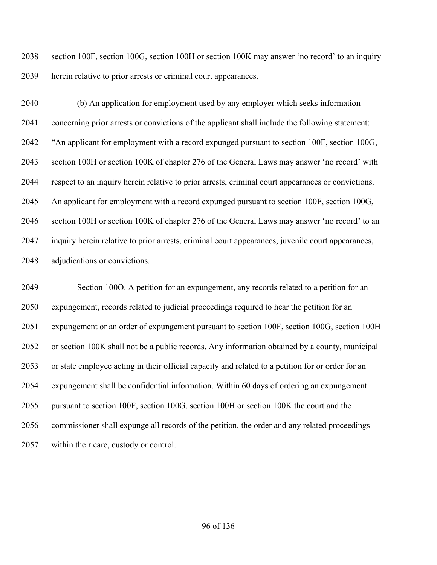section 100F, section 100G, section 100H or section 100K may answer 'no record' to an inquiry herein relative to prior arrests or criminal court appearances.

 (b) An application for employment used by any employer which seeks information concerning prior arrests or convictions of the applicant shall include the following statement: "An applicant for employment with a record expunged pursuant to section 100F, section 100G, section 100H or section 100K of chapter 276 of the General Laws may answer 'no record' with respect to an inquiry herein relative to prior arrests, criminal court appearances or convictions. An applicant for employment with a record expunged pursuant to section 100F, section 100G, section 100H or section 100K of chapter 276 of the General Laws may answer 'no record' to an inquiry herein relative to prior arrests, criminal court appearances, juvenile court appearances, adjudications or convictions.

 Section 100O. A petition for an expungement, any records related to a petition for an expungement, records related to judicial proceedings required to hear the petition for an expungement or an order of expungement pursuant to section 100F, section 100G, section 100H or section 100K shall not be a public records. Any information obtained by a county, municipal or state employee acting in their official capacity and related to a petition for or order for an expungement shall be confidential information. Within 60 days of ordering an expungement pursuant to section 100F, section 100G, section 100H or section 100K the court and the commissioner shall expunge all records of the petition, the order and any related proceedings within their care, custody or control.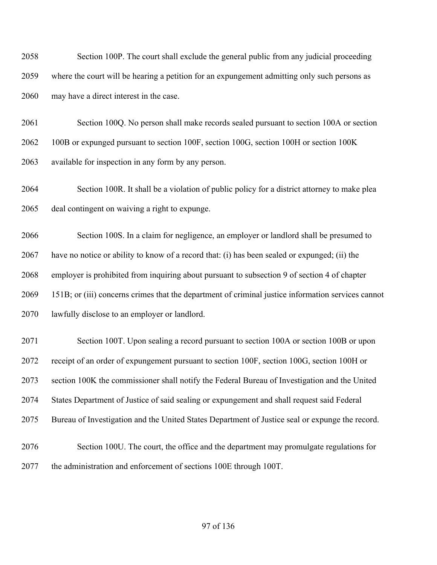Section 100P. The court shall exclude the general public from any judicial proceeding where the court will be hearing a petition for an expungement admitting only such persons as may have a direct interest in the case.

 Section 100Q. No person shall make records sealed pursuant to section 100A or section 100B or expunged pursuant to section 100F, section 100G, section 100H or section 100K available for inspection in any form by any person.

 Section 100R. It shall be a violation of public policy for a district attorney to make plea deal contingent on waiving a right to expunge.

 Section 100S. In a claim for negligence, an employer or landlord shall be presumed to have no notice or ability to know of a record that: (i) has been sealed or expunged; (ii) the employer is prohibited from inquiring about pursuant to subsection 9 of section 4 of chapter 151B; or (iii) concerns crimes that the department of criminal justice information services cannot lawfully disclose to an employer or landlord.

 Section 100T. Upon sealing a record pursuant to section 100A or section 100B or upon receipt of an order of expungement pursuant to section 100F, section 100G, section 100H or section 100K the commissioner shall notify the Federal Bureau of Investigation and the United States Department of Justice of said sealing or expungement and shall request said Federal Bureau of Investigation and the United States Department of Justice seal or expunge the record. Section 100U. The court, the office and the department may promulgate regulations for the administration and enforcement of sections 100E through 100T.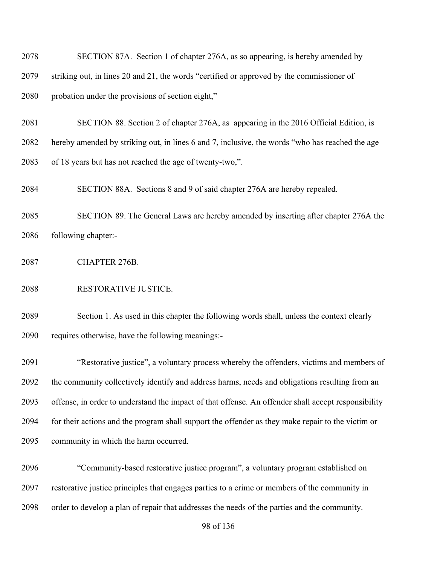| 2079 | striking out, in lines 20 and 21, the words "certified or approved by the commissioner of           |  |  |
|------|-----------------------------------------------------------------------------------------------------|--|--|
| 2080 | probation under the provisions of section eight,"                                                   |  |  |
| 2081 | SECTION 88. Section 2 of chapter 276A, as appearing in the 2016 Official Edition, is                |  |  |
| 2082 | hereby amended by striking out, in lines 6 and 7, inclusive, the words "who has reached the age     |  |  |
| 2083 | of 18 years but has not reached the age of twenty-two,".                                            |  |  |
| 2084 | SECTION 88A. Sections 8 and 9 of said chapter 276A are hereby repealed.                             |  |  |
| 2085 | SECTION 89. The General Laws are hereby amended by inserting after chapter 276A the                 |  |  |
| 2086 | following chapter:-                                                                                 |  |  |
| 2087 | CHAPTER 276B.                                                                                       |  |  |
| 2088 | RESTORATIVE JUSTICE.                                                                                |  |  |
| 2089 | Section 1. As used in this chapter the following words shall, unless the context clearly            |  |  |
| 2090 | requires otherwise, have the following meanings:-                                                   |  |  |
| 2091 | "Restorative justice", a voluntary process whereby the offenders, victims and members of            |  |  |
| 2092 | the community collectively identify and address harms, needs and obligations resulting from an      |  |  |
| 2093 | offense, in order to understand the impact of that offense. An offender shall accept responsibility |  |  |
| 2094 | for their actions and the program shall support the offender as they make repair to the victim or   |  |  |
| 2095 | community in which the harm occurred.                                                               |  |  |
| 2096 | "Community-based restorative justice program", a voluntary program established on                   |  |  |
| 2097 | restorative justice principles that engages parties to a crime or members of the community in       |  |  |

SECTION 87A. Section 1 of chapter 276A, as so appearing, is hereby amended by

order to develop a plan of repair that addresses the needs of the parties and the community.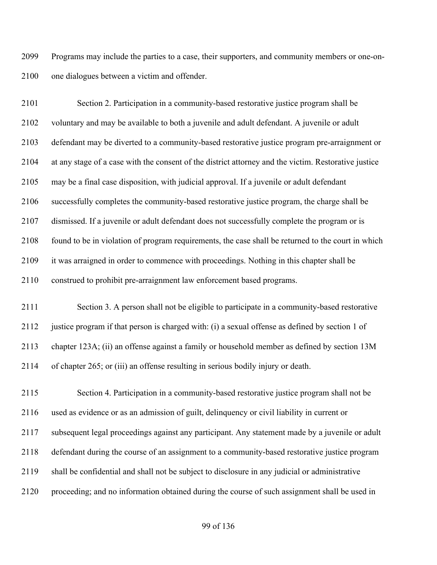Programs may include the parties to a case, their supporters, and community members or one-on-one dialogues between a victim and offender.

 Section 2. Participation in a community-based restorative justice program shall be voluntary and may be available to both a juvenile and adult defendant. A juvenile or adult defendant may be diverted to a community-based restorative justice program pre-arraignment or at any stage of a case with the consent of the district attorney and the victim. Restorative justice may be a final case disposition, with judicial approval. If a juvenile or adult defendant successfully completes the community-based restorative justice program, the charge shall be dismissed. If a juvenile or adult defendant does not successfully complete the program or is found to be in violation of program requirements, the case shall be returned to the court in which it was arraigned in order to commence with proceedings. Nothing in this chapter shall be construed to prohibit pre-arraignment law enforcement based programs.

 Section 3. A person shall not be eligible to participate in a community-based restorative justice program if that person is charged with: (i) a sexual offense as defined by section 1 of chapter 123A; (ii) an offense against a family or household member as defined by section 13M of chapter 265; or (iii) an offense resulting in serious bodily injury or death.

 Section 4. Participation in a community-based restorative justice program shall not be used as evidence or as an admission of guilt, delinquency or civil liability in current or subsequent legal proceedings against any participant. Any statement made by a juvenile or adult defendant during the course of an assignment to a community-based restorative justice program shall be confidential and shall not be subject to disclosure in any judicial or administrative proceeding; and no information obtained during the course of such assignment shall be used in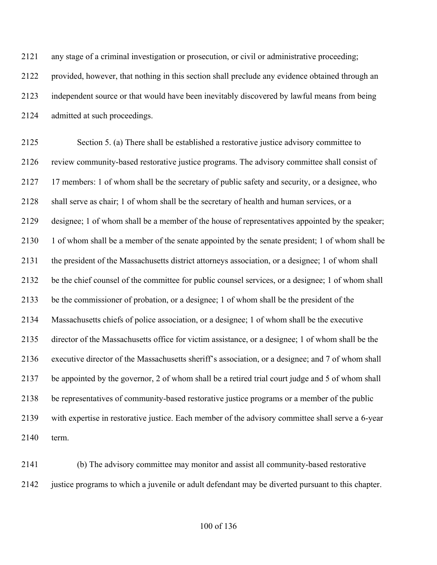| 2121 | any stage of a criminal investigation or prosecution, or civil or administrative proceeding;      |
|------|---------------------------------------------------------------------------------------------------|
| 2122 | provided, however, that nothing in this section shall preclude any evidence obtained through an   |
| 2123 | independent source or that would have been inevitably discovered by lawful means from being       |
| 2124 | admitted at such proceedings.                                                                     |
| 2125 | Section 5. (a) There shall be established a restorative justice advisory committee to             |
| 2126 | review community-based restorative justice programs. The advisory committee shall consist of      |
| 2127 | 17 members: 1 of whom shall be the secretary of public safety and security, or a designee, who    |
| 2128 | shall serve as chair; 1 of whom shall be the secretary of health and human services, or a         |
| 2129 | designee; 1 of whom shall be a member of the house of representatives appointed by the speaker;   |
| 2130 | 1 of whom shall be a member of the senate appointed by the senate president; 1 of whom shall be   |
| 2131 | the president of the Massachusetts district attorneys association, or a designee; 1 of whom shall |
| 2132 | be the chief counsel of the committee for public counsel services, or a designee; 1 of whom shall |
| 2133 | be the commissioner of probation, or a designee; 1 of whom shall be the president of the          |
| 2134 | Massachusetts chiefs of police association, or a designee; 1 of whom shall be the executive       |
| 2135 | director of the Massachusetts office for victim assistance, or a designee; 1 of whom shall be the |
| 2136 | executive director of the Massachusetts sheriff's association, or a designee; and 7 of whom shall |
| 2137 | be appointed by the governor, 2 of whom shall be a retired trial court judge and 5 of whom shall  |
| 2138 | be representatives of community-based restorative justice programs or a member of the public      |
| 2139 | with expertise in restorative justice. Each member of the advisory committee shall serve a 6-year |
| 2140 | term.                                                                                             |
|      |                                                                                                   |

 (b) The advisory committee may monitor and assist all community-based restorative justice programs to which a juvenile or adult defendant may be diverted pursuant to this chapter.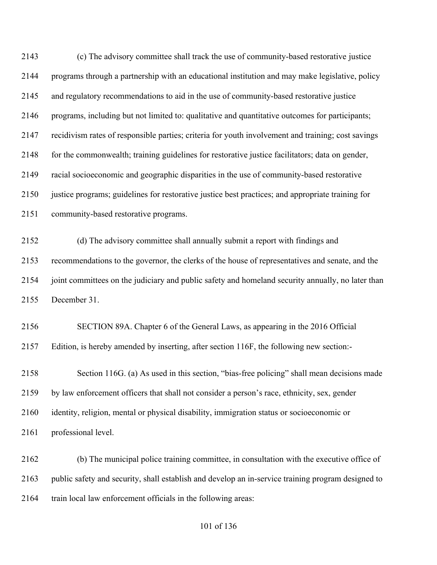(c) The advisory committee shall track the use of community-based restorative justice programs through a partnership with an educational institution and may make legislative, policy and regulatory recommendations to aid in the use of community-based restorative justice programs, including but not limited to: qualitative and quantitative outcomes for participants; recidivism rates of responsible parties; criteria for youth involvement and training; cost savings for the commonwealth; training guidelines for restorative justice facilitators; data on gender, racial socioeconomic and geographic disparities in the use of community-based restorative justice programs; guidelines for restorative justice best practices; and appropriate training for community-based restorative programs. (d) The advisory committee shall annually submit a report with findings and

 recommendations to the governor, the clerks of the house of representatives and senate, and the joint committees on the judiciary and public safety and homeland security annually, no later than December 31.

 SECTION 89A. Chapter 6 of the General Laws, as appearing in the 2016 Official Edition, is hereby amended by inserting, after section 116F, the following new section:-

 Section 116G. (a) As used in this section, "bias-free policing" shall mean decisions made by law enforcement officers that shall not consider a person's race, ethnicity, sex, gender identity, religion, mental or physical disability, immigration status or socioeconomic or professional level.

 (b) The municipal police training committee, in consultation with the executive office of public safety and security, shall establish and develop an in-service training program designed to train local law enforcement officials in the following areas: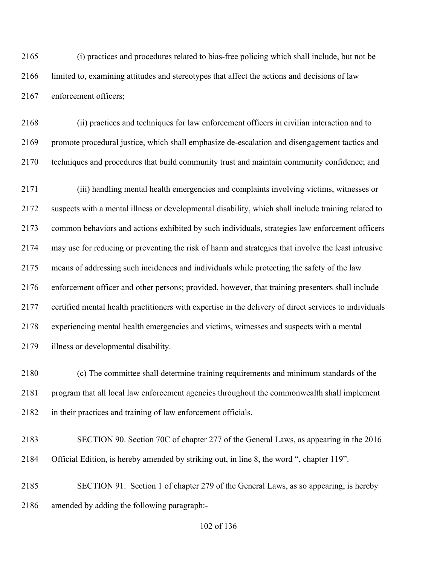(i) practices and procedures related to bias-free policing which shall include, but not be limited to, examining attitudes and stereotypes that affect the actions and decisions of law enforcement officers;

 (ii) practices and techniques for law enforcement officers in civilian interaction and to promote procedural justice, which shall emphasize de-escalation and disengagement tactics and techniques and procedures that build community trust and maintain community confidence; and

 (iii) handling mental health emergencies and complaints involving victims, witnesses or suspects with a mental illness or developmental disability, which shall include training related to common behaviors and actions exhibited by such individuals, strategies law enforcement officers may use for reducing or preventing the risk of harm and strategies that involve the least intrusive means of addressing such incidences and individuals while protecting the safety of the law enforcement officer and other persons; provided, however, that training presenters shall include certified mental health practitioners with expertise in the delivery of direct services to individuals experiencing mental health emergencies and victims, witnesses and suspects with a mental illness or developmental disability.

 (c) The committee shall determine training requirements and minimum standards of the program that all local law enforcement agencies throughout the commonwealth shall implement in their practices and training of law enforcement officials.

- SECTION 90. Section 70C of chapter 277 of the General Laws, as appearing in the 2016 Official Edition, is hereby amended by striking out, in line 8, the word ", chapter 119".
- SECTION 91. Section 1 of chapter 279 of the General Laws, as so appearing, is hereby amended by adding the following paragraph:-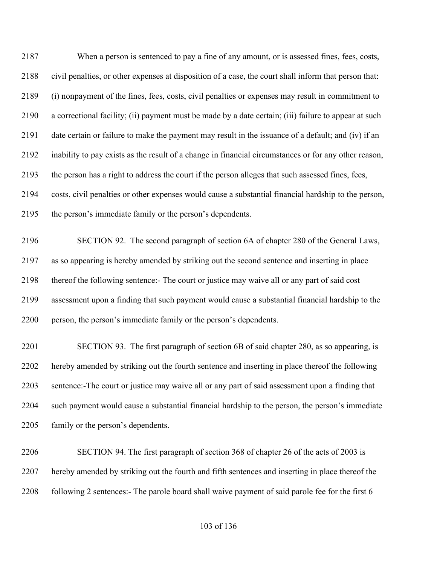When a person is sentenced to pay a fine of any amount, or is assessed fines, fees, costs, civil penalties, or other expenses at disposition of a case, the court shall inform that person that: (i) nonpayment of the fines, fees, costs, civil penalties or expenses may result in commitment to a correctional facility; (ii) payment must be made by a date certain; (iii) failure to appear at such date certain or failure to make the payment may result in the issuance of a default; and (iv) if an inability to pay exists as the result of a change in financial circumstances or for any other reason, the person has a right to address the court if the person alleges that such assessed fines, fees, costs, civil penalties or other expenses would cause a substantial financial hardship to the person, the person's immediate family or the person's dependents.

 SECTION 92. The second paragraph of section 6A of chapter 280 of the General Laws, as so appearing is hereby amended by striking out the second sentence and inserting in place thereof the following sentence:- The court or justice may waive all or any part of said cost assessment upon a finding that such payment would cause a substantial financial hardship to the person, the person's immediate family or the person's dependents.

 SECTION 93. The first paragraph of section 6B of said chapter 280, as so appearing, is hereby amended by striking out the fourth sentence and inserting in place thereof the following sentence:-The court or justice may waive all or any part of said assessment upon a finding that such payment would cause a substantial financial hardship to the person, the person's immediate family or the person's dependents.

 SECTION 94. The first paragraph of section 368 of chapter 26 of the acts of 2003 is hereby amended by striking out the fourth and fifth sentences and inserting in place thereof the 2208 following 2 sentences:- The parole board shall waive payment of said parole fee for the first 6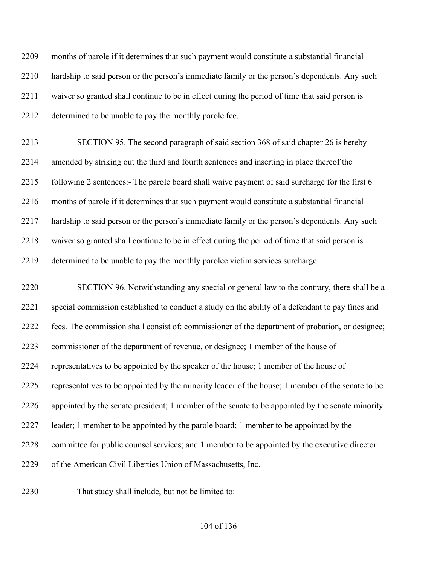months of parole if it determines that such payment would constitute a substantial financial hardship to said person or the person's immediate family or the person's dependents. Any such waiver so granted shall continue to be in effect during the period of time that said person is determined to be unable to pay the monthly parole fee.

 SECTION 95. The second paragraph of said section 368 of said chapter 26 is hereby amended by striking out the third and fourth sentences and inserting in place thereof the following 2 sentences:- The parole board shall waive payment of said surcharge for the first 6 months of parole if it determines that such payment would constitute a substantial financial hardship to said person or the person's immediate family or the person's dependents. Any such waiver so granted shall continue to be in effect during the period of time that said person is determined to be unable to pay the monthly parolee victim services surcharge.

 SECTION 96. Notwithstanding any special or general law to the contrary, there shall be a special commission established to conduct a study on the ability of a defendant to pay fines and fees. The commission shall consist of: commissioner of the department of probation, or designee; commissioner of the department of revenue, or designee; 1 member of the house of representatives to be appointed by the speaker of the house; 1 member of the house of representatives to be appointed by the minority leader of the house; 1 member of the senate to be appointed by the senate president; 1 member of the senate to be appointed by the senate minority leader; 1 member to be appointed by the parole board; 1 member to be appointed by the committee for public counsel services; and 1 member to be appointed by the executive director of the American Civil Liberties Union of Massachusetts, Inc.

That study shall include, but not be limited to: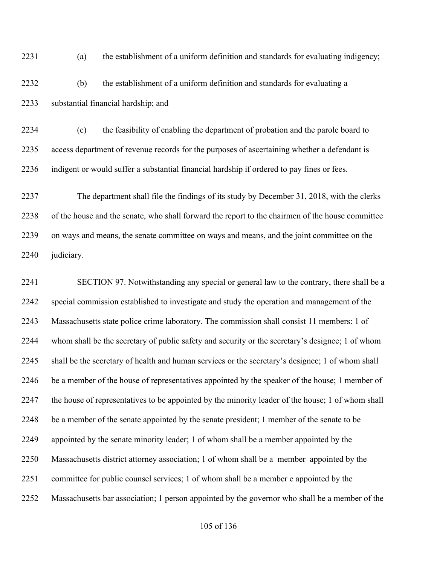(a) the establishment of a uniform definition and standards for evaluating indigency;

 (b) the establishment of a uniform definition and standards for evaluating a substantial financial hardship; and

 (c) the feasibility of enabling the department of probation and the parole board to access department of revenue records for the purposes of ascertaining whether a defendant is indigent or would suffer a substantial financial hardship if ordered to pay fines or fees.

 The department shall file the findings of its study by December 31, 2018, with the clerks of the house and the senate, who shall forward the report to the chairmen of the house committee on ways and means, the senate committee on ways and means, and the joint committee on the judiciary.

 SECTION 97. Notwithstanding any special or general law to the contrary, there shall be a special commission established to investigate and study the operation and management of the Massachusetts state police crime laboratory. The commission shall consist 11 members: 1 of whom shall be the secretary of public safety and security or the secretary's designee; 1 of whom shall be the secretary of health and human services or the secretary's designee; 1 of whom shall be a member of the house of representatives appointed by the speaker of the house; 1 member of the house of representatives to be appointed by the minority leader of the house; 1 of whom shall be a member of the senate appointed by the senate president; 1 member of the senate to be appointed by the senate minority leader; 1 of whom shall be a member appointed by the Massachusetts district attorney association; 1 of whom shall be a member appointed by the committee for public counsel services; 1 of whom shall be a member e appointed by the Massachusetts bar association; 1 person appointed by the governor who shall be a member of the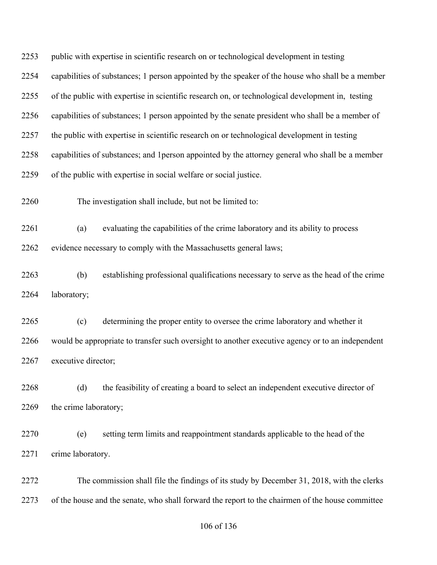| 2253 | public with expertise in scientific research on or technological development in testing          |                                                                                      |  |
|------|--------------------------------------------------------------------------------------------------|--------------------------------------------------------------------------------------|--|
| 2254 | capabilities of substances; 1 person appointed by the speaker of the house who shall be a member |                                                                                      |  |
| 2255 | of the public with expertise in scientific research on, or technological development in, testing |                                                                                      |  |
| 2256 | capabilities of substances; 1 person appointed by the senate president who shall be a member of  |                                                                                      |  |
| 2257 | the public with expertise in scientific research on or technological development in testing      |                                                                                      |  |
| 2258 | capabilities of substances; and 1 person appointed by the attorney general who shall be a member |                                                                                      |  |
| 2259 | of the public with expertise in social welfare or social justice.                                |                                                                                      |  |
| 2260 |                                                                                                  | The investigation shall include, but not be limited to:                              |  |
| 2261 | (a)                                                                                              | evaluating the capabilities of the crime laboratory and its ability to process       |  |
| 2262 |                                                                                                  | evidence necessary to comply with the Massachusetts general laws;                    |  |
| 2263 | (b)                                                                                              | establishing professional qualifications necessary to serve as the head of the crime |  |
| 2264 | laboratory;                                                                                      |                                                                                      |  |
| 2265 | (c)                                                                                              | determining the proper entity to oversee the crime laboratory and whether it         |  |
| 2266 | would be appropriate to transfer such oversight to another executive agency or to an independent |                                                                                      |  |
| 2267 | executive director;                                                                              |                                                                                      |  |
| 2268 | (d)                                                                                              | the feasibility of creating a board to select an independent executive director of   |  |
| 2269 | the crime laboratory;                                                                            |                                                                                      |  |

 (e) setting term limits and reappointment standards applicable to the head of the crime laboratory.

 The commission shall file the findings of its study by December 31, 2018, with the clerks of the house and the senate, who shall forward the report to the chairmen of the house committee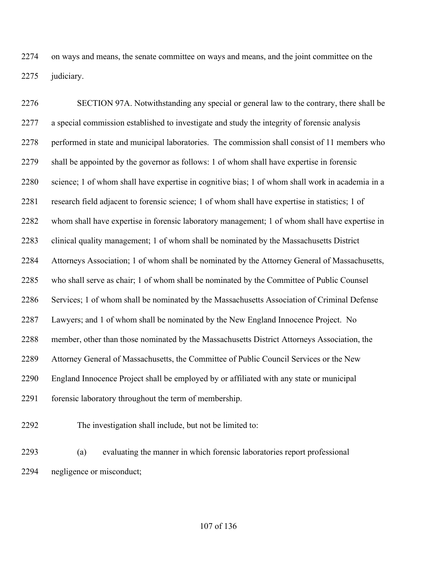on ways and means, the senate committee on ways and means, and the joint committee on the judiciary.

 SECTION 97A. Notwithstanding any special or general law to the contrary, there shall be a special commission established to investigate and study the integrity of forensic analysis performed in state and municipal laboratories. The commission shall consist of 11 members who shall be appointed by the governor as follows: 1 of whom shall have expertise in forensic science; 1 of whom shall have expertise in cognitive bias; 1 of whom shall work in academia in a research field adjacent to forensic science; 1 of whom shall have expertise in statistics; 1 of whom shall have expertise in forensic laboratory management; 1 of whom shall have expertise in clinical quality management; 1 of whom shall be nominated by the Massachusetts District Attorneys Association; 1 of whom shall be nominated by the Attorney General of Massachusetts, who shall serve as chair; 1 of whom shall be nominated by the Committee of Public Counsel Services; 1 of whom shall be nominated by the Massachusetts Association of Criminal Defense Lawyers; and 1 of whom shall be nominated by the New England Innocence Project. No member, other than those nominated by the Massachusetts District Attorneys Association, the Attorney General of Massachusetts, the Committee of Public Council Services or the New England Innocence Project shall be employed by or affiliated with any state or municipal forensic laboratory throughout the term of membership.

The investigation shall include, but not be limited to:

 (a) evaluating the manner in which forensic laboratories report professional negligence or misconduct;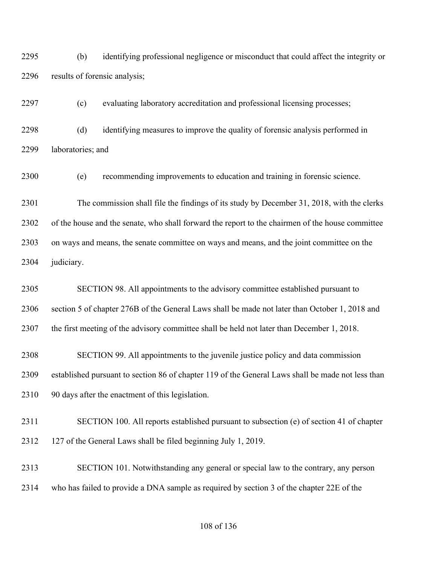(b) identifying professional negligence or misconduct that could affect the integrity or results of forensic analysis;

(c) evaluating laboratory accreditation and professional licensing processes;

 (d) identifying measures to improve the quality of forensic analysis performed in laboratories; and

(e) recommending improvements to education and training in forensic science.

 The commission shall file the findings of its study by December 31, 2018, with the clerks of the house and the senate, who shall forward the report to the chairmen of the house committee on ways and means, the senate committee on ways and means, and the joint committee on the judiciary.

 SECTION 98. All appointments to the advisory committee established pursuant to section 5 of chapter 276B of the General Laws shall be made not later than October 1, 2018 and the first meeting of the advisory committee shall be held not later than December 1, 2018.

 SECTION 99. All appointments to the juvenile justice policy and data commission established pursuant to section 86 of chapter 119 of the General Laws shall be made not less than 90 days after the enactment of this legislation.

 SECTION 100. All reports established pursuant to subsection (e) of section 41 of chapter 127 of the General Laws shall be filed beginning July 1, 2019.

 SECTION 101. Notwithstanding any general or special law to the contrary, any person who has failed to provide a DNA sample as required by section 3 of the chapter 22E of the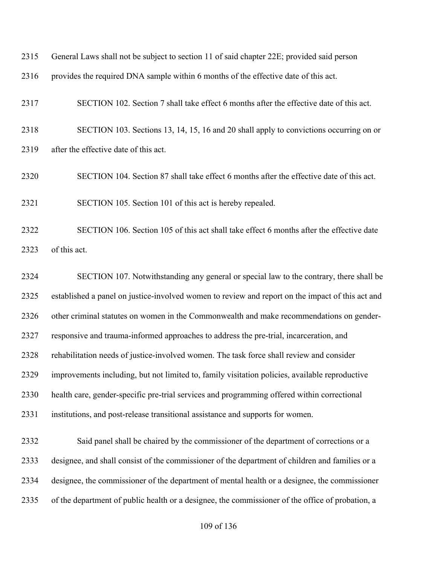| 2315 | General Laws shall not be subject to section 11 of said chapter 22E; provided said person        |
|------|--------------------------------------------------------------------------------------------------|
| 2316 | provides the required DNA sample within 6 months of the effective date of this act.              |
| 2317 | SECTION 102. Section 7 shall take effect 6 months after the effective date of this act.          |
| 2318 | SECTION 103. Sections 13, 14, 15, 16 and 20 shall apply to convictions occurring on or           |
| 2319 | after the effective date of this act.                                                            |
| 2320 | SECTION 104. Section 87 shall take effect 6 months after the effective date of this act.         |
| 2321 | SECTION 105. Section 101 of this act is hereby repealed.                                         |
| 2322 | SECTION 106. Section 105 of this act shall take effect 6 months after the effective date         |
| 2323 | of this act.                                                                                     |
| 2324 | SECTION 107. Notwithstanding any general or special law to the contrary, there shall be          |
| 2325 | established a panel on justice-involved women to review and report on the impact of this act and |
| 2326 | other criminal statutes on women in the Commonwealth and make recommendations on gender-         |
| 2327 | responsive and trauma-informed approaches to address the pre-trial, incarceration, and           |
| 2328 | rehabilitation needs of justice-involved women. The task force shall review and consider         |
| 2329 | improvements including, but not limited to, family visitation policies, available reproductive   |
|      |                                                                                                  |

- health care, gender-specific pre-trial services and programming offered within correctional
- institutions, and post-release transitional assistance and supports for women.

 Said panel shall be chaired by the commissioner of the department of corrections or a designee, and shall consist of the commissioner of the department of children and families or a designee, the commissioner of the department of mental health or a designee, the commissioner of the department of public health or a designee, the commissioner of the office of probation, a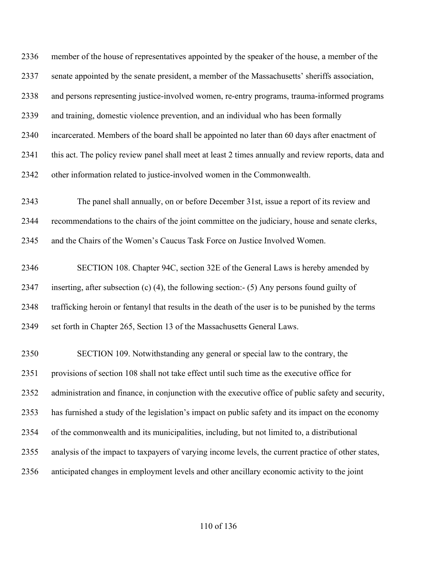member of the house of representatives appointed by the speaker of the house, a member of the senate appointed by the senate president, a member of the Massachusetts' sheriffs association, and persons representing justice-involved women, re-entry programs, trauma-informed programs and training, domestic violence prevention, and an individual who has been formally incarcerated. Members of the board shall be appointed no later than 60 days after enactment of this act. The policy review panel shall meet at least 2 times annually and review reports, data and other information related to justice-involved women in the Commonwealth. The panel shall annually, on or before December 31st, issue a report of its review and recommendations to the chairs of the joint committee on the judiciary, house and senate clerks, and the Chairs of the Women's Caucus Task Force on Justice Involved Women. SECTION 108. Chapter 94C, section 32E of the General Laws is hereby amended by inserting, after subsection (c) (4), the following section:- (5) Any persons found guilty of trafficking heroin or fentanyl that results in the death of the user is to be punished by the terms set forth in Chapter 265, Section 13 of the Massachusetts General Laws. SECTION 109. Notwithstanding any general or special law to the contrary, the provisions of section 108 shall not take effect until such time as the executive office for administration and finance, in conjunction with the executive office of public safety and security, has furnished a study of the legislation's impact on public safety and its impact on the economy

- of the commonwealth and its municipalities, including, but not limited to, a distributional
- analysis of the impact to taxpayers of varying income levels, the current practice of other states,
- anticipated changes in employment levels and other ancillary economic activity to the joint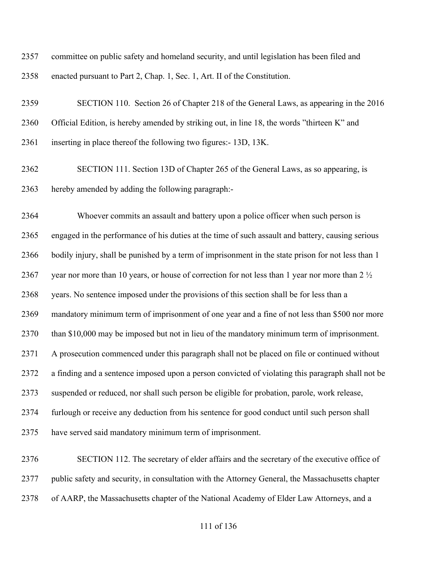committee on public safety and homeland security, and until legislation has been filed and enacted pursuant to Part 2, Chap. 1, Sec. 1, Art. II of the Constitution.

 SECTION 110. Section 26 of Chapter 218 of the General Laws, as appearing in the 2016 Official Edition, is hereby amended by striking out, in line 18, the words "thirteen K" and inserting in place thereof the following two figures:- 13D, 13K.

 SECTION 111. Section 13D of Chapter 265 of the General Laws, as so appearing, is hereby amended by adding the following paragraph:-

 Whoever commits an assault and battery upon a police officer when such person is engaged in the performance of his duties at the time of such assault and battery, causing serious bodily injury, shall be punished by a term of imprisonment in the state prison for not less than 1 2367 year nor more than 10 years, or house of correction for not less than 1 year nor more than 2  $\frac{1}{2}$  years. No sentence imposed under the provisions of this section shall be for less than a mandatory minimum term of imprisonment of one year and a fine of not less than \$500 nor more than \$10,000 may be imposed but not in lieu of the mandatory minimum term of imprisonment. A prosecution commenced under this paragraph shall not be placed on file or continued without a finding and a sentence imposed upon a person convicted of violating this paragraph shall not be suspended or reduced, nor shall such person be eligible for probation, parole, work release, furlough or receive any deduction from his sentence for good conduct until such person shall have served said mandatory minimum term of imprisonment.

 SECTION 112. The secretary of elder affairs and the secretary of the executive office of public safety and security, in consultation with the Attorney General, the Massachusetts chapter of AARP, the Massachusetts chapter of the National Academy of Elder Law Attorneys, and a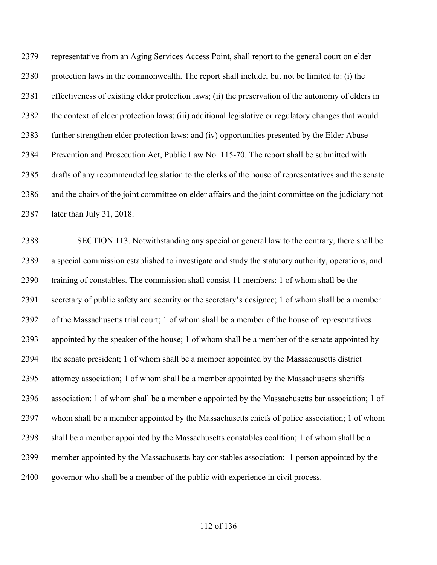representative from an Aging Services Access Point, shall report to the general court on elder protection laws in the commonwealth. The report shall include, but not be limited to: (i) the effectiveness of existing elder protection laws; (ii) the preservation of the autonomy of elders in the context of elder protection laws; (iii) additional legislative or regulatory changes that would further strengthen elder protection laws; and (iv) opportunities presented by the Elder Abuse Prevention and Prosecution Act, Public Law No. 115-70. The report shall be submitted with drafts of any recommended legislation to the clerks of the house of representatives and the senate and the chairs of the joint committee on elder affairs and the joint committee on the judiciary not later than July 31, 2018.

 SECTION 113. Notwithstanding any special or general law to the contrary, there shall be a special commission established to investigate and study the statutory authority, operations, and training of constables. The commission shall consist 11 members: 1 of whom shall be the secretary of public safety and security or the secretary's designee; 1 of whom shall be a member of the Massachusetts trial court; 1 of whom shall be a member of the house of representatives appointed by the speaker of the house; 1 of whom shall be a member of the senate appointed by the senate president; 1 of whom shall be a member appointed by the Massachusetts district attorney association; 1 of whom shall be a member appointed by the Massachusetts sheriffs association; 1 of whom shall be a member e appointed by the Massachusetts bar association; 1 of whom shall be a member appointed by the Massachusetts chiefs of police association; 1 of whom shall be a member appointed by the Massachusetts constables coalition; 1 of whom shall be a member appointed by the Massachusetts bay constables association; 1 person appointed by the governor who shall be a member of the public with experience in civil process.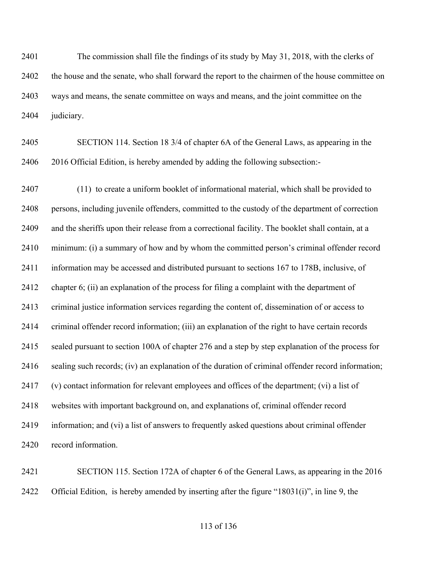The commission shall file the findings of its study by May 31, 2018, with the clerks of the house and the senate, who shall forward the report to the chairmen of the house committee on ways and means, the senate committee on ways and means, and the joint committee on the judiciary.

 SECTION 114. Section 18 3/4 of chapter 6A of the General Laws, as appearing in the 2016 Official Edition, is hereby amended by adding the following subsection:-

 (11) to create a uniform booklet of informational material, which shall be provided to persons, including juvenile offenders, committed to the custody of the department of correction and the sheriffs upon their release from a correctional facility. The booklet shall contain, at a minimum: (i) a summary of how and by whom the committed person's criminal offender record information may be accessed and distributed pursuant to sections 167 to 178B, inclusive, of chapter 6; (ii) an explanation of the process for filing a complaint with the department of criminal justice information services regarding the content of, dissemination of or access to criminal offender record information; (iii) an explanation of the right to have certain records sealed pursuant to section 100A of chapter 276 and a step by step explanation of the process for sealing such records; (iv) an explanation of the duration of criminal offender record information; (v) contact information for relevant employees and offices of the department; (vi) a list of websites with important background on, and explanations of, criminal offender record information; and (vi) a list of answers to frequently asked questions about criminal offender record information.

 SECTION 115. Section 172A of chapter 6 of the General Laws, as appearing in the 2016 2422 Official Edition, is hereby amended by inserting after the figure "18031(i)", in line 9, the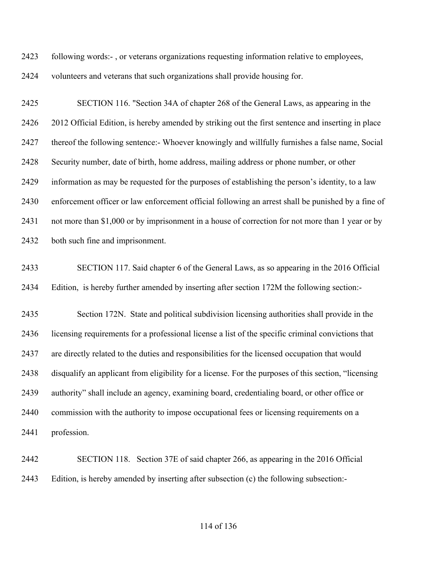following words:- , or veterans organizations requesting information relative to employees,

volunteers and veterans that such organizations shall provide housing for.

 SECTION 116. "Section 34A of chapter 268 of the General Laws, as appearing in the 2012 Official Edition, is hereby amended by striking out the first sentence and inserting in place thereof the following sentence:- Whoever knowingly and willfully furnishes a false name, Social Security number, date of birth, home address, mailing address or phone number, or other information as may be requested for the purposes of establishing the person's identity, to a law enforcement officer or law enforcement official following an arrest shall be punished by a fine of not more than \$1,000 or by imprisonment in a house of correction for not more than 1 year or by both such fine and imprisonment.

 SECTION 117. Said chapter 6 of the General Laws, as so appearing in the 2016 Official Edition, is hereby further amended by inserting after section 172M the following section:-

 Section 172N. State and political subdivision licensing authorities shall provide in the licensing requirements for a professional license a list of the specific criminal convictions that are directly related to the duties and responsibilities for the licensed occupation that would disqualify an applicant from eligibility for a license. For the purposes of this section, "licensing authority" shall include an agency, examining board, credentialing board, or other office or commission with the authority to impose occupational fees or licensing requirements on a profession.

 SECTION 118. Section 37E of said chapter 266, as appearing in the 2016 Official Edition, is hereby amended by inserting after subsection (c) the following subsection:-

## of 136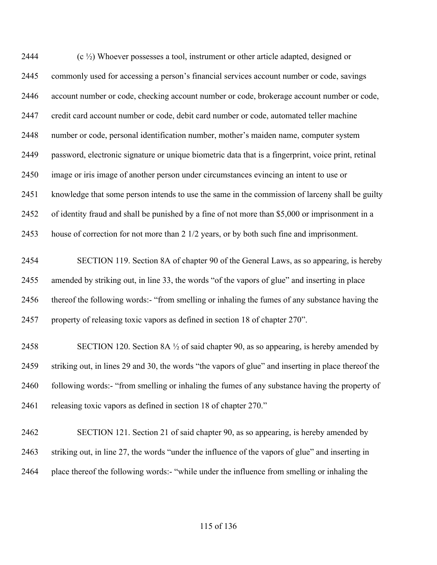$\left(c \frac{1}{2}\right)$  Whoever possesses a tool, instrument or other article adapted, designed or commonly used for accessing a person's financial services account number or code, savings account number or code, checking account number or code, brokerage account number or code, credit card account number or code, debit card number or code, automated teller machine number or code, personal identification number, mother's maiden name, computer system password, electronic signature or unique biometric data that is a fingerprint, voice print, retinal image or iris image of another person under circumstances evincing an intent to use or knowledge that some person intends to use the same in the commission of larceny shall be guilty of identity fraud and shall be punished by a fine of not more than \$5,000 or imprisonment in a house of correction for not more than 2 1/2 years, or by both such fine and imprisonment. SECTION 119. Section 8A of chapter 90 of the General Laws, as so appearing, is hereby amended by striking out, in line 33, the words "of the vapors of glue" and inserting in place thereof the following words:- "from smelling or inhaling the fumes of any substance having the

property of releasing toxic vapors as defined in section 18 of chapter 270".

2458 SECTION 120. Section 8A  $\frac{1}{2}$  of said chapter 90, as so appearing, is hereby amended by striking out, in lines 29 and 30, the words "the vapors of glue" and inserting in place thereof the 2460 following words:- "from smelling or inhaling the fumes of any substance having the property of releasing toxic vapors as defined in section 18 of chapter 270."

 SECTION 121. Section 21 of said chapter 90, as so appearing, is hereby amended by striking out, in line 27, the words "under the influence of the vapors of glue" and inserting in place thereof the following words:- "while under the influence from smelling or inhaling the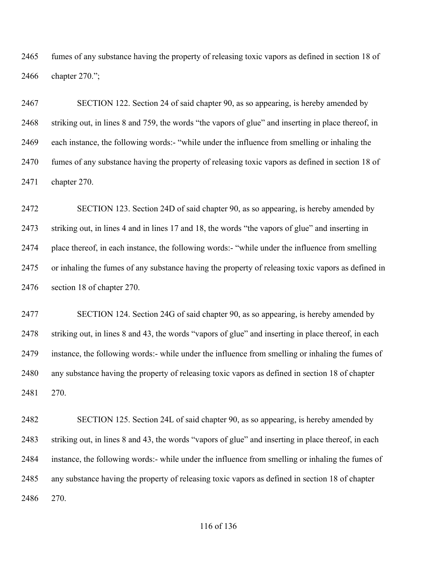fumes of any substance having the property of releasing toxic vapors as defined in section 18 of chapter 270.";

 SECTION 122. Section 24 of said chapter 90, as so appearing, is hereby amended by striking out, in lines 8 and 759, the words "the vapors of glue" and inserting in place thereof, in each instance, the following words:- "while under the influence from smelling or inhaling the fumes of any substance having the property of releasing toxic vapors as defined in section 18 of chapter 270.

 SECTION 123. Section 24D of said chapter 90, as so appearing, is hereby amended by striking out, in lines 4 and in lines 17 and 18, the words "the vapors of glue" and inserting in place thereof, in each instance, the following words:- "while under the influence from smelling or inhaling the fumes of any substance having the property of releasing toxic vapors as defined in section 18 of chapter 270.

 SECTION 124. Section 24G of said chapter 90, as so appearing, is hereby amended by striking out, in lines 8 and 43, the words "vapors of glue" and inserting in place thereof, in each instance, the following words:- while under the influence from smelling or inhaling the fumes of any substance having the property of releasing toxic vapors as defined in section 18 of chapter 270.

 SECTION 125. Section 24L of said chapter 90, as so appearing, is hereby amended by striking out, in lines 8 and 43, the words "vapors of glue" and inserting in place thereof, in each instance, the following words:- while under the influence from smelling or inhaling the fumes of any substance having the property of releasing toxic vapors as defined in section 18 of chapter 270.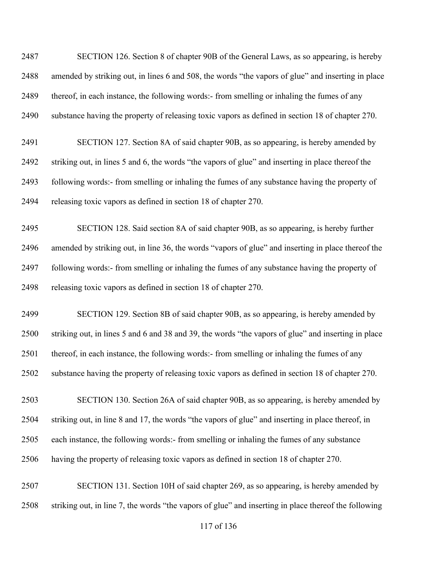SECTION 126. Section 8 of chapter 90B of the General Laws, as so appearing, is hereby amended by striking out, in lines 6 and 508, the words "the vapors of glue" and inserting in place thereof, in each instance, the following words:- from smelling or inhaling the fumes of any substance having the property of releasing toxic vapors as defined in section 18 of chapter 270.

 SECTION 127. Section 8A of said chapter 90B, as so appearing, is hereby amended by striking out, in lines 5 and 6, the words "the vapors of glue" and inserting in place thereof the following words:- from smelling or inhaling the fumes of any substance having the property of releasing toxic vapors as defined in section 18 of chapter 270.

 SECTION 128. Said section 8A of said chapter 90B, as so appearing, is hereby further amended by striking out, in line 36, the words "vapors of glue" and inserting in place thereof the following words:- from smelling or inhaling the fumes of any substance having the property of releasing toxic vapors as defined in section 18 of chapter 270.

 SECTION 129. Section 8B of said chapter 90B, as so appearing, is hereby amended by striking out, in lines 5 and 6 and 38 and 39, the words "the vapors of glue" and inserting in place 2501 thereof, in each instance, the following words:- from smelling or inhaling the fumes of any substance having the property of releasing toxic vapors as defined in section 18 of chapter 270.

 SECTION 130. Section 26A of said chapter 90B, as so appearing, is hereby amended by striking out, in line 8 and 17, the words "the vapors of glue" and inserting in place thereof, in each instance, the following words:- from smelling or inhaling the fumes of any substance having the property of releasing toxic vapors as defined in section 18 of chapter 270.

 SECTION 131. Section 10H of said chapter 269, as so appearing, is hereby amended by striking out, in line 7, the words "the vapors of glue" and inserting in place thereof the following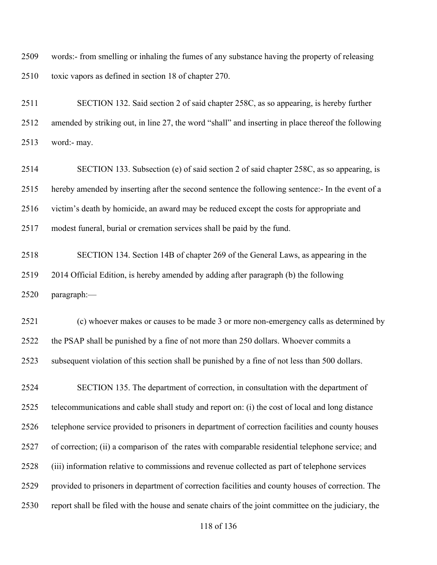words:- from smelling or inhaling the fumes of any substance having the property of releasing toxic vapors as defined in section 18 of chapter 270.

 SECTION 132. Said section 2 of said chapter 258C, as so appearing, is hereby further amended by striking out, in line 27, the word "shall" and inserting in place thereof the following word:- may.

 SECTION 133. Subsection (e) of said section 2 of said chapter 258C, as so appearing, is hereby amended by inserting after the second sentence the following sentence:- In the event of a victim's death by homicide, an award may be reduced except the costs for appropriate and modest funeral, burial or cremation services shall be paid by the fund.

 SECTION 134. Section 14B of chapter 269 of the General Laws, as appearing in the 2014 Official Edition, is hereby amended by adding after paragraph (b) the following paragraph:—

 (c) whoever makes or causes to be made 3 or more non-emergency calls as determined by the PSAP shall be punished by a fine of not more than 250 dollars. Whoever commits a subsequent violation of this section shall be punished by a fine of not less than 500 dollars.

 SECTION 135. The department of correction, in consultation with the department of telecommunications and cable shall study and report on: (i) the cost of local and long distance telephone service provided to prisoners in department of correction facilities and county houses of correction; (ii) a comparison of the rates with comparable residential telephone service; and (iii) information relative to commissions and revenue collected as part of telephone services provided to prisoners in department of correction facilities and county houses of correction. The report shall be filed with the house and senate chairs of the joint committee on the judiciary, the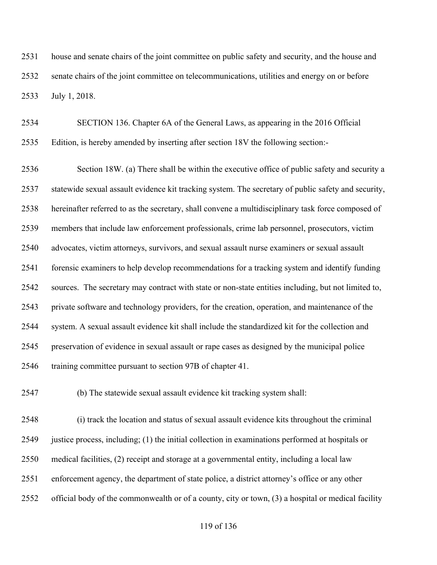house and senate chairs of the joint committee on public safety and security, and the house and senate chairs of the joint committee on telecommunications, utilities and energy on or before July 1, 2018.

 SECTION 136. Chapter 6A of the General Laws, as appearing in the 2016 Official Edition, is hereby amended by inserting after section 18V the following section:-

 Section 18W. (a) There shall be within the executive office of public safety and security a statewide sexual assault evidence kit tracking system. The secretary of public safety and security, hereinafter referred to as the secretary, shall convene a multidisciplinary task force composed of members that include law enforcement professionals, crime lab personnel, prosecutors, victim advocates, victim attorneys, survivors, and sexual assault nurse examiners or sexual assault forensic examiners to help develop recommendations for a tracking system and identify funding sources. The secretary may contract with state or non-state entities including, but not limited to, private software and technology providers, for the creation, operation, and maintenance of the system. A sexual assault evidence kit shall include the standardized kit for the collection and preservation of evidence in sexual assault or rape cases as designed by the municipal police training committee pursuant to section 97B of chapter 41.

(b) The statewide sexual assault evidence kit tracking system shall:

 (i) track the location and status of sexual assault evidence kits throughout the criminal justice process, including; (1) the initial collection in examinations performed at hospitals or medical facilities, (2) receipt and storage at a governmental entity, including a local law enforcement agency, the department of state police, a district attorney's office or any other official body of the commonwealth or of a county, city or town, (3) a hospital or medical facility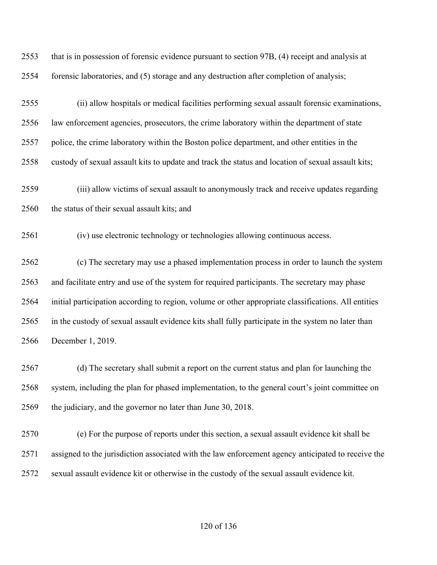| 2553 | that is in possession of forensic evidence pursuant to section 97B, (4) receipt and analysis at      |
|------|------------------------------------------------------------------------------------------------------|
| 2554 | forensic laboratories, and (5) storage and any destruction after completion of analysis;             |
| 2555 | (ii) allow hospitals or medical facilities performing sexual assault forensic examinations,          |
| 2556 | law enforcement agencies, prosecutors, the crime laboratory within the department of state           |
| 2557 | police, the crime laboratory within the Boston police department, and other entities in the          |
| 2558 | custody of sexual assault kits to update and track the status and location of sexual assault kits;   |
| 2559 | (iii) allow victims of sexual assault to anonymously track and receive updates regarding             |
| 2560 | the status of their sexual assault kits; and                                                         |
| 2561 | (iv) use electronic technology or technologies allowing continuous access.                           |
| 2562 | (c) The secretary may use a phased implementation process in order to launch the system              |
| 2563 | and facilitate entry and use of the system for required participants. The secretary may phase        |
| 2564 | initial participation according to region, volume or other appropriate classifications. All entities |
| 2565 | in the custody of sexual assault evidence kits shall fully participate in the system no later than   |
| 2566 | December 1, 2019.                                                                                    |
| 2567 | (d) The secretary shall submit a report on the current status and plan for launching the             |
| 2568 | system, including the plan for phased implementation, to the general court's joint committee on      |
| 2569 | the judiciary, and the governor no later than June 30, 2018.                                         |

 (e) For the purpose of reports under this section, a sexual assault evidence kit shall be assigned to the jurisdiction associated with the law enforcement agency anticipated to receive the sexual assault evidence kit or otherwise in the custody of the sexual assault evidence kit.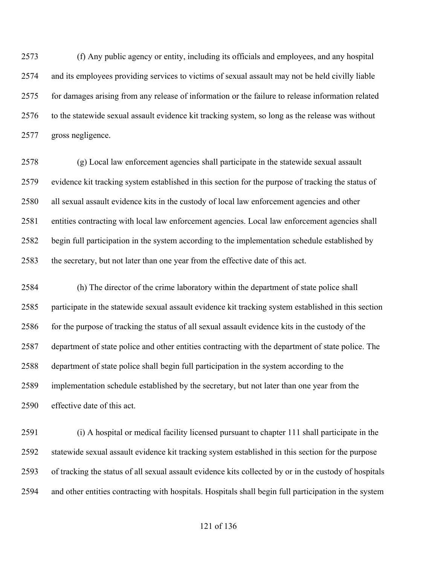(f) Any public agency or entity, including its officials and employees, and any hospital and its employees providing services to victims of sexual assault may not be held civilly liable for damages arising from any release of information or the failure to release information related to the statewide sexual assault evidence kit tracking system, so long as the release was without gross negligence.

 (g) Local law enforcement agencies shall participate in the statewide sexual assault evidence kit tracking system established in this section for the purpose of tracking the status of all sexual assault evidence kits in the custody of local law enforcement agencies and other entities contracting with local law enforcement agencies. Local law enforcement agencies shall begin full participation in the system according to the implementation schedule established by the secretary, but not later than one year from the effective date of this act.

 (h) The director of the crime laboratory within the department of state police shall participate in the statewide sexual assault evidence kit tracking system established in this section 2586 for the purpose of tracking the status of all sexual assault evidence kits in the custody of the department of state police and other entities contracting with the department of state police. The department of state police shall begin full participation in the system according to the implementation schedule established by the secretary, but not later than one year from the effective date of this act.

 (i) A hospital or medical facility licensed pursuant to chapter 111 shall participate in the statewide sexual assault evidence kit tracking system established in this section for the purpose of tracking the status of all sexual assault evidence kits collected by or in the custody of hospitals and other entities contracting with hospitals. Hospitals shall begin full participation in the system

## of 136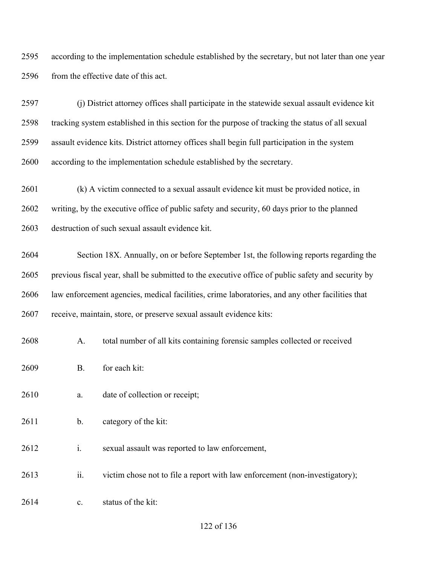according to the implementation schedule established by the secretary, but not later than one year 2596 from the effective date of this act.

 (j) District attorney offices shall participate in the statewide sexual assault evidence kit tracking system established in this section for the purpose of tracking the status of all sexual assault evidence kits. District attorney offices shall begin full participation in the system according to the implementation schedule established by the secretary.

 (k) A victim connected to a sexual assault evidence kit must be provided notice, in writing, by the executive office of public safety and security, 60 days prior to the planned destruction of such sexual assault evidence kit.

 Section 18X. Annually, on or before September 1st, the following reports regarding the previous fiscal year, shall be submitted to the executive office of public safety and security by law enforcement agencies, medical facilities, crime laboratories, and any other facilities that receive, maintain, store, or preserve sexual assault evidence kits:

- A. total number of all kits containing forensic samples collected or received
- B. for each kit:

2610 a. date of collection or receipt;

- b. category of the kit:
- i. sexual assault was reported to law enforcement,
- ii. victim chose not to file a report with law enforcement (non-investigatory);
- c. status of the kit: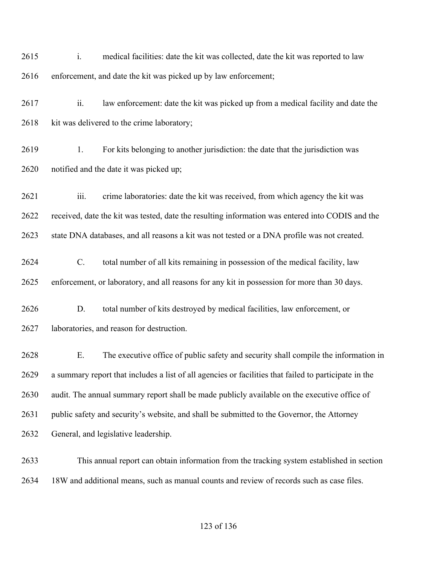i. medical facilities: date the kit was collected, date the kit was reported to law enforcement, and date the kit was picked up by law enforcement; ii. law enforcement: date the kit was picked up from a medical facility and date the 2618 kit was delivered to the crime laboratory; 2619 1. For kits belonging to another jurisdiction: the date that the jurisdiction was notified and the date it was picked up; iii. crime laboratories: date the kit was received, from which agency the kit was received, date the kit was tested, date the resulting information was entered into CODIS and the state DNA databases, and all reasons a kit was not tested or a DNA profile was not created. C. total number of all kits remaining in possession of the medical facility, law enforcement, or laboratory, and all reasons for any kit in possession for more than 30 days. D. total number of kits destroyed by medical facilities, law enforcement, or laboratories, and reason for destruction. E. The executive office of public safety and security shall compile the information in a summary report that includes a list of all agencies or facilities that failed to participate in the audit. The annual summary report shall be made publicly available on the executive office of public safety and security's website, and shall be submitted to the Governor, the Attorney General, and legislative leadership. This annual report can obtain information from the tracking system established in section

18W and additional means, such as manual counts and review of records such as case files.

## of 136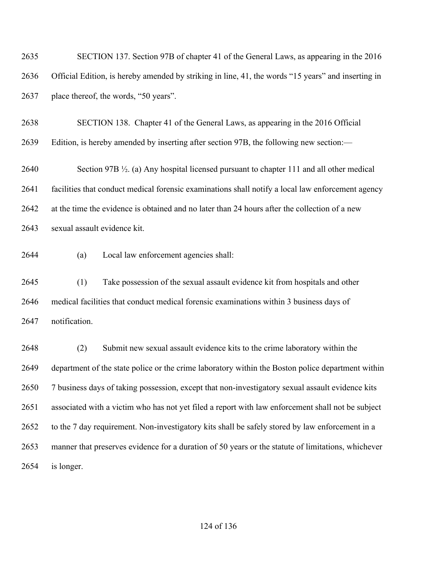SECTION 137. Section 97B of chapter 41 of the General Laws, as appearing in the 2016 Official Edition, is hereby amended by striking in line, 41, the words "15 years" and inserting in place thereof, the words, "50 years".

 SECTION 138. Chapter 41 of the General Laws, as appearing in the 2016 Official Edition, is hereby amended by inserting after section 97B, the following new section:—

 Section 97B ½. (a) Any hospital licensed pursuant to chapter 111 and all other medical facilities that conduct medical forensic examinations shall notify a local law enforcement agency at the time the evidence is obtained and no later than 24 hours after the collection of a new sexual assault evidence kit.

(a) Local law enforcement agencies shall:

 (1) Take possession of the sexual assault evidence kit from hospitals and other medical facilities that conduct medical forensic examinations within 3 business days of notification.

 (2) Submit new sexual assault evidence kits to the crime laboratory within the department of the state police or the crime laboratory within the Boston police department within 7 business days of taking possession, except that non-investigatory sexual assault evidence kits associated with a victim who has not yet filed a report with law enforcement shall not be subject to the 7 day requirement. Non-investigatory kits shall be safely stored by law enforcement in a manner that preserves evidence for a duration of 50 years or the statute of limitations, whichever is longer.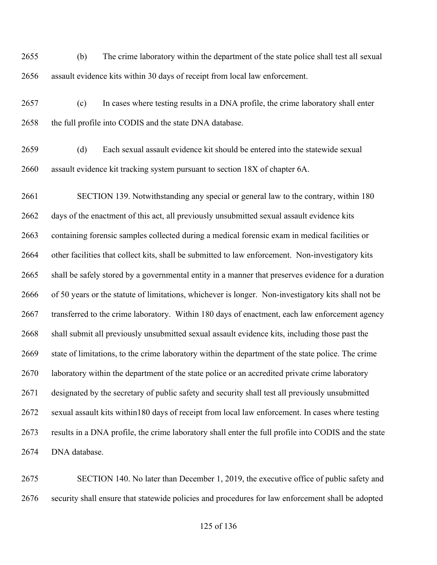(b) The crime laboratory within the department of the state police shall test all sexual assault evidence kits within 30 days of receipt from local law enforcement.

 (c) In cases where testing results in a DNA profile, the crime laboratory shall enter 2658 the full profile into CODIS and the state DNA database.

 (d) Each sexual assault evidence kit should be entered into the statewide sexual assault evidence kit tracking system pursuant to section 18X of chapter 6A.

 SECTION 139. Notwithstanding any special or general law to the contrary, within 180 days of the enactment of this act, all previously unsubmitted sexual assault evidence kits containing forensic samples collected during a medical forensic exam in medical facilities or other facilities that collect kits, shall be submitted to law enforcement. Non-investigatory kits shall be safely stored by a governmental entity in a manner that preserves evidence for a duration of 50 years or the statute of limitations, whichever is longer. Non-investigatory kits shall not be transferred to the crime laboratory. Within 180 days of enactment, each law enforcement agency shall submit all previously unsubmitted sexual assault evidence kits, including those past the state of limitations, to the crime laboratory within the department of the state police. The crime 2670 laboratory within the department of the state police or an accredited private crime laboratory designated by the secretary of public safety and security shall test all previously unsubmitted sexual assault kits within180 days of receipt from local law enforcement. In cases where testing results in a DNA profile, the crime laboratory shall enter the full profile into CODIS and the state DNA database.

 SECTION 140. No later than December 1, 2019, the executive office of public safety and security shall ensure that statewide policies and procedures for law enforcement shall be adopted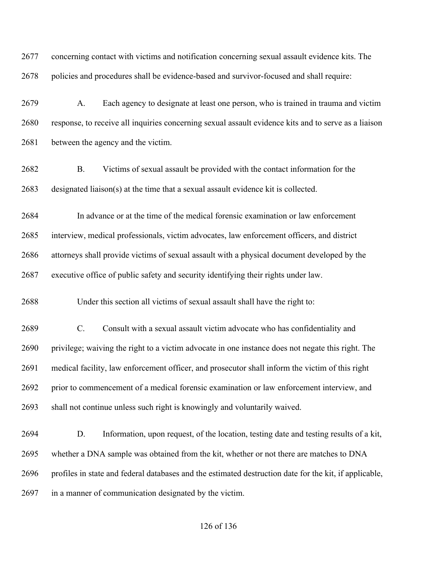concerning contact with victims and notification concerning sexual assault evidence kits. The policies and procedures shall be evidence-based and survivor-focused and shall require:

 A. Each agency to designate at least one person, who is trained in trauma and victim response, to receive all inquiries concerning sexual assault evidence kits and to serve as a liaison between the agency and the victim.

 B. Victims of sexual assault be provided with the contact information for the designated liaison(s) at the time that a sexual assault evidence kit is collected.

 In advance or at the time of the medical forensic examination or law enforcement interview, medical professionals, victim advocates, law enforcement officers, and district attorneys shall provide victims of sexual assault with a physical document developed by the executive office of public safety and security identifying their rights under law.

Under this section all victims of sexual assault shall have the right to:

 C. Consult with a sexual assault victim advocate who has confidentiality and privilege; waiving the right to a victim advocate in one instance does not negate this right. The medical facility, law enforcement officer, and prosecutor shall inform the victim of this right prior to commencement of a medical forensic examination or law enforcement interview, and shall not continue unless such right is knowingly and voluntarily waived.

 D. Information, upon request, of the location, testing date and testing results of a kit, whether a DNA sample was obtained from the kit, whether or not there are matches to DNA profiles in state and federal databases and the estimated destruction date for the kit, if applicable, in a manner of communication designated by the victim.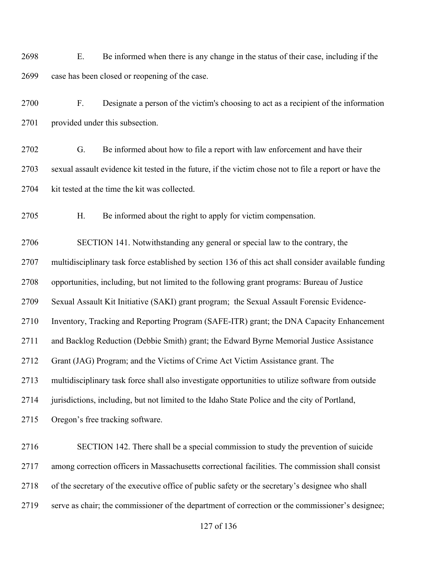E. Be informed when there is any change in the status of their case, including if the case has been closed or reopening of the case.

 F. Designate a person of the victim's choosing to act as a recipient of the information 2701 provided under this subsection.

 G. Be informed about how to file a report with law enforcement and have their sexual assault evidence kit tested in the future, if the victim chose not to file a report or have the 2704 kit tested at the time the kit was collected.

H. Be informed about the right to apply for victim compensation.

SECTION 141. Notwithstanding any general or special law to the contrary, the

multidisciplinary task force established by section 136 of this act shall consider available funding

opportunities, including, but not limited to the following grant programs: Bureau of Justice

Sexual Assault Kit Initiative (SAKI) grant program; the Sexual Assault Forensic Evidence-

Inventory, Tracking and Reporting Program (SAFE-ITR) grant; the DNA Capacity Enhancement

and Backlog Reduction (Debbie Smith) grant; the Edward Byrne Memorial Justice Assistance

Grant (JAG) Program; and the Victims of Crime Act Victim Assistance grant. The

multidisciplinary task force shall also investigate opportunities to utilize software from outside

jurisdictions, including, but not limited to the Idaho State Police and the city of Portland,

Oregon's free tracking software.

 SECTION 142. There shall be a special commission to study the prevention of suicide among correction officers in Massachusetts correctional facilities. The commission shall consist of the secretary of the executive office of public safety or the secretary's designee who shall serve as chair; the commissioner of the department of correction or the commissioner's designee;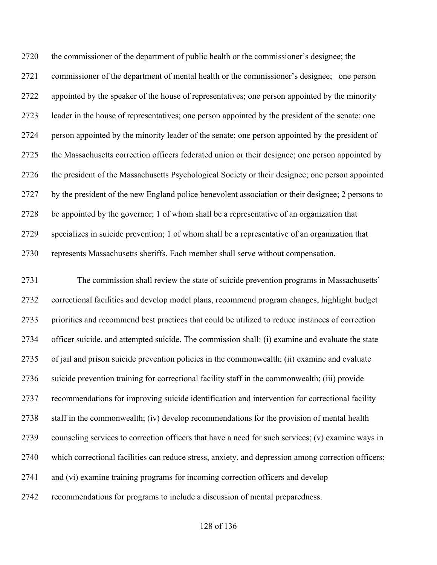the commissioner of the department of public health or the commissioner's designee; the commissioner of the department of mental health or the commissioner's designee; one person appointed by the speaker of the house of representatives; one person appointed by the minority leader in the house of representatives; one person appointed by the president of the senate; one 2724 person appointed by the minority leader of the senate; one person appointed by the president of the Massachusetts correction officers federated union or their designee; one person appointed by the president of the Massachusetts Psychological Society or their designee; one person appointed by the president of the new England police benevolent association or their designee; 2 persons to be appointed by the governor; 1 of whom shall be a representative of an organization that specializes in suicide prevention; 1 of whom shall be a representative of an organization that represents Massachusetts sheriffs. Each member shall serve without compensation.

 The commission shall review the state of suicide prevention programs in Massachusetts' correctional facilities and develop model plans, recommend program changes, highlight budget priorities and recommend best practices that could be utilized to reduce instances of correction officer suicide, and attempted suicide. The commission shall: (i) examine and evaluate the state of jail and prison suicide prevention policies in the commonwealth; (ii) examine and evaluate suicide prevention training for correctional facility staff in the commonwealth; (iii) provide recommendations for improving suicide identification and intervention for correctional facility staff in the commonwealth; (iv) develop recommendations for the provision of mental health counseling services to correction officers that have a need for such services; (v) examine ways in which correctional facilities can reduce stress, anxiety, and depression among correction officers; and (vi) examine training programs for incoming correction officers and develop recommendations for programs to include a discussion of mental preparedness.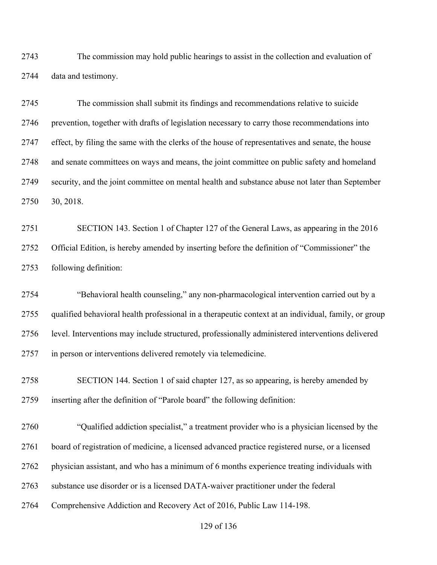The commission may hold public hearings to assist in the collection and evaluation of data and testimony.

 The commission shall submit its findings and recommendations relative to suicide prevention, together with drafts of legislation necessary to carry those recommendations into effect, by filing the same with the clerks of the house of representatives and senate, the house and senate committees on ways and means, the joint committee on public safety and homeland security, and the joint committee on mental health and substance abuse not later than September 30, 2018.

 SECTION 143. Section 1 of Chapter 127 of the General Laws, as appearing in the 2016 Official Edition, is hereby amended by inserting before the definition of "Commissioner" the following definition:

 "Behavioral health counseling," any non-pharmacological intervention carried out by a qualified behavioral health professional in a therapeutic context at an individual, family, or group level. Interventions may include structured, professionally administered interventions delivered in person or interventions delivered remotely via telemedicine.

 SECTION 144. Section 1 of said chapter 127, as so appearing, is hereby amended by inserting after the definition of "Parole board" the following definition:

 "Qualified addiction specialist," a treatment provider who is a physician licensed by the board of registration of medicine, a licensed advanced practice registered nurse, or a licensed physician assistant, and who has a minimum of 6 months experience treating individuals with substance use disorder or is a licensed DATA-waiver practitioner under the federal Comprehensive Addiction and Recovery Act of 2016, Public Law 114-198.

of 136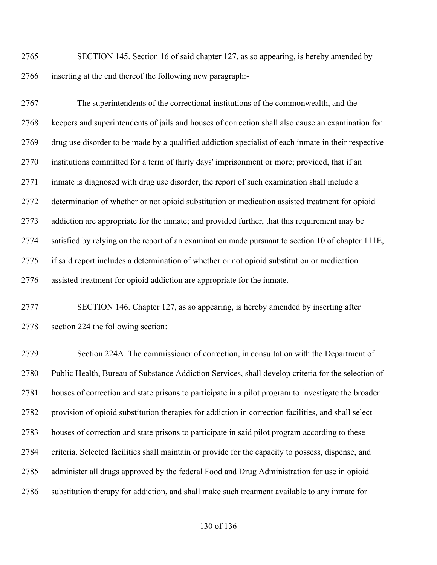SECTION 145. Section 16 of said chapter 127, as so appearing, is hereby amended by inserting at the end thereof the following new paragraph:-

 The superintendents of the correctional institutions of the commonwealth, and the keepers and superintendents of jails and houses of correction shall also cause an examination for drug use disorder to be made by a qualified addiction specialist of each inmate in their respective institutions committed for a term of thirty days' imprisonment or more; provided, that if an inmate is diagnosed with drug use disorder, the report of such examination shall include a determination of whether or not opioid substitution or medication assisted treatment for opioid addiction are appropriate for the inmate; and provided further, that this requirement may be satisfied by relying on the report of an examination made pursuant to section 10 of chapter 111E, if said report includes a determination of whether or not opioid substitution or medication assisted treatment for opioid addiction are appropriate for the inmate.

 SECTION 146. Chapter 127, as so appearing, is hereby amended by inserting after section 224 the following section:―

 Section 224A. The commissioner of correction, in consultation with the Department of Public Health, Bureau of Substance Addiction Services, shall develop criteria for the selection of houses of correction and state prisons to participate in a pilot program to investigate the broader provision of opioid substitution therapies for addiction in correction facilities, and shall select houses of correction and state prisons to participate in said pilot program according to these criteria. Selected facilities shall maintain or provide for the capacity to possess, dispense, and administer all drugs approved by the federal Food and Drug Administration for use in opioid substitution therapy for addiction, and shall make such treatment available to any inmate for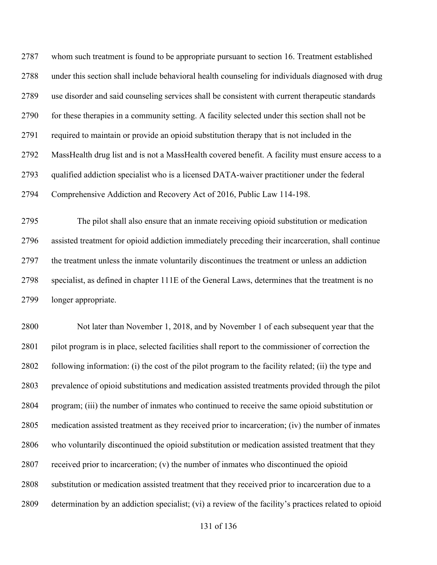whom such treatment is found to be appropriate pursuant to section 16. Treatment established under this section shall include behavioral health counseling for individuals diagnosed with drug use disorder and said counseling services shall be consistent with current therapeutic standards for these therapies in a community setting. A facility selected under this section shall not be required to maintain or provide an opioid substitution therapy that is not included in the MassHealth drug list and is not a MassHealth covered benefit. A facility must ensure access to a qualified addiction specialist who is a licensed DATA-waiver practitioner under the federal Comprehensive Addiction and Recovery Act of 2016, Public Law 114-198.

 The pilot shall also ensure that an inmate receiving opioid substitution or medication assisted treatment for opioid addiction immediately preceding their incarceration, shall continue the treatment unless the inmate voluntarily discontinues the treatment or unless an addiction specialist, as defined in chapter 111E of the General Laws, determines that the treatment is no longer appropriate.

 Not later than November 1, 2018, and by November 1 of each subsequent year that the pilot program is in place, selected facilities shall report to the commissioner of correction the following information: (i) the cost of the pilot program to the facility related; (ii) the type and prevalence of opioid substitutions and medication assisted treatments provided through the pilot program; (iii) the number of inmates who continued to receive the same opioid substitution or medication assisted treatment as they received prior to incarceration; (iv) the number of inmates who voluntarily discontinued the opioid substitution or medication assisted treatment that they received prior to incarceration; (v) the number of inmates who discontinued the opioid substitution or medication assisted treatment that they received prior to incarceration due to a determination by an addiction specialist; (vi) a review of the facility's practices related to opioid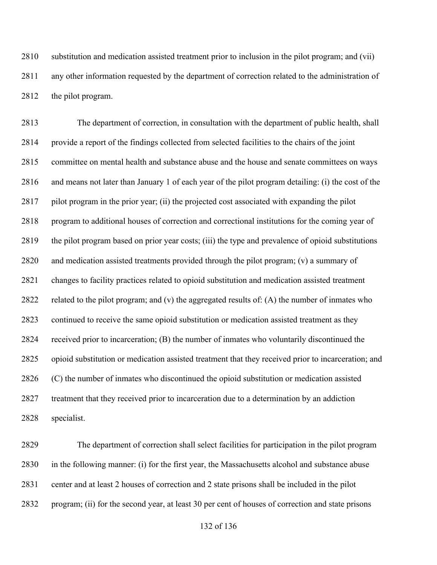substitution and medication assisted treatment prior to inclusion in the pilot program; and (vii) any other information requested by the department of correction related to the administration of 2812 the pilot program.

 The department of correction, in consultation with the department of public health, shall provide a report of the findings collected from selected facilities to the chairs of the joint committee on mental health and substance abuse and the house and senate committees on ways and means not later than January 1 of each year of the pilot program detailing: (i) the cost of the pilot program in the prior year; (ii) the projected cost associated with expanding the pilot program to additional houses of correction and correctional institutions for the coming year of the pilot program based on prior year costs; (iii) the type and prevalence of opioid substitutions and medication assisted treatments provided through the pilot program; (v) a summary of changes to facility practices related to opioid substitution and medication assisted treatment related to the pilot program; and (v) the aggregated results of: (A) the number of inmates who continued to receive the same opioid substitution or medication assisted treatment as they received prior to incarceration; (B) the number of inmates who voluntarily discontinued the opioid substitution or medication assisted treatment that they received prior to incarceration; and (C) the number of inmates who discontinued the opioid substitution or medication assisted treatment that they received prior to incarceration due to a determination by an addiction specialist.

 The department of correction shall select facilities for participation in the pilot program in the following manner: (i) for the first year, the Massachusetts alcohol and substance abuse center and at least 2 houses of correction and 2 state prisons shall be included in the pilot program; (ii) for the second year, at least 30 per cent of houses of correction and state prisons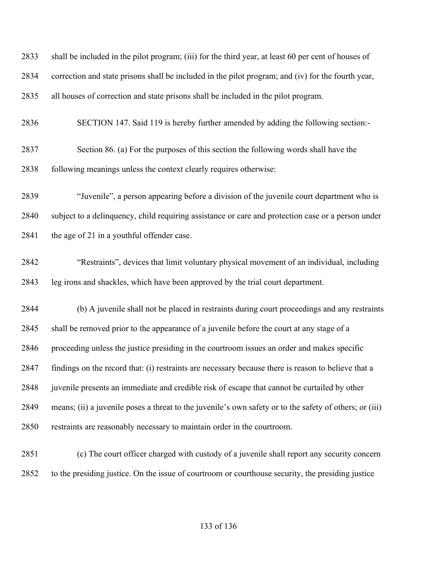shall be included in the pilot program; (iii) for the third year, at least 60 per cent of houses of correction and state prisons shall be included in the pilot program; and (iv) for the fourth year, all houses of correction and state prisons shall be included in the pilot program. SECTION 147. Said 119 is hereby further amended by adding the following section:- Section 86. (a) For the purposes of this section the following words shall have the following meanings unless the context clearly requires otherwise: "Juvenile", a person appearing before a division of the juvenile court department who is subject to a delinquency, child requiring assistance or care and protection case or a person under 2841 the age of 21 in a youthful offender case. "Restraints", devices that limit voluntary physical movement of an individual, including leg irons and shackles, which have been approved by the trial court department. (b) A juvenile shall not be placed in restraints during court proceedings and any restraints shall be removed prior to the appearance of a juvenile before the court at any stage of a proceeding unless the justice presiding in the courtroom issues an order and makes specific findings on the record that: (i) restraints are necessary because there is reason to believe that a juvenile presents an immediate and credible risk of escape that cannot be curtailed by other means; (ii) a juvenile poses a threat to the juvenile's own safety or to the safety of others; or (iii) restraints are reasonably necessary to maintain order in the courtroom. (c) The court officer charged with custody of a juvenile shall report any security concern to the presiding justice. On the issue of courtroom or courthouse security, the presiding justice

## of 136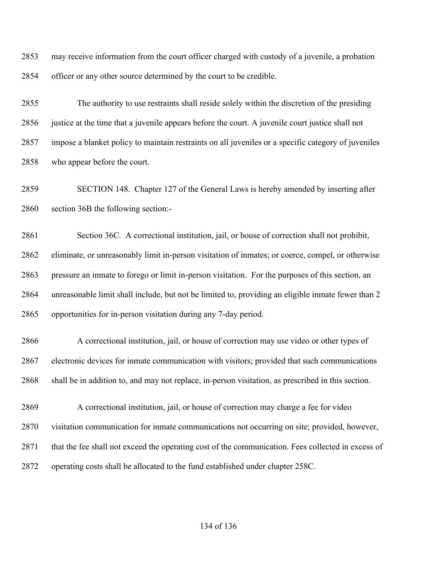may receive information from the court officer charged with custody of a juvenile, a probation officer or any other source determined by the court to be credible.

 The authority to use restraints shall reside solely within the discretion of the presiding justice at the time that a juvenile appears before the court. A juvenile court justice shall not impose a blanket policy to maintain restraints on all juveniles or a specific category of juveniles who appear before the court.

 SECTION 148. Chapter 127 of the General Laws is hereby amended by inserting after section 36B the following section:-

 Section 36C. A correctional institution, jail, or house of correction shall not prohibit, eliminate, or unreasonably limit in-person visitation of inmates; or coerce, compel, or otherwise pressure an inmate to forego or limit in-person visitation. For the purposes of this section, an unreasonable limit shall include, but not be limited to, providing an eligible inmate fewer than 2 opportunities for in-person visitation during any 7-day period.

 A correctional institution, jail, or house of correction may use video or other types of electronic devices for inmate communication with visitors; provided that such communications shall be in addition to, and may not replace, in-person visitation, as prescribed in this section.

 A correctional institution, jail, or house of correction may charge a fee for video visitation communication for inmate communications not occurring on site; provided, however, 2871 that the fee shall not exceed the operating cost of the communication. Fees collected in excess of operating costs shall be allocated to the fund established under chapter 258C.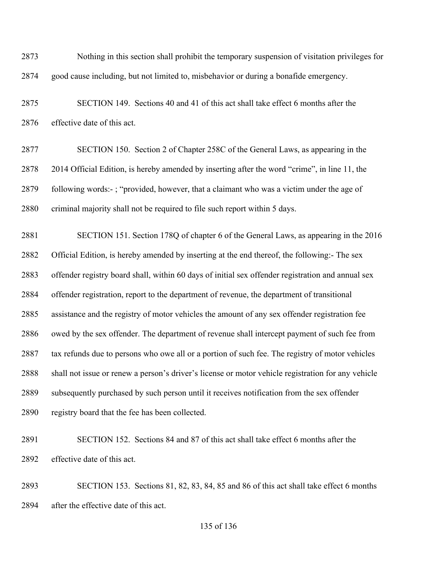Nothing in this section shall prohibit the temporary suspension of visitation privileges for good cause including, but not limited to, misbehavior or during a bonafide emergency.

 SECTION 149. Sections 40 and 41 of this act shall take effect 6 months after the effective date of this act.

 SECTION 150. Section 2 of Chapter 258C of the General Laws, as appearing in the 2014 Official Edition, is hereby amended by inserting after the word "crime", in line 11, the following words:- ; "provided, however, that a claimant who was a victim under the age of criminal majority shall not be required to file such report within 5 days.

 SECTION 151. Section 178Q of chapter 6 of the General Laws, as appearing in the 2016 Official Edition, is hereby amended by inserting at the end thereof, the following:- The sex offender registry board shall, within 60 days of initial sex offender registration and annual sex offender registration, report to the department of revenue, the department of transitional assistance and the registry of motor vehicles the amount of any sex offender registration fee owed by the sex offender. The department of revenue shall intercept payment of such fee from tax refunds due to persons who owe all or a portion of such fee. The registry of motor vehicles shall not issue or renew a person's driver's license or motor vehicle registration for any vehicle subsequently purchased by such person until it receives notification from the sex offender registry board that the fee has been collected.

 SECTION 152. Sections 84 and 87 of this act shall take effect 6 months after the effective date of this act.

 SECTION 153. Sections 81, 82, 83, 84, 85 and 86 of this act shall take effect 6 months after the effective date of this act.